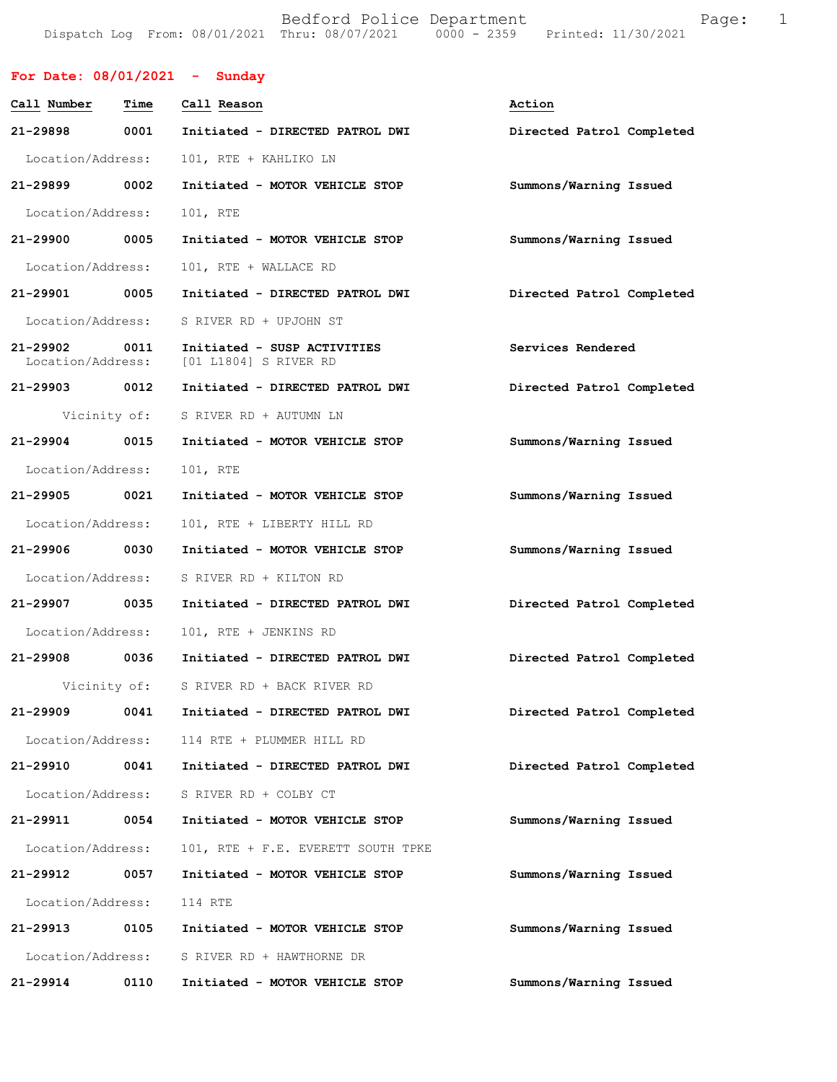Bedford Police Department Fage: 1 Dispatch Log From: 08/01/2021 Thru: 08/07/2021 0000 - 2359 Printed: 11/30/2021

| For Date: $08/01/2021$ - Sunday |      |                                                                        |                           |
|---------------------------------|------|------------------------------------------------------------------------|---------------------------|
| Call Number                     | Time | Call Reason                                                            | Action                    |
| 21-29898                        | 0001 | Initiated - DIRECTED PATROL DWI                                        | Directed Patrol Completed |
| Location/Address:               |      | 101, RTE + KAHLIKO LN                                                  |                           |
| 21-29899 0002                   |      | Initiated - MOTOR VEHICLE STOP                                         | Summons/Warning Issued    |
| Location/Address:               |      | 101, RTE                                                               |                           |
| 21-29900 0005                   |      | Initiated - MOTOR VEHICLE STOP                                         | Summons/Warning Issued    |
| Location/Address:               |      | 101, RTE + WALLACE RD                                                  |                           |
| 21-29901 0005                   |      | Initiated - DIRECTED PATROL DWI                                        | Directed Patrol Completed |
| Location/Address:               |      | S RIVER RD + UPJOHN ST                                                 |                           |
| 21-29902 0011                   |      | Initiated - SUSP ACTIVITIES<br>Location/Address: [01 L1804] S RIVER RD | Services Rendered         |
| 21-29903 0012                   |      | Initiated - DIRECTED PATROL DWI                                        | Directed Patrol Completed |
|                                 |      | Vicinity of: S RIVER RD + AUTUMN LN                                    |                           |
| 21-29904 0015                   |      | Initiated - MOTOR VEHICLE STOP                                         | Summons/Warning Issued    |
| Location/Address:               |      | 101, RTE                                                               |                           |
| 21-29905                        | 0021 | Initiated - MOTOR VEHICLE STOP                                         | Summons/Warning Issued    |
| Location/Address:               |      | 101, RTE + LIBERTY HILL RD                                             |                           |
| 21-29906 0030                   |      | Initiated - MOTOR VEHICLE STOP                                         | Summons/Warning Issued    |
| Location/Address:               |      | S RIVER RD + KILTON RD                                                 |                           |
| 21-29907 0035                   |      | Initiated - DIRECTED PATROL DWI                                        | Directed Patrol Completed |
| Location/Address:               |      | 101, RTE + JENKINS RD                                                  |                           |
| 21-29908                        | 0036 | Initiated - DIRECTED PATROL DWI                                        | Directed Patrol Completed |
| Vicinity of:                    |      | S RIVER RD + BACK RIVER RD                                             |                           |
| 21-29909                        | 0041 | Initiated - DIRECTED PATROL DWI                                        | Directed Patrol Completed |
| Location/Address:               |      | 114 RTE + PLUMMER HILL RD                                              |                           |
| 21-29910                        | 0041 | Initiated - DIRECTED PATROL DWI                                        | Directed Patrol Completed |
| Location/Address:               |      | S RIVER RD + COLBY CT                                                  |                           |
| 21-29911                        | 0054 | Initiated - MOTOR VEHICLE STOP                                         | Summons/Warning Issued    |
| Location/Address:               |      | 101, RTE + F.E. EVERETT SOUTH TPKE                                     |                           |
| 21-29912                        | 0057 | Initiated - MOTOR VEHICLE STOP                                         | Summons/Warning Issued    |
| Location/Address:               |      | 114 RTE                                                                |                           |
| 21-29913                        | 0105 | Initiated - MOTOR VEHICLE STOP                                         | Summons/Warning Issued    |
| Location/Address:               |      | S RIVER RD + HAWTHORNE DR                                              |                           |
| 21-29914                        | 0110 | Initiated - MOTOR VEHICLE STOP                                         | Summons/Warning Issued    |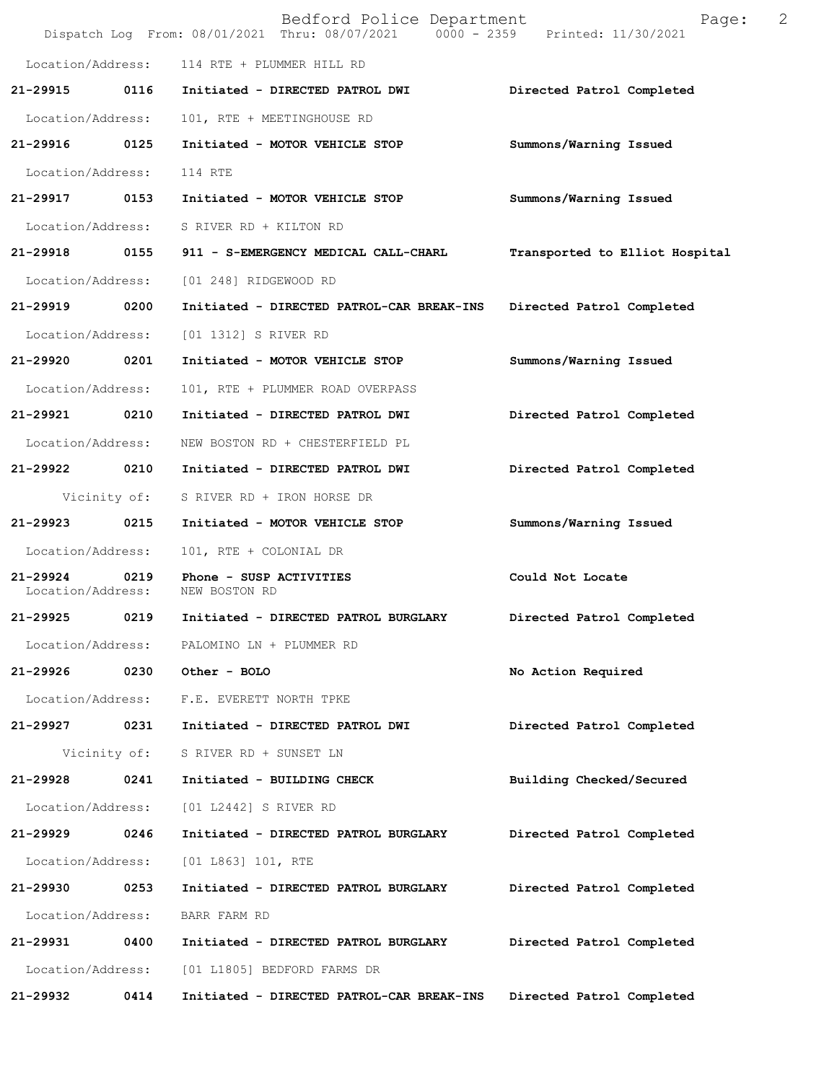|                               |              | Bedford Police Department<br>Dispatch Log From: 08/01/2021 Thru: 08/07/2021 0000 - 2359 Printed: 11/30/2021 | Page:                          | 2 |
|-------------------------------|--------------|-------------------------------------------------------------------------------------------------------------|--------------------------------|---|
| Location/Address:             |              | 114 RTE + PLUMMER HILL RD                                                                                   |                                |   |
| 21-29915                      | 0116         | Initiated - DIRECTED PATROL DWI                                                                             | Directed Patrol Completed      |   |
| Location/Address:             |              | 101, RTE + MEETINGHOUSE RD                                                                                  |                                |   |
| 21-29916 0125                 |              | Initiated - MOTOR VEHICLE STOP                                                                              | Summons/Warning Issued         |   |
| Location/Address:             |              | 114 RTE                                                                                                     |                                |   |
| 21-29917 0153                 |              | Initiated - MOTOR VEHICLE STOP                                                                              | Summons/Warning Issued         |   |
| Location/Address:             |              | S RIVER RD + KILTON RD                                                                                      |                                |   |
| 21-29918 0155                 |              | 911 - S-EMERGENCY MEDICAL CALL-CHARL                                                                        | Transported to Elliot Hospital |   |
| Location/Address:             |              | [01 248] RIDGEWOOD RD                                                                                       |                                |   |
| 21-29919 0200                 |              | Initiated - DIRECTED PATROL-CAR BREAK-INS                                                                   | Directed Patrol Completed      |   |
| Location/Address:             |              | [01 1312] S RIVER RD                                                                                        |                                |   |
| 21-29920 0201                 |              | Initiated - MOTOR VEHICLE STOP                                                                              | Summons/Warning Issued         |   |
| Location/Address:             |              | 101, RTE + PLUMMER ROAD OVERPASS                                                                            |                                |   |
| 21-29921                      | 0210         | Initiated - DIRECTED PATROL DWI                                                                             | Directed Patrol Completed      |   |
| Location/Address:             |              | NEW BOSTON RD + CHESTERFIELD PL                                                                             |                                |   |
| 21-29922 0210                 |              | Initiated - DIRECTED PATROL DWI                                                                             | Directed Patrol Completed      |   |
|                               | Vicinity of: | S RIVER RD + IRON HORSE DR                                                                                  |                                |   |
| 21-29923 0215                 |              | Initiated - MOTOR VEHICLE STOP                                                                              | Summons/Warning Issued         |   |
| Location/Address:             |              | 101, RTE + COLONIAL DR                                                                                      |                                |   |
| 21-29924<br>Location/Address: | 0219         | Phone - SUSP ACTIVITIES<br>NEW BOSTON RD                                                                    | Could Not Locate               |   |
| 21-29925                      | 0219         | Initiated - DIRECTED PATROL BURGLARY                                                                        | Directed Patrol Completed      |   |
|                               |              | Location/Address: PALOMINO LN + PLUMMER RD                                                                  |                                |   |
| 21-29926                      |              | 0230 Other - BOLO                                                                                           | No Action Required             |   |
|                               |              | Location/Address: F.E. EVERETT NORTH TPKE                                                                   |                                |   |
| 21-29927                      | 0231         | Initiated - DIRECTED PATROL DWI                                                                             | Directed Patrol Completed      |   |
|                               | Vicinity of: | S RIVER RD + SUNSET LN                                                                                      |                                |   |
| 21-29928                      | 0241         | Initiated - BUILDING CHECK                                                                                  | Building Checked/Secured       |   |
| Location/Address:             |              | [01 L2442] S RIVER RD                                                                                       |                                |   |
| 21-29929                      | 0246         | Initiated - DIRECTED PATROL BURGLARY                                                                        | Directed Patrol Completed      |   |
| Location/Address:             |              | [01 L863] 101, RTE                                                                                          |                                |   |
| 21-29930                      | 0253         | Initiated - DIRECTED PATROL BURGLARY                                                                        | Directed Patrol Completed      |   |
| Location/Address:             |              | BARR FARM RD                                                                                                |                                |   |
| 21-29931                      | 0400         | Initiated - DIRECTED PATROL BURGLARY                                                                        | Directed Patrol Completed      |   |
| Location/Address:             |              | [01 L1805] BEDFORD FARMS DR                                                                                 |                                |   |
| 21-29932                      | 0414         | Initiated - DIRECTED PATROL-CAR BREAK-INS                                                                   | Directed Patrol Completed      |   |
|                               |              |                                                                                                             |                                |   |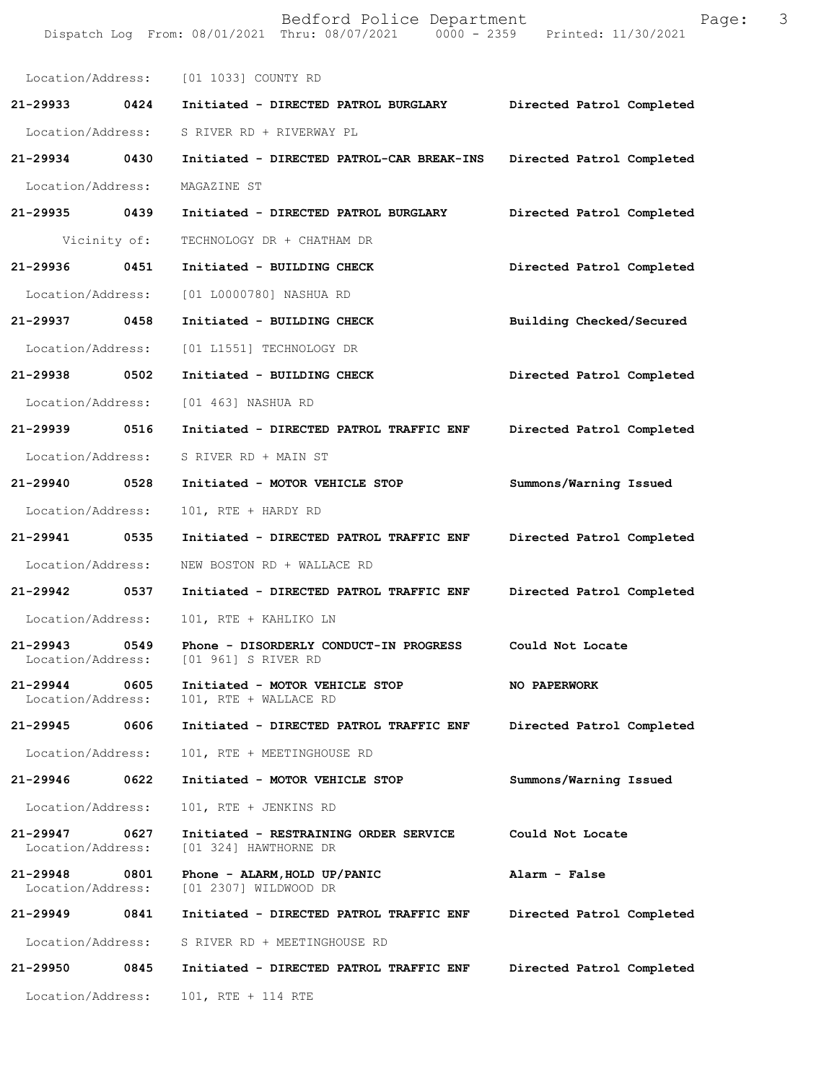|                               |              | Bedford Police Department<br>Dispatch Log From: 08/01/2021 Thru: 08/07/2021 0000 - 2359 Printed: 11/30/2021 | Page:                     | 3 |
|-------------------------------|--------------|-------------------------------------------------------------------------------------------------------------|---------------------------|---|
|                               |              | Location/Address: [01 1033] COUNTY RD                                                                       |                           |   |
| 21-29933                      | 0424         | Initiated - DIRECTED PATROL BURGLARY                                                                        | Directed Patrol Completed |   |
| Location/Address:             |              | S RIVER RD + RIVERWAY PL                                                                                    |                           |   |
| 21-29934                      | 0430         | Initiated - DIRECTED PATROL-CAR BREAK-INS                                                                   | Directed Patrol Completed |   |
| Location/Address:             |              | MAGAZINE ST                                                                                                 |                           |   |
| 21-29935 0439                 |              | Initiated - DIRECTED PATROL BURGLARY                                                                        | Directed Patrol Completed |   |
|                               | Vicinity of: | TECHNOLOGY DR + CHATHAM DR                                                                                  |                           |   |
| 21-29936                      | 0451         | Initiated - BUILDING CHECK                                                                                  | Directed Patrol Completed |   |
| Location/Address:             |              | [01 L0000780] NASHUA RD                                                                                     |                           |   |
| 21-29937                      | 0458         | Initiated - BUILDING CHECK                                                                                  | Building Checked/Secured  |   |
| Location/Address:             |              | [01 L1551] TECHNOLOGY DR                                                                                    |                           |   |
| 21-29938 0502                 |              | Initiated - BUILDING CHECK                                                                                  | Directed Patrol Completed |   |
| Location/Address:             |              | [01 463] NASHUA RD                                                                                          |                           |   |
| 21-29939 0516                 |              | Initiated - DIRECTED PATROL TRAFFIC ENF                                                                     | Directed Patrol Completed |   |
| Location/Address:             |              | S RIVER RD + MAIN ST                                                                                        |                           |   |
| 21-29940                      | 0528         | Initiated - MOTOR VEHICLE STOP                                                                              | Summons/Warning Issued    |   |
| Location/Address:             |              | 101, RTE + HARDY RD                                                                                         |                           |   |
| 21-29941                      | 0535         | Initiated - DIRECTED PATROL TRAFFIC ENF                                                                     | Directed Patrol Completed |   |
| Location/Address:             |              | NEW BOSTON RD + WALLACE RD                                                                                  |                           |   |
| 21-29942 0537                 |              | Initiated - DIRECTED PATROL TRAFFIC ENF                                                                     | Directed Patrol Completed |   |
| Location/Address:             |              | 101, RTE + KAHLIKO LN                                                                                       |                           |   |
| 21-29943<br>Location/Address: | 0549         | Phone - DISORDERLY CONDUCT-IN PROGRESS<br>[01 961] S RIVER RD                                               | Could Not Locate          |   |
| 21-29944<br>Location/Address: | 0605         | Initiated - MOTOR VEHICLE STOP<br>101, RTE + WALLACE RD                                                     | NO PAPERWORK              |   |
| 21-29945                      | 0606         | Initiated - DIRECTED PATROL TRAFFIC ENF                                                                     | Directed Patrol Completed |   |
| Location/Address:             |              | 101, RTE + MEETINGHOUSE RD                                                                                  |                           |   |
| 21-29946                      | 0622         | Initiated - MOTOR VEHICLE STOP                                                                              | Summons/Warning Issued    |   |
| Location/Address:             |              | 101, RTE + JENKINS RD                                                                                       |                           |   |
| 21-29947<br>Location/Address: | 0627         | Initiated - RESTRAINING ORDER SERVICE<br>[01 324] HAWTHORNE DR                                              | Could Not Locate          |   |
| 21-29948<br>Location/Address: | 0801         | Phone - ALARM, HOLD UP/PANIC<br>[01 2307] WILDWOOD DR                                                       | Alarm - False             |   |
| 21-29949 0841                 |              | Initiated - DIRECTED PATROL TRAFFIC ENF                                                                     | Directed Patrol Completed |   |
| Location/Address:             |              | S RIVER RD + MEETINGHOUSE RD                                                                                |                           |   |
| 21-29950                      | 0845         | Initiated - DIRECTED PATROL TRAFFIC ENF                                                                     | Directed Patrol Completed |   |
| Location/Address:             |              | 101, RTE + 114 RTE                                                                                          |                           |   |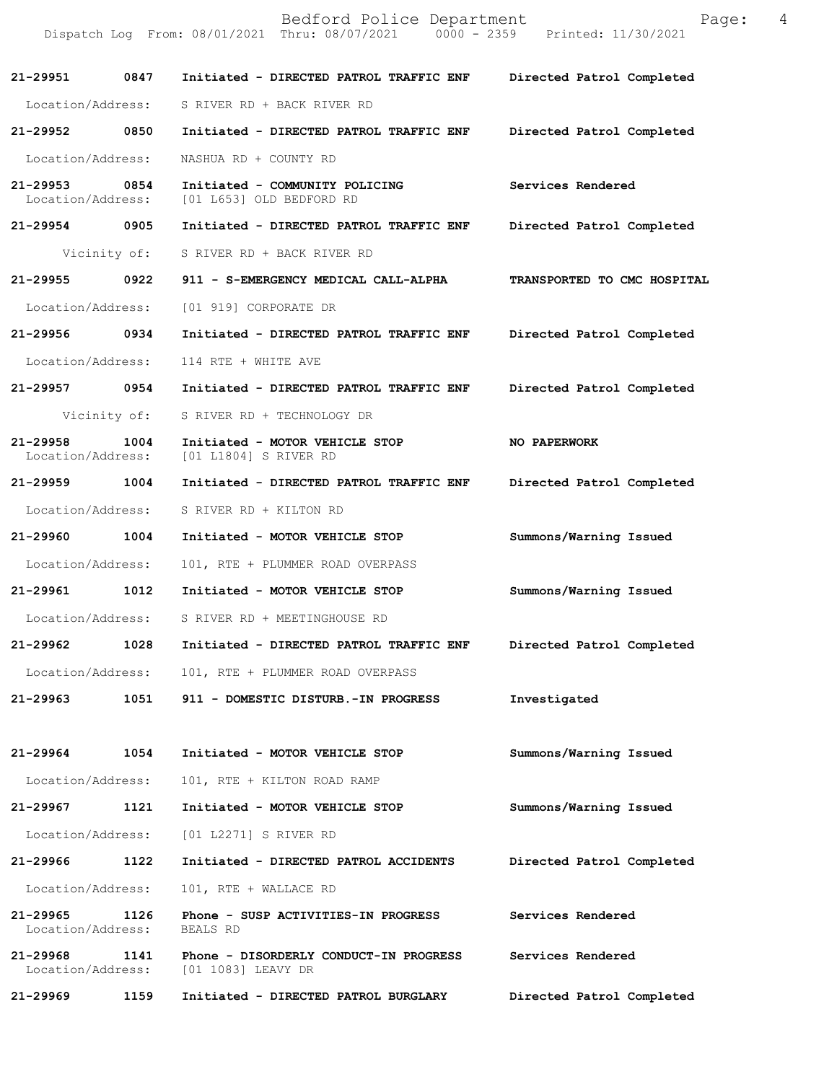|                               |              | Bedford Police Department<br>Dispatch Log From: 08/01/2021 Thru: 08/07/2021 0000 - 2359 Printed: 11/30/2021 | Page:                       | 4 |
|-------------------------------|--------------|-------------------------------------------------------------------------------------------------------------|-----------------------------|---|
|                               |              | 21-29951 0847 Initiated - DIRECTED PATROL TRAFFIC ENF                                                       | Directed Patrol Completed   |   |
|                               |              | Location/Address: S RIVER RD + BACK RIVER RD                                                                |                             |   |
| 21-29952 0850                 |              | Initiated - DIRECTED PATROL TRAFFIC ENF Directed Patrol Completed                                           |                             |   |
| Location/Address:             |              | NASHUA RD + COUNTY RD                                                                                       |                             |   |
| 21-29953                      | 0854         | Initiated - COMMUNITY POLICING<br>Location/Address: [01 L653] OLD BEDFORD RD                                | Services Rendered           |   |
| 21-29954 0905                 |              | Initiated - DIRECTED PATROL TRAFFIC ENF                                                                     | Directed Patrol Completed   |   |
|                               |              | Vicinity of: S RIVER RD + BACK RIVER RD                                                                     |                             |   |
| 21-29955    0922              |              | 911 - S-EMERGENCY MEDICAL CALL-ALPHA                                                                        | TRANSPORTED TO CMC HOSPITAL |   |
| Location/Address:             |              | [01 919] CORPORATE DR                                                                                       |                             |   |
| 21-29956 0934                 |              | Initiated - DIRECTED PATROL TRAFFIC ENF Directed Patrol Completed                                           |                             |   |
| Location/Address:             |              | 114 RTE + WHITE AVE                                                                                         |                             |   |
| 21-29957 0954                 |              | Initiated - DIRECTED PATROL TRAFFIC ENF                                                                     | Directed Patrol Completed   |   |
|                               | Vicinity of: | S RIVER RD + TECHNOLOGY DR                                                                                  |                             |   |
| 21-29958<br>Location/Address: | 1004         | Initiated - MOTOR VEHICLE STOP<br>[01 L1804] S RIVER RD                                                     | <b>NO PAPERWORK</b>         |   |
| 21-29959 1004                 |              | Initiated - DIRECTED PATROL TRAFFIC ENF                                                                     | Directed Patrol Completed   |   |
| Location/Address:             |              | S RIVER RD + KILTON RD                                                                                      |                             |   |
| 21-29960 1004                 |              | Initiated - MOTOR VEHICLE STOP                                                                              | Summons/Warning Issued      |   |
| Location/Address:             |              | 101, RTE + PLUMMER ROAD OVERPASS                                                                            |                             |   |
| 21-29961 1012                 |              | Initiated - MOTOR VEHICLE STOP                                                                              | Summons/Warning Issued      |   |
|                               |              | Location/Address: S RIVER RD + MEETINGHOUSE RD                                                              |                             |   |
| 21-29962                      | 1028         | Initiated - DIRECTED PATROL TRAFFIC ENF                                                                     | Directed Patrol Completed   |   |
| Location/Address:             |              | 101, RTE + PLUMMER ROAD OVERPASS                                                                            |                             |   |
| 21-29963                      | 1051         | 911 - DOMESTIC DISTURB.-IN PROGRESS                                                                         | Investigated                |   |
| 21-29964                      | 1054         | Initiated - MOTOR VEHICLE STOP                                                                              | Summons/Warning Issued      |   |
| Location/Address:             |              | 101, RTE + KILTON ROAD RAMP                                                                                 |                             |   |
| 21-29967                      | 1121         | Initiated - MOTOR VEHICLE STOP                                                                              | Summons/Warning Issued      |   |
| Location/Address:             |              | [01 L2271] S RIVER RD                                                                                       |                             |   |
| 21-29966                      | 1122         | Initiated - DIRECTED PATROL ACCIDENTS                                                                       | Directed Patrol Completed   |   |
| Location/Address:             |              | 101, RTE + WALLACE RD                                                                                       |                             |   |
| 21-29965<br>Location/Address: | 1126         | Phone - SUSP ACTIVITIES-IN PROGRESS<br>BEALS RD                                                             | Services Rendered           |   |
| 21-29968<br>Location/Address: | 1141         | Phone - DISORDERLY CONDUCT-IN PROGRESS<br>[01 1083] LEAVY DR                                                | Services Rendered           |   |
| 21-29969                      | 1159         | Initiated - DIRECTED PATROL BURGLARY                                                                        | Directed Patrol Completed   |   |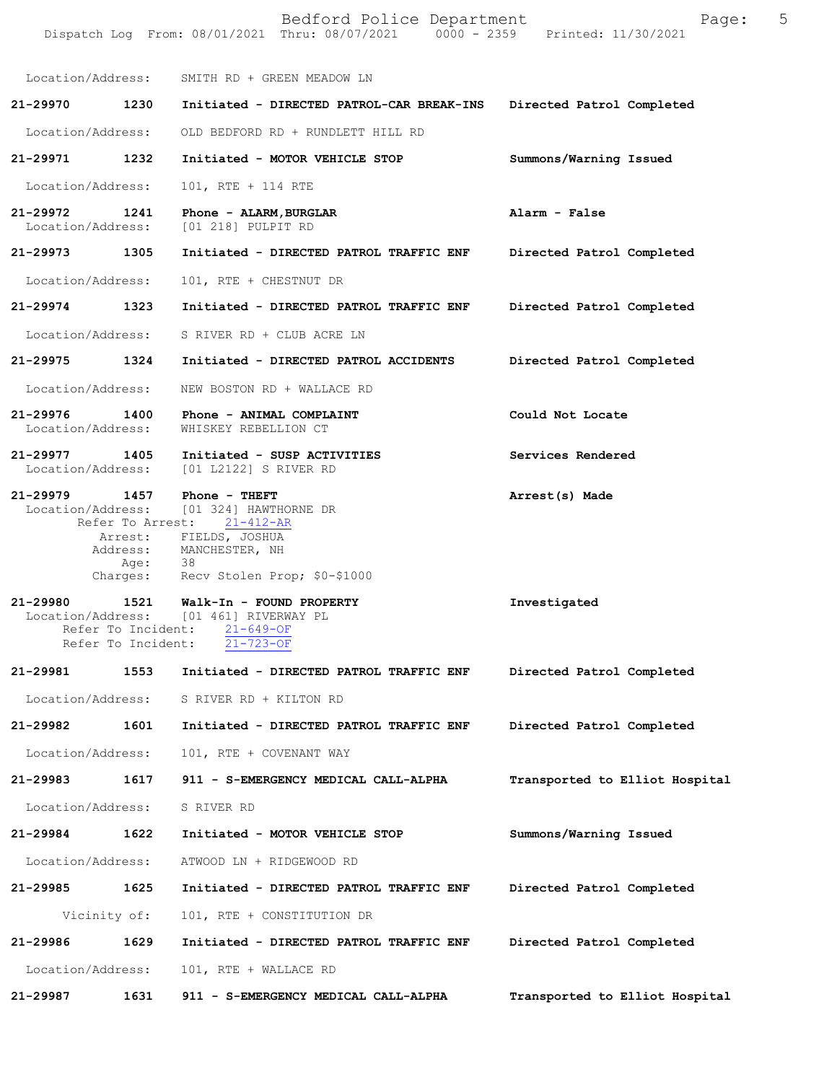|          |                                                  | Bedford Police Department<br>Dispatch Log From: 08/01/2021 Thru: 08/07/2021 0000 - 2359 Printed: 11/30/2021                                                                 | Page:                          | 5 |
|----------|--------------------------------------------------|-----------------------------------------------------------------------------------------------------------------------------------------------------------------------------|--------------------------------|---|
|          | Location/Address:                                | SMITH RD + GREEN MEADOW LN                                                                                                                                                  |                                |   |
| 21-29970 | 1230                                             | Initiated - DIRECTED PATROL-CAR BREAK-INS                                                                                                                                   | Directed Patrol Completed      |   |
|          | Location/Address:                                | OLD BEDFORD RD + RUNDLETT HILL RD                                                                                                                                           |                                |   |
| 21-29971 | 1232                                             | Initiated - MOTOR VEHICLE STOP                                                                                                                                              | Summons/Warning Issued         |   |
|          | Location/Address:                                | 101, RTE + 114 RTE                                                                                                                                                          |                                |   |
| 21-29972 | 1241<br>Location/Address:                        | Phone - ALARM, BURGLAR<br>[01 218] PULPIT RD                                                                                                                                | Alarm - False                  |   |
| 21-29973 | 1305                                             | Initiated - DIRECTED PATROL TRAFFIC ENF                                                                                                                                     | Directed Patrol Completed      |   |
|          | Location/Address:                                | 101, RTE + CHESTNUT DR                                                                                                                                                      |                                |   |
|          | 21-29974 1323                                    | Initiated - DIRECTED PATROL TRAFFIC ENF                                                                                                                                     | Directed Patrol Completed      |   |
|          | Location/Address:                                | S RIVER RD + CLUB ACRE LN                                                                                                                                                   |                                |   |
|          | 21-29975 1324                                    | Initiated - DIRECTED PATROL ACCIDENTS                                                                                                                                       | Directed Patrol Completed      |   |
|          | Location/Address:                                | NEW BOSTON RD + WALLACE RD                                                                                                                                                  |                                |   |
|          | 21-29976 1400<br>Location/Address:               | Phone - ANIMAL COMPLAINT<br>WHISKEY REBELLION CT                                                                                                                            | Could Not Locate               |   |
|          | 21-29977 1405<br>Location/Address:               | Initiated - SUSP ACTIVITIES<br>[01 L2122] S RIVER RD                                                                                                                        | Services Rendered              |   |
|          | 21-29979 1457<br>Address:<br>Age: 38             | Phone - THEFT<br>Location/Address: [01 324] HAWTHORNE DR<br>Refer To Arrest: 21-412-AR<br>Arrest: FIELDS, JOSHUA<br>MANCHESTER, NH<br>Charges: Recv Stolen Prop; \$0-\$1000 | Arrest(s) Made                 |   |
| 21-29980 | 1521<br>Refer To Incident:<br>Refer To Incident: | Walk-In - FOUND PROPERTY<br>Location/Address: [01 461] RIVERWAY PL<br>$21 - 649 - OF$<br>$21 - 723 - OF$                                                                    | Investigated                   |   |
| 21-29981 | 1553                                             | Initiated - DIRECTED PATROL TRAFFIC ENF                                                                                                                                     | Directed Patrol Completed      |   |
|          | Location/Address:                                | S RIVER RD + KILTON RD                                                                                                                                                      |                                |   |
| 21-29982 | 1601                                             | Initiated - DIRECTED PATROL TRAFFIC ENF                                                                                                                                     | Directed Patrol Completed      |   |
|          | Location/Address:                                | 101, RTE + COVENANT WAY                                                                                                                                                     |                                |   |
| 21-29983 | 1617                                             | 911 - S-EMERGENCY MEDICAL CALL-ALPHA                                                                                                                                        | Transported to Elliot Hospital |   |
|          | Location/Address:                                | S RIVER RD                                                                                                                                                                  |                                |   |
| 21-29984 | 1622                                             | Initiated - MOTOR VEHICLE STOP                                                                                                                                              | Summons/Warning Issued         |   |
|          | Location/Address:                                | ATWOOD LN + RIDGEWOOD RD                                                                                                                                                    |                                |   |
| 21-29985 | 1625                                             | Initiated - DIRECTED PATROL TRAFFIC ENF                                                                                                                                     | Directed Patrol Completed      |   |
|          | Vicinity of:                                     | 101, RTE + CONSTITUTION DR                                                                                                                                                  |                                |   |
| 21-29986 | 1629                                             | Initiated - DIRECTED PATROL TRAFFIC ENF                                                                                                                                     | Directed Patrol Completed      |   |
|          | Location/Address:                                | 101, RTE + WALLACE RD                                                                                                                                                       |                                |   |
| 21-29987 | 1631                                             | 911 - S-EMERGENCY MEDICAL CALL-ALPHA                                                                                                                                        | Transported to Elliot Hospital |   |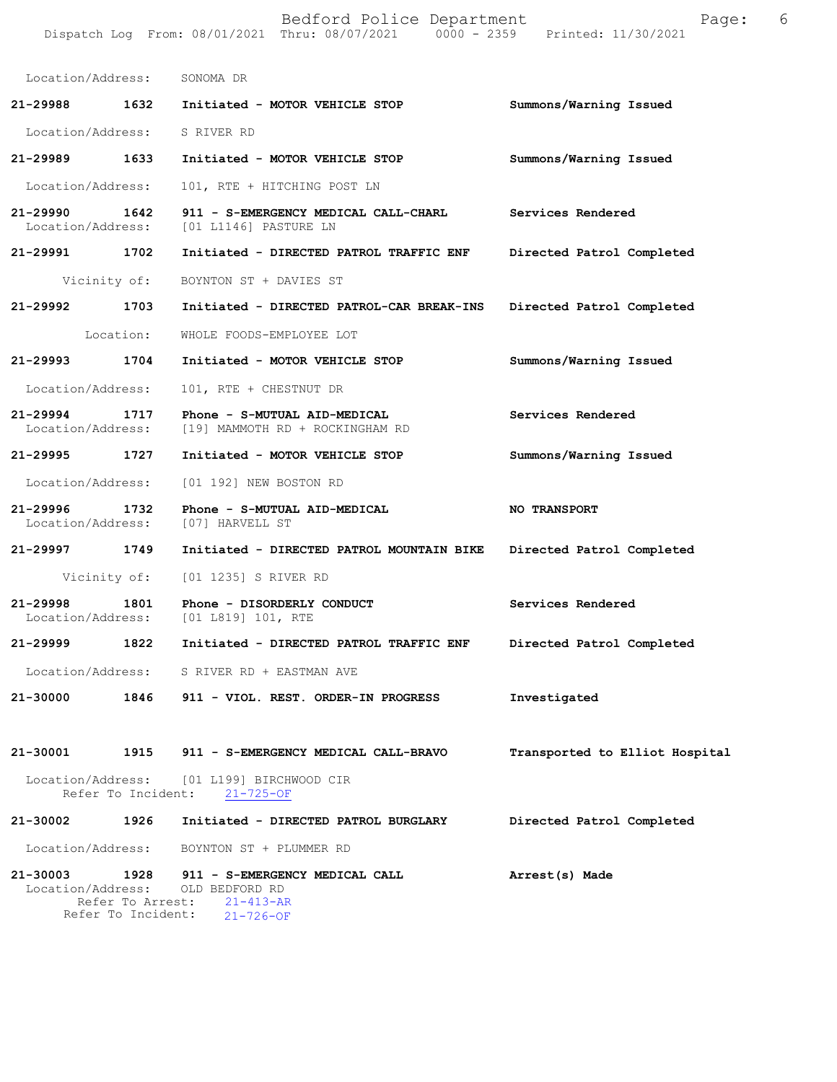|                                    |                                        | Bedford Police Department<br>Dispatch Log From: 08/01/2021 Thru: 08/07/2021 0000 - 2359 Printed: 11/30/2021 | Page:                          | 6 |
|------------------------------------|----------------------------------------|-------------------------------------------------------------------------------------------------------------|--------------------------------|---|
| Location/Address: SONOMA DR        |                                        |                                                                                                             |                                |   |
|                                    |                                        | 21-29988 1632 Initiated - MOTOR VEHICLE STOP                                                                | Summons/Warning Issued         |   |
| Location/Address: S RIVER RD       |                                        |                                                                                                             |                                |   |
| 21-29989 1633                      |                                        | Initiated - MOTOR VEHICLE STOP                                                                              | Summons/Warning Issued         |   |
| Location/Address:                  |                                        | 101, RTE + HITCHING POST LN                                                                                 |                                |   |
| Location/Address:                  |                                        | 21-29990 1642 911 - S-EMERGENCY MEDICAL CALL-CHARL Services Rendered<br>[01 L1146] PASTURE LN               |                                |   |
| 21-29991 1702                      |                                        | Initiated - DIRECTED PATROL TRAFFIC ENF                                                                     | Directed Patrol Completed      |   |
|                                    |                                        | Vicinity of: BOYNTON ST + DAVIES ST                                                                         |                                |   |
| 21-29992 1703                      |                                        | Initiated - DIRECTED PATROL-CAR BREAK-INS                                                                   | Directed Patrol Completed      |   |
|                                    | Location:                              | WHOLE FOODS-EMPLOYEE LOT                                                                                    |                                |   |
| 21-29993 1704                      |                                        | Initiated - MOTOR VEHICLE STOP                                                                              | Summons/Warning Issued         |   |
| Location/Address:                  |                                        | 101, RTE + CHESTNUT DR                                                                                      |                                |   |
| 21-29994 1717<br>Location/Address: |                                        | Phone - S-MUTUAL AID-MEDICAL<br>[19] MAMMOTH RD + ROCKINGHAM RD                                             | Services Rendered              |   |
| 21-29995 1727                      |                                        | Initiated - MOTOR VEHICLE STOP                                                                              | Summons/Warning Issued         |   |
| Location/Address:                  |                                        | [01 192] NEW BOSTON RD                                                                                      |                                |   |
| 21-29996 1732<br>Location/Address: |                                        | Phone - S-MUTUAL AID-MEDICAL<br>[07] HARVELL ST                                                             | <b>NO TRANSPORT</b>            |   |
| 21-29997 1749                      |                                        | Initiated - DIRECTED PATROL MOUNTAIN BIKE Directed Patrol Completed                                         |                                |   |
|                                    |                                        | Vicinity of: [01 1235] S RIVER RD                                                                           |                                |   |
| 21-29998<br>Location/Address:      | 1801                                   | Phone - DISORDERLY CONDUCT<br>[01 L819] 101, RTE                                                            | Services Rendered              |   |
| 21-29999                           | 1822                                   | Initiated - DIRECTED PATROL TRAFFIC ENF                                                                     | Directed Patrol Completed      |   |
| Location/Address:                  |                                        | S RIVER RD + EASTMAN AVE                                                                                    |                                |   |
| 21-30000                           |                                        | 1846 911 - VIOL. REST. ORDER-IN PROGRESS                                                                    | Investigated                   |   |
| 21-30001                           |                                        | 1915 911 - S-EMERGENCY MEDICAL CALL-BRAVO                                                                   | Transported to Elliot Hospital |   |
| Location/Address:                  | Refer To Incident:                     | [01 L199] BIRCHWOOD CIR<br>$21 - 725 - OF$                                                                  |                                |   |
| 21-30002                           | 1926                                   | Initiated - DIRECTED PATROL BURGLARY                                                                        | Directed Patrol Completed      |   |
| Location/Address:                  |                                        | BOYNTON ST + PLUMMER RD                                                                                     |                                |   |
| 21-30003<br>Location/Address:      | Refer To Arrest:<br>Refer To Incident: | 1928 911 - S-EMERGENCY MEDICAL CALL<br>OLD BEDFORD RD<br>$21 - 413 - AR$<br>$21 - 726 - OF$                 | Arrest(s) Made                 |   |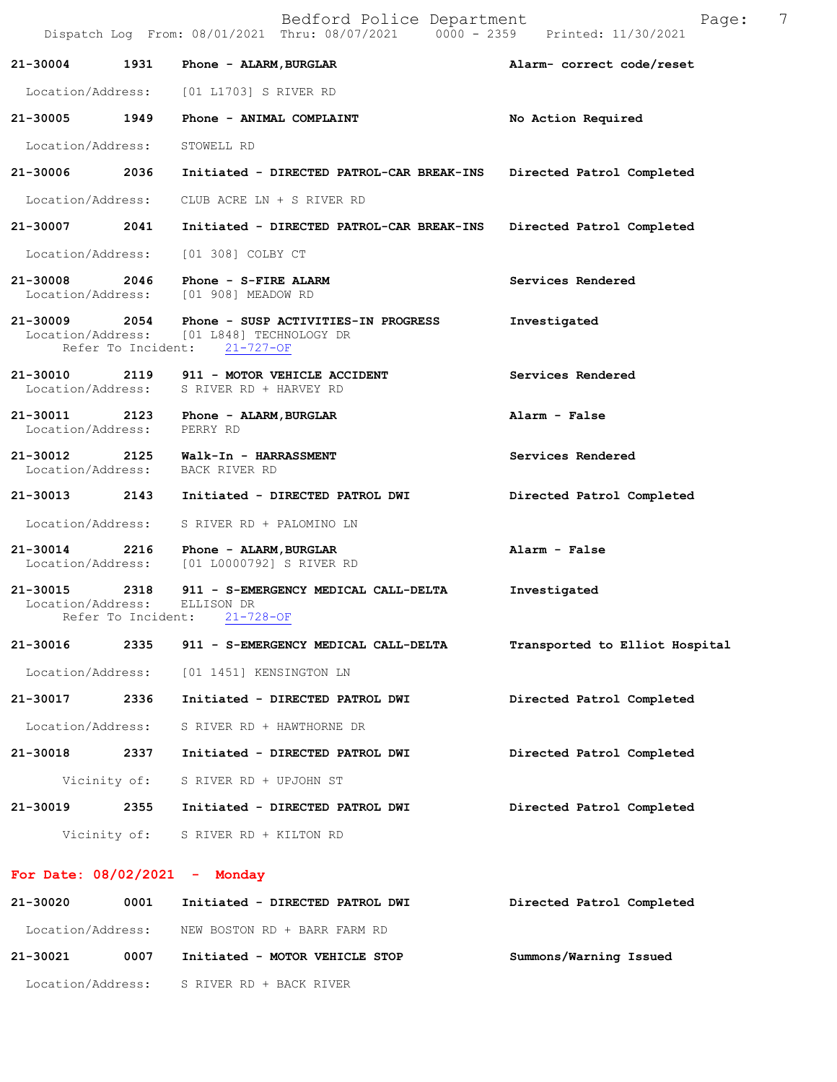|                                 |                            | Bedford Police Department<br>Dispatch Log From: 08/01/2021 Thru: 08/07/2021 0000 - 2359 Printed: 11/30/2021 | 7<br>Page:                     |
|---------------------------------|----------------------------|-------------------------------------------------------------------------------------------------------------|--------------------------------|
| 21-30004                        | 1931                       | Phone - ALARM, BURGLAR                                                                                      | Alarm- correct code/reset      |
| Location/Address:               |                            | [01 L1703] S RIVER RD                                                                                       |                                |
| 21-30005                        | 1949                       | Phone - ANIMAL COMPLAINT                                                                                    | No Action Required             |
| Location/Address:               |                            | STOWELL RD                                                                                                  |                                |
| 21-30006                        | 2036                       | Initiated - DIRECTED PATROL-CAR BREAK-INS                                                                   | Directed Patrol Completed      |
| Location/Address:               |                            | CLUB ACRE LN + S RIVER RD                                                                                   |                                |
| 21-30007                        | 2041                       | Initiated - DIRECTED PATROL-CAR BREAK-INS                                                                   | Directed Patrol Completed      |
| Location/Address:               |                            | [01 308] COLBY CT                                                                                           |                                |
| 21-30008 2046                   |                            | Phone - S-FIRE ALARM<br>Location/Address: [01 908] MEADOW RD                                                | Services Rendered              |
| 21-30009<br>Location/Address:   | 2054                       | Phone - SUSP ACTIVITIES-IN PROGRESS<br>[01 L848] TECHNOLOGY DR<br>Refer To Incident: 21-727-OF              | Investigated                   |
| 21-30010<br>Location/Address:   | 2119                       | 911 - MOTOR VEHICLE ACCIDENT<br>S RIVER RD + HARVEY RD                                                      | Services Rendered              |
| 21-30011<br>Location/Address:   | 2123                       | Phone - ALARM, BURGLAR<br>PERRY RD                                                                          | Alarm - False                  |
| 21-30012<br>Location/Address:   | 2125                       | Walk-In - HARRASSMENT<br>BACK RIVER RD                                                                      | Services Rendered              |
| 21-30013 2143                   |                            | Initiated - DIRECTED PATROL DWI                                                                             | Directed Patrol Completed      |
| Location/Address:               |                            | S RIVER RD + PALOMINO LN                                                                                    |                                |
| 21-30014<br>Location/Address:   | 2216                       | Phone - ALARM, BURGLAR<br>[01 L0000792] S RIVER RD                                                          | Alarm - False                  |
| 21-30015<br>Location/Address:   | 2318<br>Refer To Incident: | 911 - S-EMERGENCY MEDICAL CALL-DELTA<br>ELLISON DR<br>$21 - 728 - OF$                                       | Investigated                   |
| 21-30016                        | 2335                       | 911 - S-EMERGENCY MEDICAL CALL-DELTA                                                                        | Transported to Elliot Hospital |
| Location/Address:               |                            | [01 1451] KENSINGTON LN                                                                                     |                                |
| 21-30017                        | 2336                       | Initiated - DIRECTED PATROL DWI                                                                             | Directed Patrol Completed      |
| Location/Address:               |                            | S RIVER RD + HAWTHORNE DR                                                                                   |                                |
| 21-30018                        | 2337                       | Initiated - DIRECTED PATROL DWI                                                                             | Directed Patrol Completed      |
| Vicinity of:                    |                            | S RIVER RD + UPJOHN ST                                                                                      |                                |
| 21-30019                        | 2355                       | Initiated - DIRECTED PATROL DWI                                                                             | Directed Patrol Completed      |
|                                 | Vicinity of:               | S RIVER RD + KILTON RD                                                                                      |                                |
| For Date: $08/02/2021$ - Monday |                            |                                                                                                             |                                |
| 21-30020                        | 0001                       | Initiated - DIRECTED PATROL DWI                                                                             | Directed Patrol Completed      |
| Location/Address:               |                            | NEW BOSTON RD + BARR FARM RD                                                                                |                                |
| 21-30021                        | 0007                       | Initiated - MOTOR VEHICLE STOP                                                                              | Summons/Warning Issued         |

Location/Address: S RIVER RD + BACK RIVER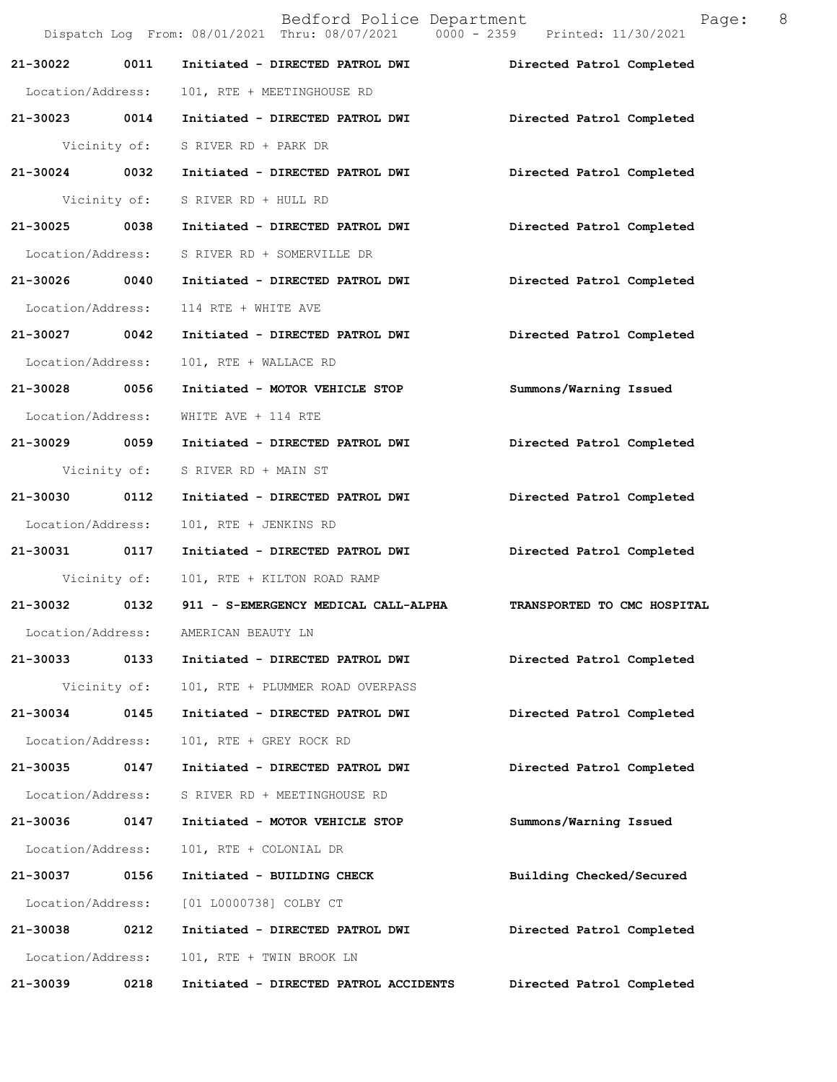|                   |              | Bedford Police Department<br>Dispatch Log From: 08/01/2021 Thru: 08/07/2021 0000 - 2359 Printed: 11/30/2021 | Page:                       | 8 |
|-------------------|--------------|-------------------------------------------------------------------------------------------------------------|-----------------------------|---|
| 21-30022          | 0011         | Initiated - DIRECTED PATROL DWI                                                                             | Directed Patrol Completed   |   |
| Location/Address: |              | 101, RTE + MEETINGHOUSE RD                                                                                  |                             |   |
| 21-30023 0014     |              | Initiated - DIRECTED PATROL DWI                                                                             | Directed Patrol Completed   |   |
|                   |              | Vicinity of: S RIVER RD + PARK DR                                                                           |                             |   |
| 21-30024 0032     |              | Initiated - DIRECTED PATROL DWI Directed Patrol Completed                                                   |                             |   |
|                   |              | Vicinity of: S RIVER RD + HULL RD                                                                           |                             |   |
| 21-30025 0038     |              | Initiated - DIRECTED PATROL DWI                                                                             | Directed Patrol Completed   |   |
| Location/Address: |              | S RIVER RD + SOMERVILLE DR                                                                                  |                             |   |
| 21-30026 0040     |              | Initiated - DIRECTED PATROL DWI                                                                             | Directed Patrol Completed   |   |
| Location/Address: |              | 114 RTE + WHITE AVE                                                                                         |                             |   |
| 21-30027 0042     |              | Initiated - DIRECTED PATROL DWI                                                                             | Directed Patrol Completed   |   |
| Location/Address: |              | 101, RTE + WALLACE RD                                                                                       |                             |   |
| 21-30028 0056     |              | Initiated - MOTOR VEHICLE STOP                                                                              | Summons/Warning Issued      |   |
| Location/Address: |              | WHITE AVE + 114 RTE                                                                                         |                             |   |
| 21-30029 0059     |              | Initiated - DIRECTED PATROL DWI                                                                             | Directed Patrol Completed   |   |
|                   |              | Vicinity of: S RIVER RD + MAIN ST                                                                           |                             |   |
| 21-30030 0112     |              | Initiated - DIRECTED PATROL DWI                                                                             | Directed Patrol Completed   |   |
| Location/Address: |              | 101, RTE + JENKINS RD                                                                                       |                             |   |
| 21-30031 0117     |              | Initiated - DIRECTED PATROL DWI                                                                             | Directed Patrol Completed   |   |
| Vicinity of:      |              | 101, RTE + KILTON ROAD RAMP                                                                                 |                             |   |
| 21-30032          | 0132         | 911 - S-EMERGENCY MEDICAL CALL-ALPHA                                                                        | TRANSPORTED TO CMC HOSPITAL |   |
| Location/Address: |              | AMERICAN BEAUTY LN                                                                                          |                             |   |
| 21-30033          | 0133         | Initiated - DIRECTED PATROL DWI                                                                             | Directed Patrol Completed   |   |
|                   | Vicinity of: | 101, RTE + PLUMMER ROAD OVERPASS                                                                            |                             |   |
| 21-30034          | 0145         | Initiated - DIRECTED PATROL DWI                                                                             | Directed Patrol Completed   |   |
| Location/Address: |              | 101, RTE + GREY ROCK RD                                                                                     |                             |   |
| 21-30035          | 0147         | Initiated - DIRECTED PATROL DWI                                                                             | Directed Patrol Completed   |   |
| Location/Address: |              | S RIVER RD + MEETINGHOUSE RD                                                                                |                             |   |
| 21-30036          | 0147         | Initiated - MOTOR VEHICLE STOP                                                                              | Summons/Warning Issued      |   |
| Location/Address: |              | 101, RTE + COLONIAL DR                                                                                      |                             |   |
| 21-30037          | 0156         | Initiated - BUILDING CHECK                                                                                  | Building Checked/Secured    |   |
| Location/Address: |              | [01 L0000738] COLBY CT                                                                                      |                             |   |
| 21-30038          | 0212         | Initiated - DIRECTED PATROL DWI                                                                             | Directed Patrol Completed   |   |
| Location/Address: |              | 101, RTE + TWIN BROOK LN                                                                                    |                             |   |
| 21-30039          | 0218         | Initiated - DIRECTED PATROL ACCIDENTS                                                                       | Directed Patrol Completed   |   |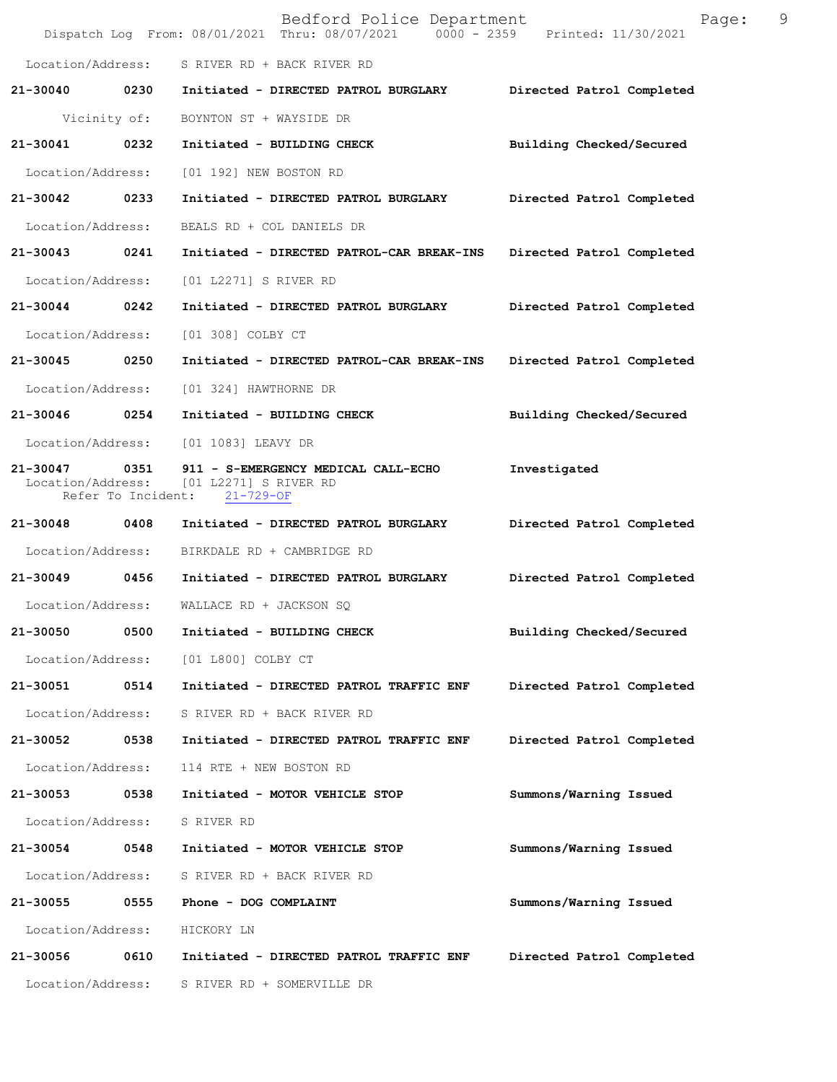|                   |              | Bedford Police Department<br>Dispatch Log From: 08/01/2021 Thru: 08/07/2021   0000 - 2359   Printed: 11/30/2021              | Page:                     | 9 |
|-------------------|--------------|------------------------------------------------------------------------------------------------------------------------------|---------------------------|---|
|                   |              | Location/Address: S RIVER RD + BACK RIVER RD                                                                                 |                           |   |
|                   |              | 21-30040 0230 Initiated - DIRECTED PATROL BURGLARY Directed Patrol Completed                                                 |                           |   |
|                   | Vicinity of: | BOYNTON ST + WAYSIDE DR                                                                                                      |                           |   |
| 21-30041 0232     |              | Initiated - BUILDING CHECK                                                                                                   | Building Checked/Secured  |   |
| Location/Address: |              | [01 192] NEW BOSTON RD                                                                                                       |                           |   |
| 21-30042 0233     |              | Initiated - DIRECTED PATROL BURGLARY                                                                                         | Directed Patrol Completed |   |
|                   |              | Location/Address: BEALS RD + COL DANIELS DR                                                                                  |                           |   |
| 21-30043          | 0241         | Initiated - DIRECTED PATROL-CAR BREAK-INS Directed Patrol Completed                                                          |                           |   |
| Location/Address: |              | [01 L2271] S RIVER RD                                                                                                        |                           |   |
| 21-30044 0242     |              | Initiated - DIRECTED PATROL BURGLARY                                                                                         | Directed Patrol Completed |   |
| Location/Address: |              | [01 308] COLBY CT                                                                                                            |                           |   |
| 21-30045 0250     |              | Initiated - DIRECTED PATROL-CAR BREAK-INS Directed Patrol Completed                                                          |                           |   |
| Location/Address: |              | [01 324] HAWTHORNE DR                                                                                                        |                           |   |
| 21-30046 0254     |              | Initiated - BUILDING CHECK                                                                                                   | Building Checked/Secured  |   |
|                   |              | Location/Address: [01 1083] LEAVY DR                                                                                         |                           |   |
|                   |              | 21-30047 0351 911 - S-EMERGENCY MEDICAL CALL-ECHO<br>Location/Address: [01 L2271] S RIVER RD<br>Refer To Incident: 21-729-OF | Investigated              |   |
| 21-30048 0408     |              | Initiated - DIRECTED PATROL BURGLARY                                                                                         | Directed Patrol Completed |   |
|                   |              | Location/Address: BIRKDALE RD + CAMBRIDGE RD                                                                                 |                           |   |
|                   |              | 21-30049 0456 Initiated - DIRECTED PATROL BURGLARY                                                                           | Directed Patrol Completed |   |
|                   |              | Location/Address: WALLACE RD + JACKSON SQ                                                                                    |                           |   |
| 21-30050          | 0500         | Initiated - BUILDING CHECK                                                                                                   | Building Checked/Secured  |   |
| Location/Address: |              | [01 L800] COLBY CT                                                                                                           |                           |   |
| 21-30051          | 0514         | Initiated - DIRECTED PATROL TRAFFIC ENF                                                                                      | Directed Patrol Completed |   |
| Location/Address: |              | S RIVER RD + BACK RIVER RD                                                                                                   |                           |   |
| 21-30052          | 0538         | Initiated - DIRECTED PATROL TRAFFIC ENF                                                                                      | Directed Patrol Completed |   |
| Location/Address: |              | 114 RTE + NEW BOSTON RD                                                                                                      |                           |   |
| 21-30053          | 0538         | Initiated - MOTOR VEHICLE STOP                                                                                               | Summons/Warning Issued    |   |
| Location/Address: |              | S RIVER RD                                                                                                                   |                           |   |
| 21-30054          | 0548         | Initiated - MOTOR VEHICLE STOP                                                                                               | Summons/Warning Issued    |   |
| Location/Address: |              | S RIVER RD + BACK RIVER RD                                                                                                   |                           |   |
| 21-30055          | 0555         | Phone - DOG COMPLAINT                                                                                                        | Summons/Warning Issued    |   |
| Location/Address: |              | HICKORY LN                                                                                                                   |                           |   |
| 21-30056          | 0610         | Initiated - DIRECTED PATROL TRAFFIC ENF                                                                                      | Directed Patrol Completed |   |
| Location/Address: |              | S RIVER RD + SOMERVILLE DR                                                                                                   |                           |   |
|                   |              |                                                                                                                              |                           |   |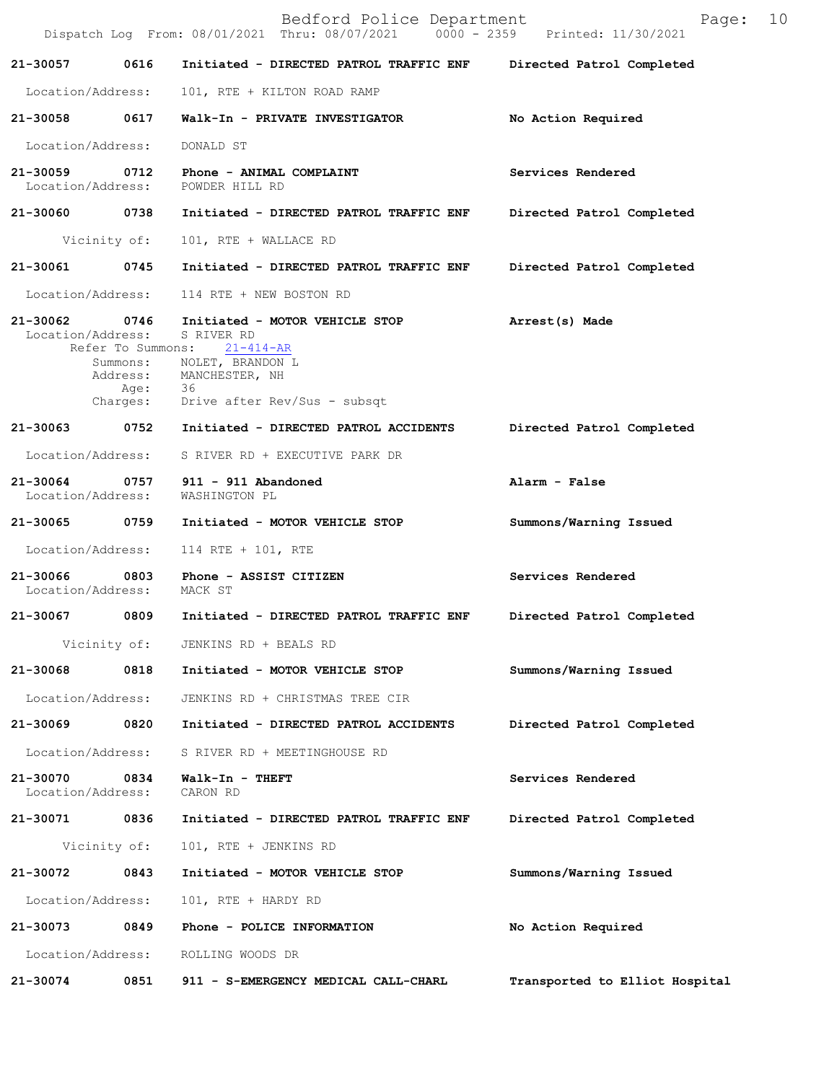|                                    |                  | Bedford Police Department<br>Dispatch Log From: 08/01/2021 Thru: 08/07/2021 0000 - 2359 Printed: 11/30/2021                                                               | 10<br>Page:                    |
|------------------------------------|------------------|---------------------------------------------------------------------------------------------------------------------------------------------------------------------------|--------------------------------|
| 21-30057                           | 0616             | Initiated - DIRECTED PATROL TRAFFIC ENF                                                                                                                                   | Directed Patrol Completed      |
| Location/Address:                  |                  | 101, RTE + KILTON ROAD RAMP                                                                                                                                               |                                |
| 21-30058 0617                      |                  | Walk-In - PRIVATE INVESTIGATOR                                                                                                                                            | No Action Required             |
| Location/Address:                  |                  | DONALD ST                                                                                                                                                                 |                                |
| $21 - 30059$<br>Location/Address:  | 0712             | Phone - ANIMAL COMPLAINT<br>POWDER HILL RD                                                                                                                                | Services Rendered              |
| 21-30060 0738                      |                  | Initiated - DIRECTED PATROL TRAFFIC ENF                                                                                                                                   | Directed Patrol Completed      |
|                                    | Vicinity of:     | 101, RTE + WALLACE RD                                                                                                                                                     |                                |
| 21-30061                           | 0745             | Initiated - DIRECTED PATROL TRAFFIC ENF                                                                                                                                   | Directed Patrol Completed      |
| Location/Address:                  |                  | 114 RTE + NEW BOSTON RD                                                                                                                                                   |                                |
| 21-30062 0746<br>Location/Address: | Address:<br>Age: | Initiated - MOTOR VEHICLE STOP<br>S RIVER RD<br>Refer To Summons: 21-414-AR<br>Summons: NOLET, BRANDON L<br>MANCHESTER, NH<br>36<br>Charges: Drive after Rev/Sus - subsqt | Arrest(s) Made                 |
|                                    |                  | 21-30063 0752 Initiated - DIRECTED PATROL ACCIDENTS                                                                                                                       | Directed Patrol Completed      |
| Location/Address:                  |                  | S RIVER RD + EXECUTIVE PARK DR                                                                                                                                            |                                |
| 21-30064<br>Location/Address:      |                  | 0757 911 - 911 Abandoned<br>WASHINGTON PL                                                                                                                                 | Alarm - False                  |
| 21-30065 0759                      |                  | Initiated - MOTOR VEHICLE STOP                                                                                                                                            | Summons/Warning Issued         |
| Location/Address:                  |                  | 114 RTE + 101, RTE                                                                                                                                                        |                                |
| 21-30066<br>Location/Address:      | 0803             | Phone - ASSIST CITIZEN<br>MACK ST                                                                                                                                         | Services Rendered              |
| 21-30067                           | 0809             | Initiated - DIRECTED PATROL TRAFFIC ENF                                                                                                                                   | Directed Patrol Completed      |
|                                    | Vicinity of:     | JENKINS RD + BEALS RD                                                                                                                                                     |                                |
| 21-30068                           | 0818             | Initiated - MOTOR VEHICLE STOP                                                                                                                                            | Summons/Warning Issued         |
| Location/Address:                  |                  | JENKINS RD + CHRISTMAS TREE CIR                                                                                                                                           |                                |
| 21-30069                           | 0820             | Initiated - DIRECTED PATROL ACCIDENTS                                                                                                                                     | Directed Patrol Completed      |
| Location/Address:                  |                  | S RIVER RD + MEETINGHOUSE RD                                                                                                                                              |                                |
| 21-30070<br>Location/Address:      | 0834             | Walk-In - THEFT<br>CARON RD                                                                                                                                               | Services Rendered              |
| 21-30071                           | 0836             | Initiated - DIRECTED PATROL TRAFFIC ENF                                                                                                                                   | Directed Patrol Completed      |
|                                    | Vicinity of:     | 101, RTE + JENKINS RD                                                                                                                                                     |                                |
| 21-30072                           | 0843             | Initiated - MOTOR VEHICLE STOP                                                                                                                                            | Summons/Warning Issued         |
| Location/Address:                  |                  | 101, RTE + HARDY RD                                                                                                                                                       |                                |
| 21-30073                           | 0849             | Phone - POLICE INFORMATION                                                                                                                                                | No Action Required             |
| Location/Address:                  |                  | ROLLING WOODS DR                                                                                                                                                          |                                |
| 21-30074                           | 0851             | 911 - S-EMERGENCY MEDICAL CALL-CHARL                                                                                                                                      | Transported to Elliot Hospital |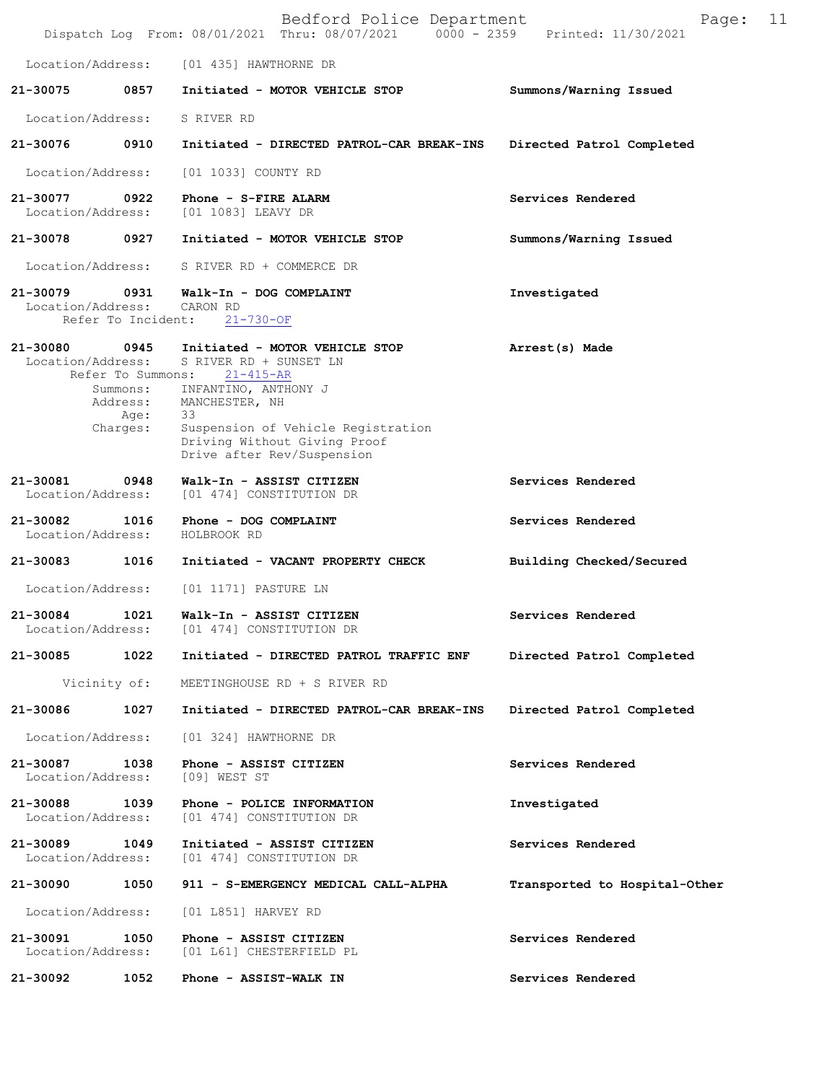|                               |                              | Bedford Police Department<br>Dispatch Log From: 08/01/2021 Thru: 08/07/2021 0000 - 2359          | 11<br>Page:<br>Printed: 11/30/2021 |
|-------------------------------|------------------------------|--------------------------------------------------------------------------------------------------|------------------------------------|
| Location/Address:             |                              | [01 435] HAWTHORNE DR                                                                            |                                    |
| 21-30075                      | 0857                         | Initiated - MOTOR VEHICLE STOP                                                                   | Summons/Warning Issued             |
| Location/Address:             |                              | S RIVER RD                                                                                       |                                    |
| 21-30076                      | 0910                         | Initiated - DIRECTED PATROL-CAR BREAK-INS                                                        | Directed Patrol Completed          |
| Location/Address:             |                              | [01 1033] COUNTY RD                                                                              |                                    |
| 21-30077<br>Location/Address: | 0922                         | Phone - S-FIRE ALARM<br>[01 1083] LEAVY DR                                                       | Services Rendered                  |
| 21-30078                      | 0927                         | Initiated - MOTOR VEHICLE STOP                                                                   | Summons/Warning Issued             |
| Location/Address:             |                              | S RIVER RD + COMMERCE DR                                                                         |                                    |
| 21-30079<br>Location/Address: | 0931<br>Refer To Incident:   | Walk-In - DOG COMPLAINT<br>CARON RD<br>$21 - 730 - OF$                                           | Investigated                       |
| 21-30080<br>Location/Address: | 0945<br>Refer To Summons:    | Initiated - MOTOR VEHICLE STOP<br>S RIVER RD + SUNSET LN<br>$21 - 415 - AR$                      | Arrest(s) Made                     |
|                               | Summons:<br>Address:<br>Age: | INFANTINO, ANTHONY J<br>MANCHESTER, NH<br>33                                                     |                                    |
|                               | Charges:                     | Suspension of Vehicle Registration<br>Driving Without Giving Proof<br>Drive after Rev/Suspension |                                    |
| 21-30081<br>Location/Address: | 0948                         | Walk-In - ASSIST CITIZEN<br>[01 474] CONSTITUTION DR                                             | Services Rendered                  |
| 21-30082<br>Location/Address: | 1016                         | Phone - DOG COMPLAINT<br>HOLBROOK RD                                                             | Services Rendered                  |
| 21-30083                      | 1016                         | Initiated - VACANT PROPERTY CHECK                                                                | Building Checked/Secured           |
| Location/Address:             |                              | [01 1171] PASTURE LN                                                                             |                                    |
| 21-30084<br>Location/Address: | 1021                         | Walk-In - ASSIST CITIZEN<br>[01 474] CONSTITUTION DR                                             | Services Rendered                  |
| 21-30085                      | 1022                         | Initiated - DIRECTED PATROL TRAFFIC ENF                                                          | Directed Patrol Completed          |
|                               | Vicinity of:                 | MEETINGHOUSE RD + S RIVER RD                                                                     |                                    |
| 21-30086                      | 1027                         | Initiated - DIRECTED PATROL-CAR BREAK-INS                                                        | Directed Patrol Completed          |
| Location/Address:             |                              | [01 324] HAWTHORNE DR                                                                            |                                    |
| 21-30087<br>Location/Address: | 1038                         | Phone - ASSIST CITIZEN<br>$[09]$ WEST ST                                                         | Services Rendered                  |
| 21-30088<br>Location/Address: | 1039                         | Phone - POLICE INFORMATION<br>[01 474] CONSTITUTION DR                                           | Investigated                       |
| 21-30089<br>Location/Address: | 1049                         | Initiated - ASSIST CITIZEN<br>[01 474] CONSTITUTION DR                                           | Services Rendered                  |
| 21-30090                      | 1050                         | 911 - S-EMERGENCY MEDICAL CALL-ALPHA                                                             | Transported to Hospital-Other      |
| Location/Address:             |                              | [01 L851] HARVEY RD                                                                              |                                    |
| 21-30091<br>Location/Address: | 1050                         | Phone - ASSIST CITIZEN<br>[01 L61] CHESTERFIELD PL                                               | Services Rendered                  |
| 21-30092                      | 1052                         | Phone - ASSIST-WALK IN                                                                           | Services Rendered                  |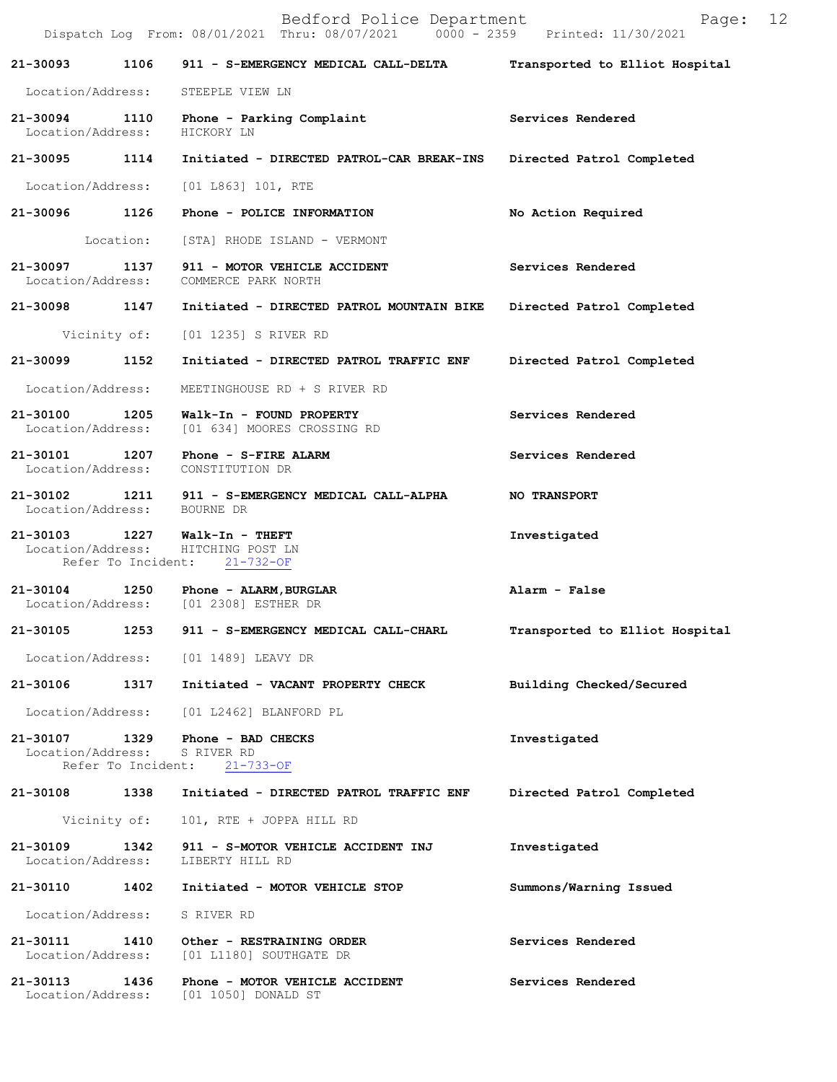|                              |      | Bedford Police Department<br>Dispatch Log From: 08/01/2021 Thru: 08/07/2021 0000 - 2359 Printed: 11/30/2021 | Page: 12                       |  |
|------------------------------|------|-------------------------------------------------------------------------------------------------------------|--------------------------------|--|
|                              |      | 21-30093 1106 911 - S-EMERGENCY MEDICAL CALL-DELTA Transported to Elliot Hospital                           |                                |  |
|                              |      | Location/Address: STEEPLE VIEW LN                                                                           |                                |  |
| Location/Address: HICKORY LN |      | 21-30094 1110 Phone - Parking Complaint                                                                     | Services Rendered              |  |
|                              |      | 21-30095 1114 Initiated - DIRECTED PATROL-CAR BREAK-INS Directed Patrol Completed                           |                                |  |
|                              |      | Location/Address: [01 L863] 101, RTE                                                                        |                                |  |
|                              |      | 21-30096 1126 Phone - POLICE INFORMATION                                                                    | No Action Required             |  |
|                              |      | Location: [STA] RHODE ISLAND - VERMONT                                                                      |                                |  |
|                              |      | 21-30097 1137 911 - MOTOR VEHICLE ACCIDENT<br>Location/Address: COMMERCE PARK NORTH                         | Services Rendered              |  |
|                              |      | 21-30098 1147 Initiated - DIRECTED PATROL MOUNTAIN BIKE Directed Patrol Completed                           |                                |  |
|                              |      | Vicinity of: [01 1235] S RIVER RD                                                                           |                                |  |
|                              |      | 21-30099 1152 Initiated - DIRECTED PATROL TRAFFIC ENF Directed Patrol Completed                             |                                |  |
|                              |      | Location/Address: MEETINGHOUSE RD + S RIVER RD                                                              |                                |  |
|                              |      | 21-30100 1205 Walk-In - FOUND PROPERTY<br>Location/Address: [01 634] MOORES CROSSING RD                     | Services Rendered              |  |
|                              |      | 21-30101 1207 Phone - S-FIRE ALARM<br>Location/Address: CONSTITUTION DR                                     | Services Rendered              |  |
| Location/Address: BOURNE DR  |      | 21-30102 1211 911 - S-EMERGENCY MEDICAL CALL-ALPHA                                                          | <b>NO TRANSPORT</b>            |  |
|                              |      | 21-30103 1227 Walk-In - THEFT<br>Location/Address: HITCHING POST LN<br>Refer To Incident: 21-732-OF         | Investigated                   |  |
|                              |      | 21-30104 1250 Phone - ALARM, BURGLAR<br>Location/Address: [01 2308] ESTHER DR                               | Alarm - False                  |  |
| 21-30105                     | 1253 | 911 - S-EMERGENCY MEDICAL CALL-CHARL                                                                        | Transported to Elliot Hospital |  |
|                              |      | Location/Address: [01 1489] LEAVY DR                                                                        |                                |  |
|                              |      | 21-30106 1317 Initiated - VACANT PROPERTY CHECK                                                             | Building Checked/Secured       |  |
|                              |      | Location/Address: [01 L2462] BLANFORD PL                                                                    |                                |  |
| Location/Address: S RIVER RD |      | 21-30107 1329 Phone - BAD CHECKS<br>Refer To Incident: 21-733-OF                                            | Investigated                   |  |
|                              |      | 21-30108 1338 Initiated - DIRECTED PATROL TRAFFIC ENF Directed Patrol Completed                             |                                |  |
|                              |      | Vicinity of: 101, RTE + JOPPA HILL RD                                                                       |                                |  |
| Location/Address:            |      | 21-30109 1342 911 - S-MOTOR VEHICLE ACCIDENT INJ<br>LIBERTY HILL RD                                         | Investigated                   |  |
|                              |      | 21-30110 1402 Initiated - MOTOR VEHICLE STOP                                                                | Summons/Warning Issued         |  |
| Location/Address: S RIVER RD |      |                                                                                                             |                                |  |
| Location/Address:            |      | 21-30111 1410 Other - RESTRAINING ORDER<br>[01 L1180] SOUTHGATE DR                                          | Services Rendered              |  |
| 21-30113 1436                |      | Phone - MOTOR VEHICLE ACCIDENT<br>Location/Address: [01 1050] DONALD ST                                     | Services Rendered              |  |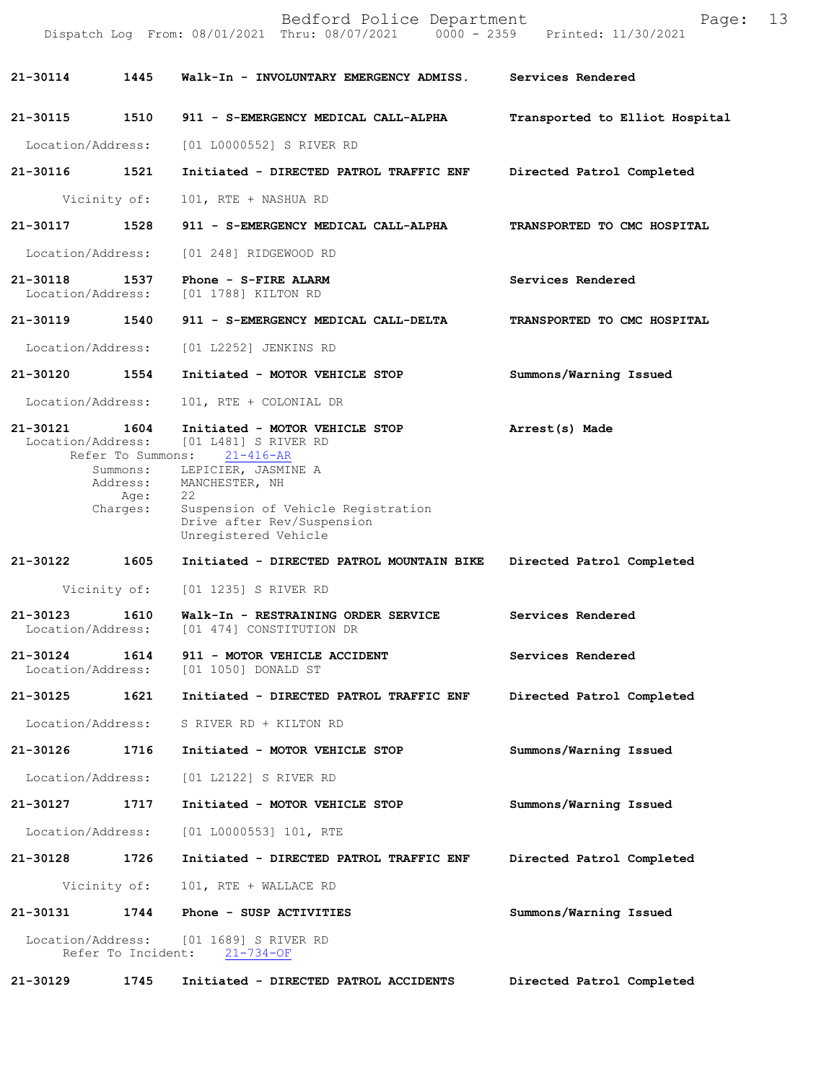|                               |                                          | Bedford Police Department<br>Dispatch Log From: 08/01/2021 Thru: 08/07/2021 0000 - 2359 Printed: 11/30/2021                             | Page:                          | 13 |
|-------------------------------|------------------------------------------|-----------------------------------------------------------------------------------------------------------------------------------------|--------------------------------|----|
| 21-30114                      | 1445                                     | Walk-In - INVOLUNTARY EMERGENCY ADMISS.                                                                                                 | Services Rendered              |    |
| 21-30115                      | 1510                                     | 911 - S-EMERGENCY MEDICAL CALL-ALPHA                                                                                                    | Transported to Elliot Hospital |    |
| Location/Address:             |                                          | [01 L0000552] S RIVER RD                                                                                                                |                                |    |
| 21-30116                      | 1521                                     | Initiated - DIRECTED PATROL TRAFFIC ENF                                                                                                 | Directed Patrol Completed      |    |
|                               | Vicinity of:                             | 101, RTE + NASHUA RD                                                                                                                    |                                |    |
| 21-30117                      | 1528                                     | 911 - S-EMERGENCY MEDICAL CALL-ALPHA                                                                                                    | TRANSPORTED TO CMC HOSPITAL    |    |
| Location/Address:             |                                          | [01 248] RIDGEWOOD RD                                                                                                                   |                                |    |
| 21-30118<br>Location/Address: | 1537                                     | Phone - S-FIRE ALARM<br>[01 1788] KILTON RD                                                                                             | Services Rendered              |    |
| 21-30119                      | 1540                                     | 911 - S-EMERGENCY MEDICAL CALL-DELTA                                                                                                    | TRANSPORTED TO CMC HOSPITAL    |    |
| Location/Address:             |                                          | [01 L2252] JENKINS RD                                                                                                                   |                                |    |
| 21-30120                      | 1554                                     | Initiated - MOTOR VEHICLE STOP                                                                                                          | Summons/Warning Issued         |    |
| Location/Address:             |                                          | 101, RTE + COLONIAL DR                                                                                                                  |                                |    |
| 21-30121<br>Location/Address: | 1604<br>Refer To Summons:                | Initiated - MOTOR VEHICLE STOP<br>[01 L481] S RIVER RD<br>$21 - 416 - AR$                                                               | Arrest(s) Made                 |    |
|                               | Summons:<br>Address:<br>Age:<br>Charges: | LEPICIER, JASMINE A<br>MANCHESTER, NH<br>22<br>Suspension of Vehicle Registration<br>Drive after Rev/Suspension<br>Unregistered Vehicle |                                |    |
| 21-30122                      | 1605                                     | Initiated - DIRECTED PATROL MOUNTAIN BIKE                                                                                               | Directed Patrol Completed      |    |
|                               | Vicinity of:                             | [01 1235] S RIVER RD                                                                                                                    |                                |    |
| 21-30123                      | 1610                                     | Walk-In - RESTRAINING ORDER SERVICE<br>Location/Address: [01 474] CONSTITUTION DR                                                       | Services Rendered              |    |
| 21-30124                      | 1614                                     | 911 - MOTOR VEHICLE ACCIDENT<br>Location/Address: [01 1050] DONALD ST                                                                   | Services Rendered              |    |
| 21-30125                      | 1621                                     | Initiated - DIRECTED PATROL TRAFFIC ENF                                                                                                 | Directed Patrol Completed      |    |
| Location/Address:             |                                          | S RIVER RD + KILTON RD                                                                                                                  |                                |    |
| 21-30126                      | 1716                                     | Initiated - MOTOR VEHICLE STOP                                                                                                          | Summons/Warning Issued         |    |
| Location/Address:             |                                          | [01 L2122] S RIVER RD                                                                                                                   |                                |    |
| 21-30127                      | 1717                                     | Initiated - MOTOR VEHICLE STOP                                                                                                          | Summons/Warning Issued         |    |
| Location/Address:             |                                          | [01 L0000553] 101, RTE                                                                                                                  |                                |    |
| 21-30128 1726                 |                                          | Initiated - DIRECTED PATROL TRAFFIC ENF                                                                                                 | Directed Patrol Completed      |    |
|                               |                                          | Vicinity of: 101, RTE + WALLACE RD                                                                                                      |                                |    |
| 21-30131                      |                                          | 1744 Phone - SUSP ACTIVITIES                                                                                                            | Summons/Warning Issued         |    |
|                               |                                          | Location/Address: [01 1689] S RIVER RD<br>Refer To Incident: 21-734-OF                                                                  |                                |    |
| 21-30129                      | 1745                                     | Initiated - DIRECTED PATROL ACCIDENTS                                                                                                   | Directed Patrol Completed      |    |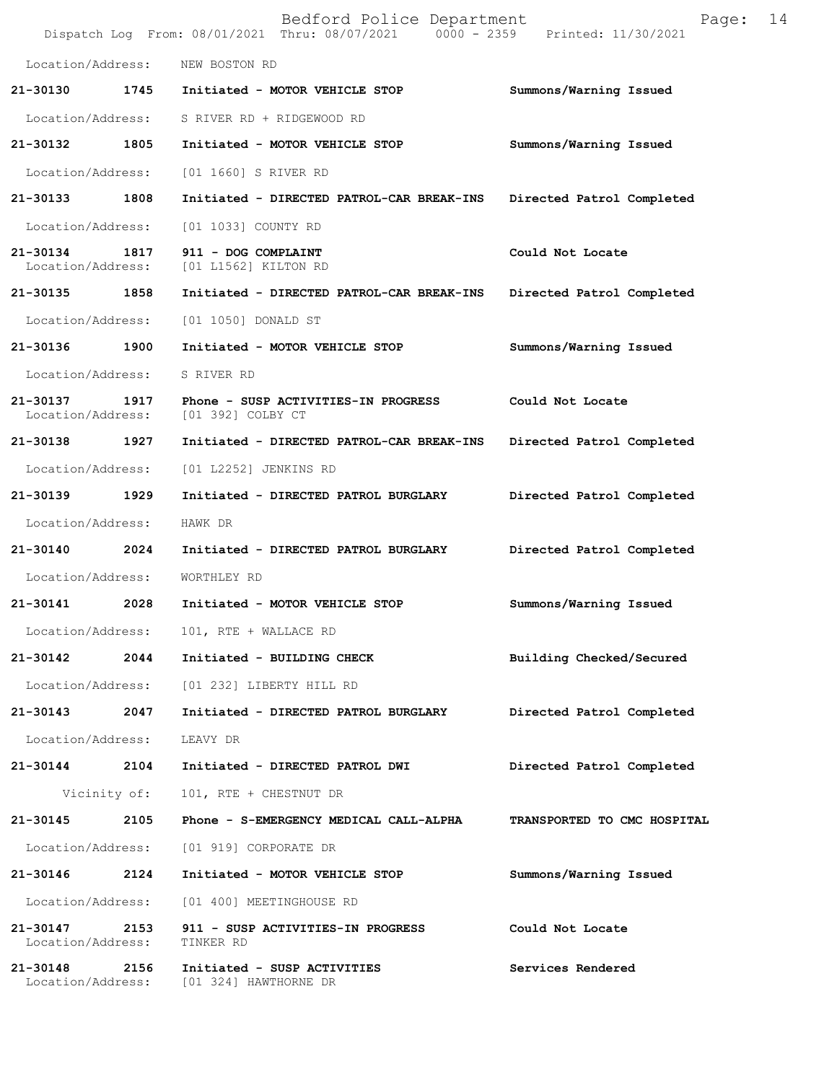|                               |      | Bedford Police Department<br>Dispatch Log From: 08/01/2021 Thru: 08/07/2021 0000 - 2359 Printed: 11/30/2021 | Page:                       | 14 |
|-------------------------------|------|-------------------------------------------------------------------------------------------------------------|-----------------------------|----|
| Location/Address:             |      | NEW BOSTON RD                                                                                               |                             |    |
| 21-30130                      | 1745 | Initiated - MOTOR VEHICLE STOP                                                                              | Summons/Warning Issued      |    |
| Location/Address:             |      | S RIVER RD + RIDGEWOOD RD                                                                                   |                             |    |
| 21-30132                      | 1805 | Initiated - MOTOR VEHICLE STOP                                                                              | Summons/Warning Issued      |    |
| Location/Address:             |      | [01 1660] S RIVER RD                                                                                        |                             |    |
| 21-30133 1808                 |      | Initiated - DIRECTED PATROL-CAR BREAK-INS                                                                   | Directed Patrol Completed   |    |
| Location/Address:             |      | [01 1033] COUNTY RD                                                                                         |                             |    |
| 21-30134<br>Location/Address: | 1817 | 911 - DOG COMPLAINT<br>[01 L1562] KILTON RD                                                                 | Could Not Locate            |    |
| 21-30135 1858                 |      | Initiated - DIRECTED PATROL-CAR BREAK-INS                                                                   | Directed Patrol Completed   |    |
| Location/Address:             |      | [01 1050] DONALD ST                                                                                         |                             |    |
| 21-30136 1900                 |      | Initiated - MOTOR VEHICLE STOP                                                                              | Summons/Warning Issued      |    |
| Location/Address:             |      | S RIVER RD                                                                                                  |                             |    |
| 21-30137<br>Location/Address: | 1917 | Phone - SUSP ACTIVITIES-IN PROGRESS<br>[01 392] COLBY CT                                                    | Could Not Locate            |    |
| 21-30138 1927                 |      | Initiated - DIRECTED PATROL-CAR BREAK-INS                                                                   | Directed Patrol Completed   |    |
| Location/Address:             |      | [01 L2252] JENKINS RD                                                                                       |                             |    |
| 21-30139                      | 1929 | Initiated - DIRECTED PATROL BURGLARY                                                                        | Directed Patrol Completed   |    |
| Location/Address:             |      | HAWK DR                                                                                                     |                             |    |
| 21-30140                      | 2024 | Initiated - DIRECTED PATROL BURGLARY                                                                        | Directed Patrol Completed   |    |
| Location/Address:             |      | WORTHLEY RD                                                                                                 |                             |    |
| 21-30141                      | 2028 | Initiated - MOTOR VEHICLE STOP                                                                              | Summons/Warning Issued      |    |
|                               |      | Location/Address: 101, RTE + WALLACE RD                                                                     |                             |    |
| 21-30142                      |      | 2044 Initiated - BUILDING CHECK                                                                             | Building Checked/Secured    |    |
|                               |      | Location/Address: [01 232] LIBERTY HILL RD                                                                  |                             |    |
|                               |      | 21-30143 2047 Initiated - DIRECTED PATROL BURGLARY                                                          | Directed Patrol Completed   |    |
| Location/Address:             |      | LEAVY DR                                                                                                    |                             |    |
|                               |      | 21-30144 2104 Initiated - DIRECTED PATROL DWI                                                               | Directed Patrol Completed   |    |
|                               |      | Vicinity of: 101, RTE + CHESTNUT DR                                                                         |                             |    |
| 21-30145                      |      | 2105 Phone - S-EMERGENCY MEDICAL CALL-ALPHA                                                                 | TRANSPORTED TO CMC HOSPITAL |    |
|                               |      | Location/Address: [01 919] CORPORATE DR                                                                     |                             |    |
| 21-30146 2124                 |      | Initiated - MOTOR VEHICLE STOP                                                                              | Summons/Warning Issued      |    |
| Location/Address:             |      | [01 400] MEETINGHOUSE RD                                                                                    |                             |    |
| Location/Address:             |      | 21-30147 2153 911 - SUSP ACTIVITIES-IN PROGRESS<br>TINKER RD                                                | Could Not Locate            |    |
| 21-30148 2156                 |      | Initiated - SUSP ACTIVITIES<br>Location/Address: [01 324] HAWTHORNE DR                                      | Services Rendered           |    |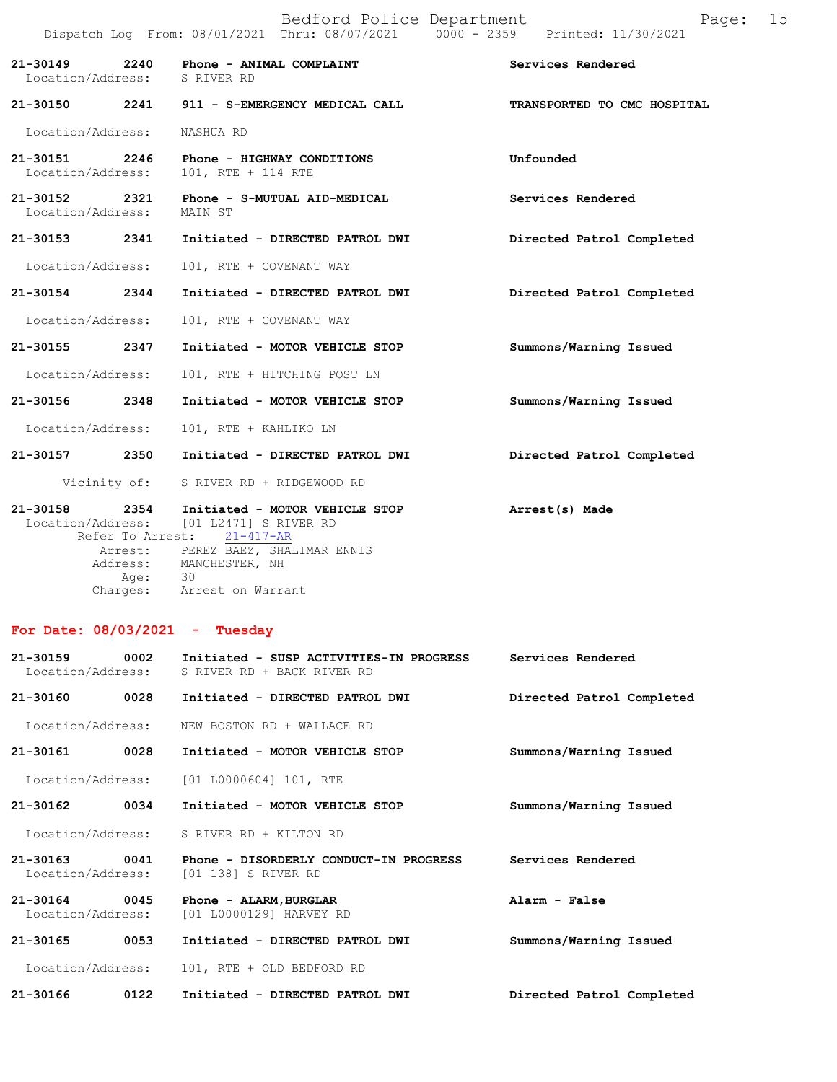|                              |      | Bedford Police Department<br>Dispatch Log From: 08/01/2021 Thru: 08/07/2021   0000 - 2359   Printed: 11/30/2021                                                   |                             | Page: 15 |  |
|------------------------------|------|-------------------------------------------------------------------------------------------------------------------------------------------------------------------|-----------------------------|----------|--|
| Location/Address: S RIVER RD |      | 21-30149 2240 Phone - ANIMAL COMPLAINT                                                                                                                            | Services Rendered           |          |  |
|                              |      | 21-30150 2241 911 - S-EMERGENCY MEDICAL CALL                                                                                                                      | TRANSPORTED TO CMC HOSPITAL |          |  |
| Location/Address:            |      | NASHUA RD                                                                                                                                                         |                             |          |  |
|                              |      | 21-30151 2246 Phone - HIGHWAY CONDITIONS<br>Location/Address: 101, RTE + 114 RTE                                                                                  | Unfounded                   |          |  |
| Location/Address: MAIN ST    |      | 21-30152 2321 Phone - S-MUTUAL AID-MEDICAL                                                                                                                        | Services Rendered           |          |  |
| 21-30153 2341                |      | Initiated - DIRECTED PATROL DWI                                                                                                                                   | Directed Patrol Completed   |          |  |
| Location/Address:            |      | 101, RTE + COVENANT WAY                                                                                                                                           |                             |          |  |
| 21-30154 2344                |      | Initiated - DIRECTED PATROL DWI                                                                                                                                   | Directed Patrol Completed   |          |  |
| Location/Address:            |      | 101, RTE + COVENANT WAY                                                                                                                                           |                             |          |  |
| 21-30155 2347                |      | Initiated - MOTOR VEHICLE STOP                                                                                                                                    | Summons/Warning Issued      |          |  |
| Location/Address:            |      | 101, RTE + HITCHING POST LN                                                                                                                                       |                             |          |  |
| 21-30156 2348                |      | Initiated - MOTOR VEHICLE STOP                                                                                                                                    | Summons/Warning Issued      |          |  |
| Location/Address:            |      | 101, RTE + KAHLIKO LN                                                                                                                                             |                             |          |  |
| 21-30157 2350                |      | Initiated - DIRECTED PATROL DWI                                                                                                                                   | Directed Patrol Completed   |          |  |
|                              |      | Vicinity of: S RIVER RD + RIDGEWOOD RD                                                                                                                            |                             |          |  |
| 21-30158 2354                |      | Initiated - MOTOR VEHICLE STOP The Arrest (s) Made<br>Location/Address: [01 L2471] S RIVER RD<br>Refer To Arrest: 21-417-AR<br>Arrest: PEREZ BAEZ, SHALIMAR ENNIS |                             |          |  |
|                              | Age: | Address: MANCHESTER, NH<br>30                                                                                                                                     |                             |          |  |

## **For Date: 08/03/2021 - Tuesday**

Charges: Arrest on Warrant

| $21 - 30159$<br>Location/Address: | 0002 | Initiated - SUSP ACTIVITIES-IN PROGRESS<br>S RIVER RD + BACK RIVER RD | Services Rendered         |
|-----------------------------------|------|-----------------------------------------------------------------------|---------------------------|
| 21-30160                          | 0028 | Initiated - DIRECTED PATROL DWI                                       | Directed Patrol Completed |
| Location/Address:                 |      | NEW BOSTON RD + WALLACE RD                                            |                           |
| 21-30161                          | 0028 | Initiated - MOTOR VEHICLE STOP                                        | Summons/Warning Issued    |
|                                   |      | Location/Address: [01 L0000604] 101, RTE                              |                           |
| $21 - 30162$                      | 0034 | Initiated - MOTOR VEHICLE STOP                                        | Summons/Warning Issued    |
|                                   |      | Location/Address: S RIVER RD + KILTON RD                              |                           |
| $21 - 30163$<br>Location/Address: | 0041 | Phone - DISORDERLY CONDUCT-IN PROGRESS<br>[01 138] S RIVER RD         | Services Rendered         |
| 21-30164<br>Location/Address:     | 0045 | Phone - ALARM, BURGLAR<br>[01 L0000129] HARVEY RD                     | Alarm - False             |
| 21-30165                          | 0053 | Initiated - DIRECTED PATROL DWI                                       | Summons/Warning Issued    |
| Location/Address:                 |      | 101, RTE + OLD BEDFORD RD                                             |                           |
| 21-30166                          | 0122 | Initiated - DIRECTED PATROL DWI                                       | Directed Patrol Completed |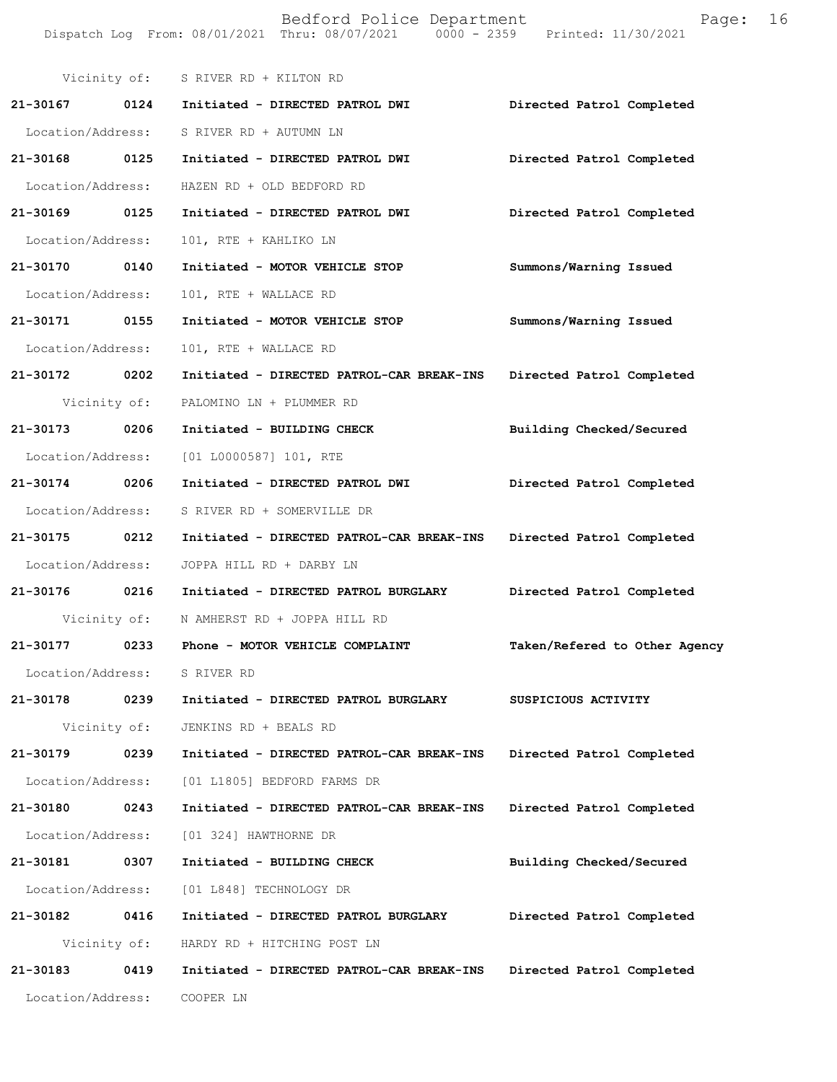Dispatch Log From: 08/01/2021 Thru: 08/07/2021 0000 - 2359 Printed: 11/30/2021 Vicinity of: S RIVER RD + KILTON RD **21-30167 0124 Initiated - DIRECTED PATROL DWI Directed Patrol Completed**  Location/Address: S RIVER RD + AUTUMN LN **21-30168 0125 Initiated - DIRECTED PATROL DWI Directed Patrol Completed**  Location/Address: HAZEN RD + OLD BEDFORD RD **21-30169 0125 Initiated - DIRECTED PATROL DWI Directed Patrol Completed**  Location/Address: 101, RTE + KAHLIKO LN **21-30170 0140 Initiated - MOTOR VEHICLE STOP Summons/Warning Issued**  Location/Address: 101, RTE + WALLACE RD **21-30171 0155 Initiated - MOTOR VEHICLE STOP Summons/Warning Issued**  Location/Address: 101, RTE + WALLACE RD **21-30172 0202 Initiated - DIRECTED PATROL-CAR BREAK-INS Directed Patrol Completed**  Vicinity of: PALOMINO LN + PLUMMER RD **21-30173 0206 Initiated - BUILDING CHECK Building Checked/Secured**  Location/Address: [01 L0000587] 101, RTE **21-30174 0206 Initiated - DIRECTED PATROL DWI Directed Patrol Completed**  Location/Address: S RIVER RD + SOMERVILLE DR **21-30175 0212 Initiated - DIRECTED PATROL-CAR BREAK-INS Directed Patrol Completed**  Location/Address: JOPPA HILL RD + DARBY LN **21-30176 0216 Initiated - DIRECTED PATROL BURGLARY Directed Patrol Completed**  Vicinity of: N AMHERST RD + JOPPA HILL RD **21-30177 0233 Phone - MOTOR VEHICLE COMPLAINT Taken/Refered to Other Agency** Location/Address: S RIVER RD **21-30178 0239 Initiated - DIRECTED PATROL BURGLARY SUSPICIOUS ACTIVITY**  Vicinity of: JENKINS RD + BEALS RD **21-30179 0239 Initiated - DIRECTED PATROL-CAR BREAK-INS Directed Patrol Completed**  Location/Address: [01 L1805] BEDFORD FARMS DR **21-30180 0243 Initiated - DIRECTED PATROL-CAR BREAK-INS Directed Patrol Completed**  Location/Address: [01 324] HAWTHORNE DR **21-30181 0307 Initiated - BUILDING CHECK Building Checked/Secured**  Location/Address: [01 L848] TECHNOLOGY DR **21-30182 0416 Initiated - DIRECTED PATROL BURGLARY Directed Patrol Completed**  Vicinity of: HARDY RD + HITCHING POST LN **21-30183 0419 Initiated - DIRECTED PATROL-CAR BREAK-INS Directed Patrol Completed**  Location/Address: COOPER LN

Bedford Police Department Fage: 16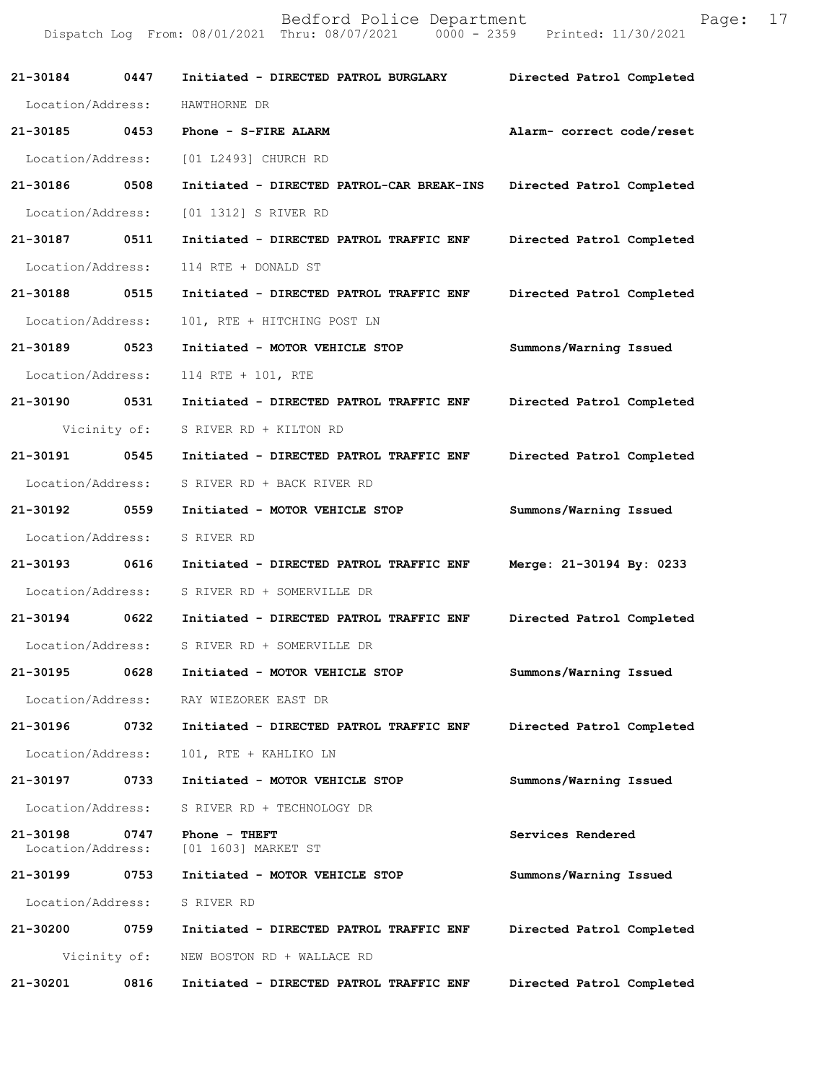|                               |              | Dispatch Log From: 08/01/2021 Thru: 08/07/2021 0000 - 2359 Printed: 11/30/2021 |                           |
|-------------------------------|--------------|--------------------------------------------------------------------------------|---------------------------|
| 21-30184 0447                 |              | Initiated - DIRECTED PATROL BURGLARY                                           | Directed Patrol Completed |
| Location/Address:             |              | HAWTHORNE DR                                                                   |                           |
| 21-30185 0453                 |              | Phone - S-FIRE ALARM                                                           | Alarm- correct code/reset |
| Location/Address:             |              | [01 L2493] CHURCH RD                                                           |                           |
| 21-30186 0508                 |              | Initiated - DIRECTED PATROL-CAR BREAK-INS                                      | Directed Patrol Completed |
| Location/Address:             |              | [01 1312] S RIVER RD                                                           |                           |
| 21-30187 0511                 |              | Initiated - DIRECTED PATROL TRAFFIC ENF                                        | Directed Patrol Completed |
| Location/Address:             |              | 114 RTE + DONALD ST                                                            |                           |
| 21-30188 0515                 |              | Initiated - DIRECTED PATROL TRAFFIC ENF                                        | Directed Patrol Completed |
| Location/Address:             |              | 101, RTE + HITCHING POST LN                                                    |                           |
| 21-30189 0523                 |              | Initiated - MOTOR VEHICLE STOP                                                 | Summons/Warning Issued    |
| Location/Address:             |              | 114 RTE + 101, RTE                                                             |                           |
| 21-30190 0531                 |              | Initiated - DIRECTED PATROL TRAFFIC ENF                                        | Directed Patrol Completed |
|                               | Vicinity of: | S RIVER RD + KILTON RD                                                         |                           |
| 21-30191 0545                 |              | Initiated - DIRECTED PATROL TRAFFIC ENF                                        | Directed Patrol Completed |
| Location/Address:             |              | S RIVER RD + BACK RIVER RD                                                     |                           |
| 21-30192 0559                 |              | Initiated - MOTOR VEHICLE STOP                                                 | Summons/Warning Issued    |
| Location/Address:             |              | S RIVER RD                                                                     |                           |
| 21-30193 0616                 |              | Initiated - DIRECTED PATROL TRAFFIC ENF                                        | Merge: 21-30194 By: 0233  |
| Location/Address:             |              | S RIVER RD + SOMERVILLE DR                                                     |                           |
| 21-30194 0622                 |              | Initiated - DIRECTED PATROL TRAFFIC ENF                                        | Directed Patrol Completed |
| Location/Address:             |              | S RIVER RD + SOMERVILLE DR                                                     |                           |
| 21-30195                      | 0628         | Initiated - MOTOR VEHICLE STOP                                                 | Summons/Warning Issued    |
| Location/Address:             |              | RAY WIEZOREK EAST DR                                                           |                           |
| 21-30196                      | 0732         | Initiated - DIRECTED PATROL TRAFFIC ENF                                        | Directed Patrol Completed |
| Location/Address:             |              | 101, RTE + KAHLIKO LN                                                          |                           |
| 21-30197                      | 0733         | Initiated - MOTOR VEHICLE STOP                                                 | Summons/Warning Issued    |
| Location/Address:             |              | S RIVER RD + TECHNOLOGY DR                                                     |                           |
| 21-30198<br>Location/Address: | 0747         | Phone - THEFT<br>[01 1603] MARKET ST                                           | Services Rendered         |
| 21-30199                      | 0753         | Initiated - MOTOR VEHICLE STOP                                                 | Summons/Warning Issued    |
| Location/Address:             |              | S RIVER RD                                                                     |                           |
| 21-30200                      | 0759         | Initiated - DIRECTED PATROL TRAFFIC ENF                                        | Directed Patrol Completed |
|                               | Vicinity of: | NEW BOSTON RD + WALLACE RD                                                     |                           |
| 21-30201                      | 0816         | Initiated - DIRECTED PATROL TRAFFIC ENF                                        | Directed Patrol Completed |

Bedford Police Department Fage: 17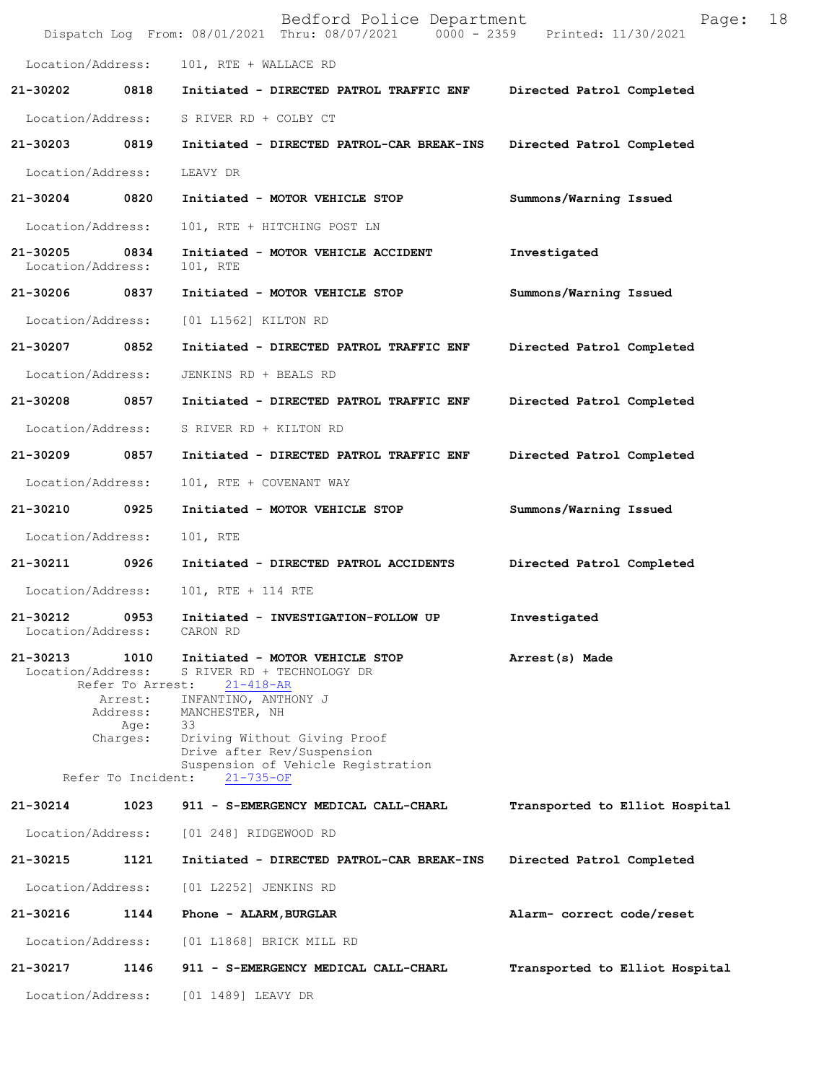|                               |                                                                                           | Bedford Police Department<br>Dispatch Log From: 08/01/2021 Thru: 08/07/2021 0000 - 2359 Printed: 11/30/2021                                                                                                                                            | 18<br>Page:                    |
|-------------------------------|-------------------------------------------------------------------------------------------|--------------------------------------------------------------------------------------------------------------------------------------------------------------------------------------------------------------------------------------------------------|--------------------------------|
| Location/Address:             |                                                                                           | 101, RTE + WALLACE RD                                                                                                                                                                                                                                  |                                |
| 21-30202                      | 0818                                                                                      | Initiated - DIRECTED PATROL TRAFFIC ENF                                                                                                                                                                                                                | Directed Patrol Completed      |
| Location/Address:             |                                                                                           | S RIVER RD + COLBY CT                                                                                                                                                                                                                                  |                                |
| 21-30203                      | 0819                                                                                      | Initiated - DIRECTED PATROL-CAR BREAK-INS Directed Patrol Completed                                                                                                                                                                                    |                                |
| Location/Address:             |                                                                                           | LEAVY DR                                                                                                                                                                                                                                               |                                |
| 21-30204 0820                 |                                                                                           | Initiated - MOTOR VEHICLE STOP                                                                                                                                                                                                                         | Summons/Warning Issued         |
| Location/Address:             |                                                                                           | 101, RTE + HITCHING POST LN                                                                                                                                                                                                                            |                                |
| 21-30205<br>Location/Address: | 0834                                                                                      | Initiated - MOTOR VEHICLE ACCIDENT<br>101, RTE                                                                                                                                                                                                         | Investigated                   |
| 21-30206 0837                 |                                                                                           | Initiated - MOTOR VEHICLE STOP                                                                                                                                                                                                                         | Summons/Warning Issued         |
| Location/Address:             |                                                                                           | [01 L1562] KILTON RD                                                                                                                                                                                                                                   |                                |
| 21-30207 0852                 |                                                                                           | Initiated - DIRECTED PATROL TRAFFIC ENF                                                                                                                                                                                                                | Directed Patrol Completed      |
| Location/Address:             |                                                                                           | JENKINS RD + BEALS RD                                                                                                                                                                                                                                  |                                |
| 21-30208                      | 0857                                                                                      | Initiated - DIRECTED PATROL TRAFFIC ENF                                                                                                                                                                                                                | Directed Patrol Completed      |
| Location/Address:             |                                                                                           | S RIVER RD + KILTON RD                                                                                                                                                                                                                                 |                                |
| 21-30209                      | 0857                                                                                      | Initiated - DIRECTED PATROL TRAFFIC ENF                                                                                                                                                                                                                | Directed Patrol Completed      |
| Location/Address:             |                                                                                           | 101, RTE + COVENANT WAY                                                                                                                                                                                                                                |                                |
| 21-30210                      | 0925                                                                                      | Initiated - MOTOR VEHICLE STOP                                                                                                                                                                                                                         | Summons/Warning Issued         |
| Location/Address:             |                                                                                           | 101, RTE                                                                                                                                                                                                                                               |                                |
| 21-30211 0926                 |                                                                                           | Initiated - DIRECTED PATROL ACCIDENTS                                                                                                                                                                                                                  | Directed Patrol Completed      |
| Location/Address:             |                                                                                           | 101, RTE + 114 RTE                                                                                                                                                                                                                                     |                                |
| 21-30212<br>Location/Address: | 0953                                                                                      | Initiated - INVESTIGATION-FOLLOW UP<br>CARON RD                                                                                                                                                                                                        | Investigated                   |
| 21-30213<br>Location/Address: | 1010<br>Refer To Arrest:<br>Arrest:<br>Address:<br>Age:<br>Charges:<br>Refer To Incident: | Initiated - MOTOR VEHICLE STOP<br>S RIVER RD + TECHNOLOGY DR<br>$21 - 418 - AR$<br>INFANTINO, ANTHONY J<br>MANCHESTER, NH<br>33<br>Driving Without Giving Proof<br>Drive after Rev/Suspension<br>Suspension of Vehicle Registration<br>$21 - 735 - OF$ | Arrest(s) Made                 |
| 21-30214                      | 1023                                                                                      | 911 - S-EMERGENCY MEDICAL CALL-CHARL                                                                                                                                                                                                                   | Transported to Elliot Hospital |
| Location/Address:             |                                                                                           | [01 248] RIDGEWOOD RD                                                                                                                                                                                                                                  |                                |
| 21-30215                      | 1121                                                                                      | Initiated - DIRECTED PATROL-CAR BREAK-INS                                                                                                                                                                                                              | Directed Patrol Completed      |
| Location/Address:             |                                                                                           | [01 L2252] JENKINS RD                                                                                                                                                                                                                                  |                                |
| 21-30216                      | 1144                                                                                      | Phone - ALARM, BURGLAR                                                                                                                                                                                                                                 | Alarm- correct code/reset      |
| Location/Address:             |                                                                                           | [01 L1868] BRICK MILL RD                                                                                                                                                                                                                               |                                |
| 21-30217                      | 1146                                                                                      | 911 - S-EMERGENCY MEDICAL CALL-CHARL                                                                                                                                                                                                                   | Transported to Elliot Hospital |
| Location/Address:             |                                                                                           | [01 1489] LEAVY DR                                                                                                                                                                                                                                     |                                |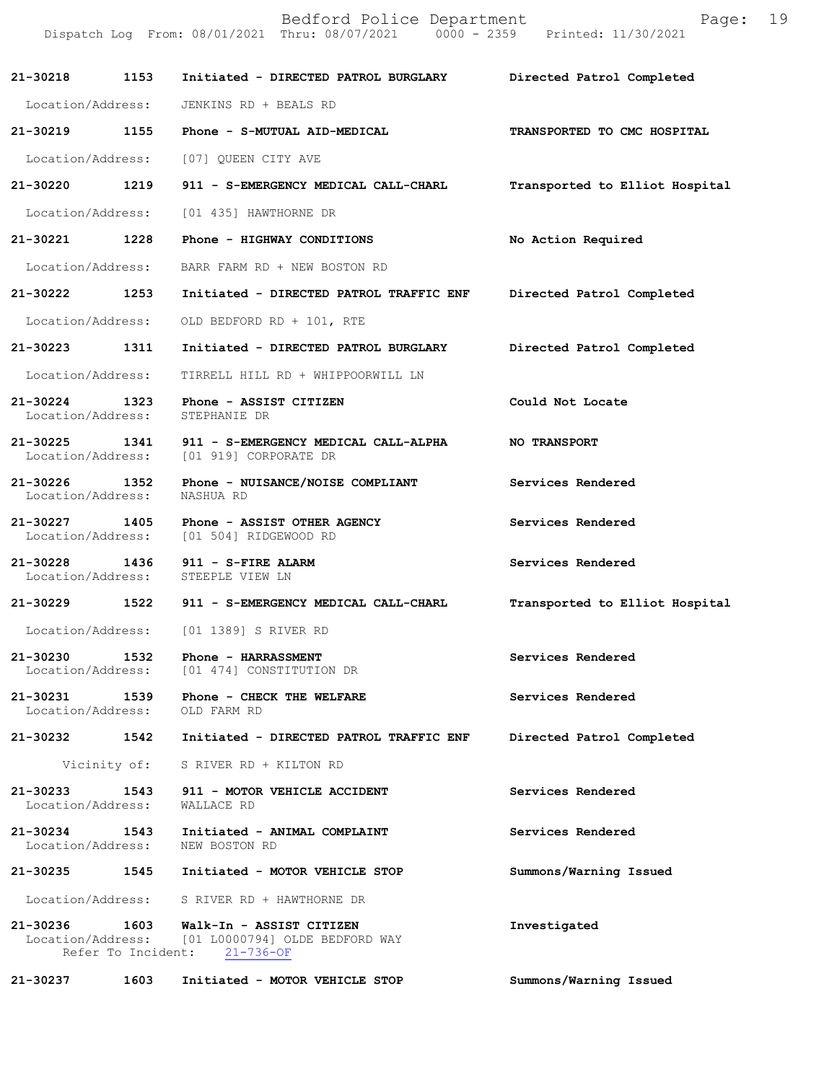|                                    |                            | Bedford Police Department<br>Dispatch Log From: 08/01/2021 Thru: 08/07/2021 0000 - 2359 | 19<br>Page:<br>Printed: 11/30/2021 |
|------------------------------------|----------------------------|-----------------------------------------------------------------------------------------|------------------------------------|
| 21-30218                           | 1153                       | Initiated - DIRECTED PATROL BURGLARY                                                    | Directed Patrol Completed          |
| Location/Address:                  |                            | JENKINS RD + BEALS RD                                                                   |                                    |
| 21-30219                           | 1155                       | Phone - S-MUTUAL AID-MEDICAL                                                            | TRANSPORTED TO CMC HOSPITAL        |
| Location/Address:                  |                            | [07] QUEEN CITY AVE                                                                     |                                    |
| 21-30220                           | 1219                       | 911 - S-EMERGENCY MEDICAL CALL-CHARL                                                    | Transported to Elliot Hospital     |
| Location/Address:                  |                            | [01 435] HAWTHORNE DR                                                                   |                                    |
| 21-30221                           | 1228                       | Phone - HIGHWAY CONDITIONS                                                              | No Action Required                 |
| Location/Address:                  |                            | BARR FARM RD + NEW BOSTON RD                                                            |                                    |
| 21-30222                           | 1253                       | Initiated - DIRECTED PATROL TRAFFIC ENF                                                 | Directed Patrol Completed          |
| Location/Address:                  |                            | OLD BEDFORD RD + 101, RTE                                                               |                                    |
| 21-30223                           | 1311                       | Initiated - DIRECTED PATROL BURGLARY                                                    | Directed Patrol Completed          |
| Location/Address:                  |                            | TIRRELL HILL RD + WHIPPOORWILL LN                                                       |                                    |
| 21-30224<br>Location/Address:      | 1323                       | Phone - ASSIST CITIZEN<br>STEPHANIE DR                                                  | Could Not Locate                   |
| 21-30225<br>Location/Address:      | 1341                       | 911 - S-EMERGENCY MEDICAL CALL-ALPHA<br>[01 919] CORPORATE DR                           | <b>NO TRANSPORT</b>                |
| 21-30226<br>Location/Address:      | 1352                       | Phone - NUISANCE/NOISE COMPLIANT<br>NASHUA RD                                           | Services Rendered                  |
| 21-30227<br>Location/Address:      | 1405                       | Phone - ASSIST OTHER AGENCY<br>[01 504] RIDGEWOOD RD                                    | Services Rendered                  |
| 21-30228<br>Location/Address:      | 1436                       | 911 - S-FIRE ALARM<br>STEEPLE VIEW LN                                                   | Services Rendered                  |
| 21-30229                           | 1522                       | 911 - S-EMERGENCY MEDICAL CALL-CHARL                                                    | Transported to Elliot Hospital     |
| Location/Address:                  |                            | [01 1389] S RIVER RD                                                                    |                                    |
| 21-30230<br>Location/Address:      | 1532                       | Phone - HARRASSMENT<br>[01 474] CONSTITUTION DR                                         | Services Rendered                  |
| 21-30231<br>Location/Address:      | 1539                       | Phone - CHECK THE WELFARE<br>OLD FARM RD                                                | Services Rendered                  |
| 21-30232                           | 1542                       | Initiated - DIRECTED PATROL TRAFFIC ENF                                                 | Directed Patrol Completed          |
|                                    | Vicinity of:               | S RIVER RD + KILTON RD                                                                  |                                    |
| 21-30233<br>Location/Address:      | 1543                       | 911 - MOTOR VEHICLE ACCIDENT<br>WALLACE RD                                              | Services Rendered                  |
| 21-30234 1543<br>Location/Address: |                            | Initiated - ANIMAL COMPLAINT<br>NEW BOSTON RD                                           | Services Rendered                  |
| 21-30235                           | 1545                       | Initiated - MOTOR VEHICLE STOP                                                          | Summons/Warning Issued             |
| Location/Address:                  |                            | S RIVER RD + HAWTHORNE DR                                                               |                                    |
| 21-30236<br>Location/Address:      | 1603<br>Refer To Incident: | Walk-In - ASSIST CITIZEN<br>[01 L0000794] OLDE BEDFORD WAY<br>$21 - 736 - OF$           | Investigated                       |
| 21-30237                           | 1603                       | Initiated - MOTOR VEHICLE STOP                                                          | Summons/Warning Issued             |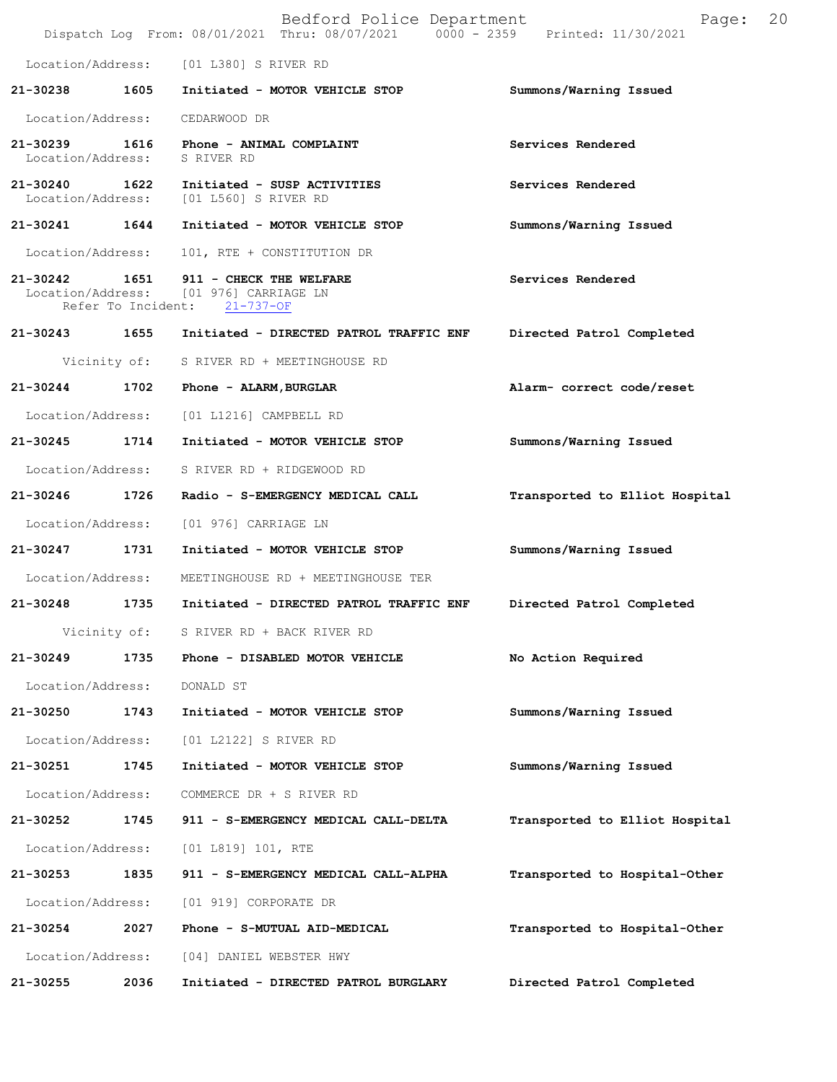|                                    |                    | Bedford Police Department<br>Dispatch Log From: 08/01/2021 Thru: 08/07/2021 0000 - 2359 Printed: 11/30/2021 | 20<br>Page:                    |
|------------------------------------|--------------------|-------------------------------------------------------------------------------------------------------------|--------------------------------|
| Location/Address:                  |                    | [01 L380] S RIVER RD                                                                                        |                                |
| 21-30238                           | 1605               | Initiated - MOTOR VEHICLE STOP                                                                              | Summons/Warning Issued         |
| Location/Address:                  |                    | CEDARWOOD DR                                                                                                |                                |
| 21-30239<br>Location/Address:      | 1616               | Phone - ANIMAL COMPLAINT<br>S RIVER RD                                                                      | Services Rendered              |
| 21-30240 1622<br>Location/Address: |                    | Initiated - SUSP ACTIVITIES<br>[01 L560] S RIVER RD                                                         | Services Rendered              |
| 21-30241                           | 1644               | Initiated - MOTOR VEHICLE STOP                                                                              | Summons/Warning Issued         |
| Location/Address:                  |                    | 101, RTE + CONSTITUTION DR                                                                                  |                                |
| 21-30242 1651                      | Refer To Incident: | 911 - CHECK THE WELFARE<br>Location/Address: [01 976] CARRIAGE LN<br>$21 - 737 - OF$                        | Services Rendered              |
| 21-30243 1655                      |                    | Initiated - DIRECTED PATROL TRAFFIC ENF                                                                     | Directed Patrol Completed      |
|                                    | Vicinity of:       | S RIVER RD + MEETINGHOUSE RD                                                                                |                                |
| 21-30244                           | 1702               | Phone - ALARM, BURGLAR                                                                                      | Alarm- correct code/reset      |
| Location/Address:                  |                    | [01 L1216] CAMPBELL RD                                                                                      |                                |
| 21-30245                           | 1714               | Initiated - MOTOR VEHICLE STOP                                                                              | Summons/Warning Issued         |
| Location/Address:                  |                    | S RIVER RD + RIDGEWOOD RD                                                                                   |                                |
| 21-30246 1726                      |                    | Radio - S-EMERGENCY MEDICAL CALL                                                                            | Transported to Elliot Hospital |
| Location/Address:                  |                    | [01 976] CARRIAGE LN                                                                                        |                                |
| $21 - 30247$                       | 1731               | Initiated - MOTOR VEHICLE STOP                                                                              | Summons/Warning Issued         |
| Location/Address:                  |                    | MEETINGHOUSE RD + MEETINGHOUSE TER                                                                          |                                |
| 21-30248                           | 1735               | Initiated - DIRECTED PATROL TRAFFIC ENF                                                                     | Directed Patrol Completed      |
|                                    | Vicinity of:       | S RIVER RD + BACK RIVER RD                                                                                  |                                |
| $21 - 30249$                       | 1735               | Phone - DISABLED MOTOR VEHICLE                                                                              | No Action Required             |
| Location/Address:                  |                    | DONALD ST                                                                                                   |                                |
| 21-30250                           | 1743               | Initiated - MOTOR VEHICLE STOP                                                                              | Summons/Warning Issued         |
| Location/Address:                  |                    | [01 L2122] S RIVER RD                                                                                       |                                |
| 21-30251                           | 1745               | Initiated - MOTOR VEHICLE STOP                                                                              | Summons/Warning Issued         |
| Location/Address:                  |                    | COMMERCE DR + S RIVER RD                                                                                    |                                |
| 21-30252                           | 1745               | 911 - S-EMERGENCY MEDICAL CALL-DELTA                                                                        | Transported to Elliot Hospital |
| Location/Address:                  |                    | [01 L819] 101, RTE                                                                                          |                                |
| 21-30253                           | 1835               | 911 - S-EMERGENCY MEDICAL CALL-ALPHA                                                                        | Transported to Hospital-Other  |
| Location/Address:                  |                    | [01 919] CORPORATE DR                                                                                       |                                |
| 21-30254                           | 2027               | Phone - S-MUTUAL AID-MEDICAL                                                                                | Transported to Hospital-Other  |
| Location/Address:                  |                    | [04] DANIEL WEBSTER HWY                                                                                     |                                |
| 21-30255                           | 2036               | Initiated - DIRECTED PATROL BURGLARY                                                                        | Directed Patrol Completed      |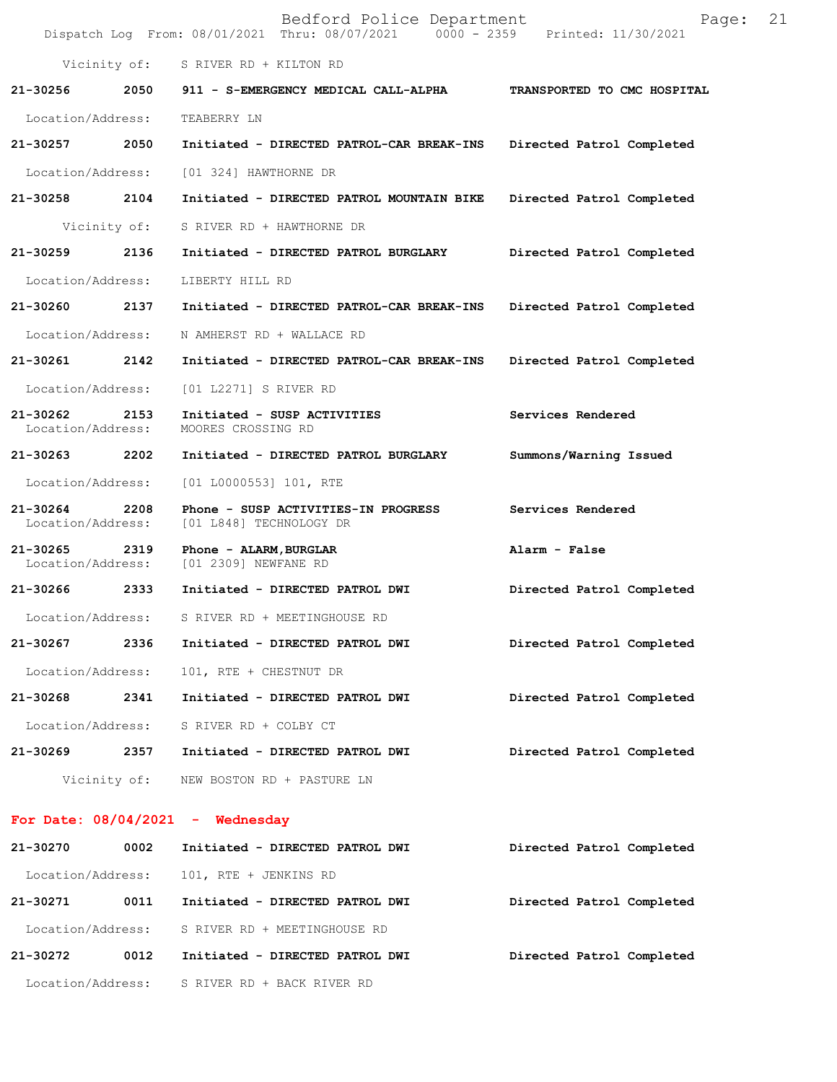|                               |              | Bedford Police Department<br>Dispatch Log From: 08/01/2021 Thru: 08/07/2021 0000 - 2359 Printed: 11/30/2021 | Page:                       | 21 |
|-------------------------------|--------------|-------------------------------------------------------------------------------------------------------------|-----------------------------|----|
|                               |              | Vicinity of: S RIVER RD + KILTON RD                                                                         |                             |    |
| 21-30256                      |              | 2050 911 - S-EMERGENCY MEDICAL CALL-ALPHA                                                                   | TRANSPORTED TO CMC HOSPITAL |    |
| Location/Address:             |              | TEABERRY LN                                                                                                 |                             |    |
| 21-30257                      | 2050         | Initiated - DIRECTED PATROL-CAR BREAK-INS                                                                   | Directed Patrol Completed   |    |
| Location/Address:             |              | [01 324] HAWTHORNE DR                                                                                       |                             |    |
| 21-30258 2104                 |              | Initiated - DIRECTED PATROL MOUNTAIN BIKE                                                                   | Directed Patrol Completed   |    |
|                               | Vicinity of: | S RIVER RD + HAWTHORNE DR                                                                                   |                             |    |
| 21-30259                      | 2136         | Initiated - DIRECTED PATROL BURGLARY                                                                        | Directed Patrol Completed   |    |
| Location/Address:             |              | LIBERTY HILL RD                                                                                             |                             |    |
| 21-30260                      | 2137         | Initiated - DIRECTED PATROL-CAR BREAK-INS Directed Patrol Completed                                         |                             |    |
| Location/Address:             |              | N AMHERST RD + WALLACE RD                                                                                   |                             |    |
| 21-30261 2142                 |              | Initiated - DIRECTED PATROL-CAR BREAK-INS                                                                   | Directed Patrol Completed   |    |
| Location/Address:             |              | [01 L2271] S RIVER RD                                                                                       |                             |    |
| 21-30262<br>Location/Address: | 2153         | Initiated - SUSP ACTIVITIES<br>MOORES CROSSING RD                                                           | Services Rendered           |    |
| 21-30263                      | 2202         | Initiated - DIRECTED PATROL BURGLARY                                                                        | Summons/Warning Issued      |    |
| Location/Address:             |              | $[01 L0000553] 101$ , RTE                                                                                   |                             |    |
| 21-30264<br>Location/Address: | 2208         | Phone - SUSP ACTIVITIES-IN PROGRESS<br>[01 L848] TECHNOLOGY DR                                              | Services Rendered           |    |
| 21-30265<br>Location/Address: | 2319         | Phone - ALARM, BURGLAR<br>[01 2309] NEWFANE RD                                                              | Alarm - False               |    |
| 21-30266 2333                 |              | Initiated - DIRECTED PATROL DWI                                                                             | Directed Patrol Completed   |    |
| Location/Address:             |              | S RIVER RD + MEETINGHOUSE RD                                                                                |                             |    |
| 21-30267                      | 2336         | Initiated - DIRECTED PATROL DWI                                                                             | Directed Patrol Completed   |    |
| Location/Address:             |              | 101, RTE + CHESTNUT DR                                                                                      |                             |    |
| 21-30268                      | 2341         | Initiated - DIRECTED PATROL DWI                                                                             | Directed Patrol Completed   |    |
| Location/Address:             |              | S RIVER RD + COLBY CT                                                                                       |                             |    |
| 21-30269                      | 2357         | Initiated - DIRECTED PATROL DWI                                                                             | Directed Patrol Completed   |    |
|                               |              | Vicinity of: NEW BOSTON RD + PASTURE LN                                                                     |                             |    |
|                               |              | For Date: $08/04/2021$ - Wednesday                                                                          |                             |    |

**21-30270 0002 Initiated - DIRECTED PATROL DWI Directed Patrol Completed**  Location/Address: 101, RTE + JENKINS RD **21-30271 0011 Initiated - DIRECTED PATROL DWI Directed Patrol Completed**  Location/Address: S RIVER RD + MEETINGHOUSE RD **21-30272 0012 Initiated - DIRECTED PATROL DWI Directed Patrol Completed**  Location/Address: S RIVER RD + BACK RIVER RD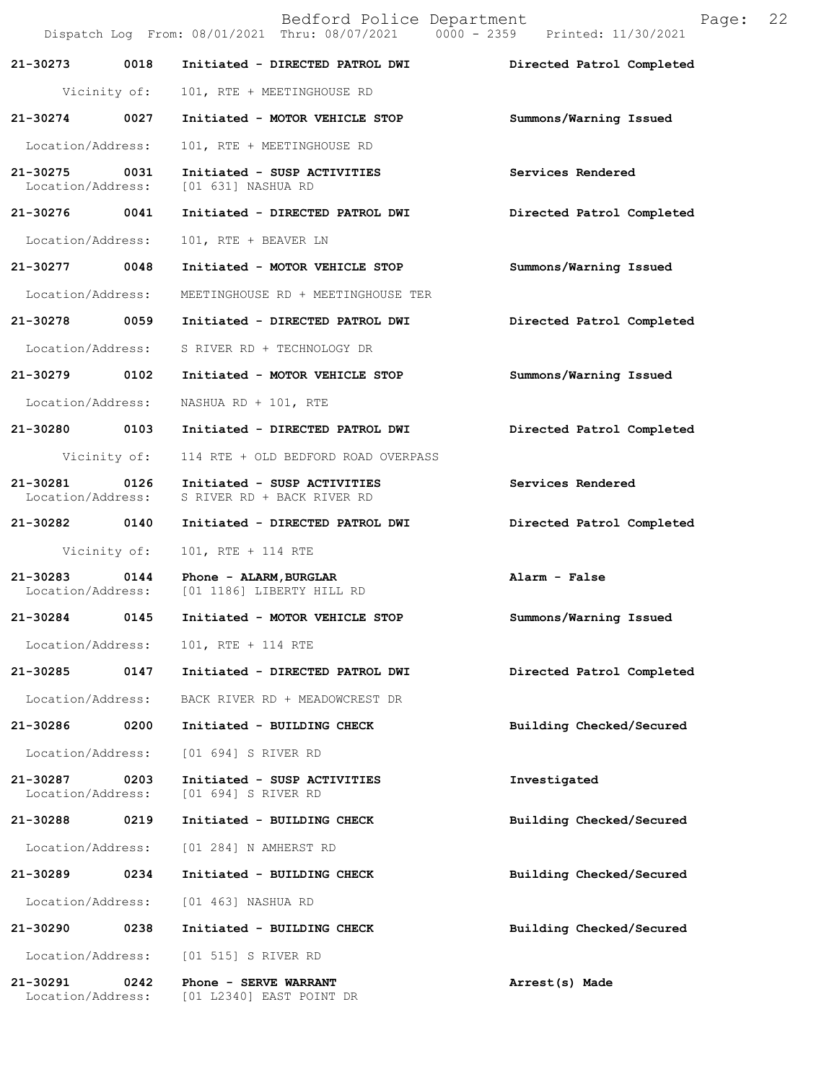|                               |              | Bedford Police Department<br>Dispatch Log From: 08/01/2021 Thru: 08/07/2021 0000 - 2359 Printed: 11/30/2021 | 22<br>Page:               |
|-------------------------------|--------------|-------------------------------------------------------------------------------------------------------------|---------------------------|
| 21-30273                      | 0018         | Initiated - DIRECTED PATROL DWI                                                                             | Directed Patrol Completed |
|                               | Vicinity of: | 101, RTE + MEETINGHOUSE RD                                                                                  |                           |
| 21-30274                      | 0027         | Initiated - MOTOR VEHICLE STOP                                                                              | Summons/Warning Issued    |
| Location/Address:             |              | 101, RTE + MEETINGHOUSE RD                                                                                  |                           |
| 21-30275<br>Location/Address: | 0031         | Initiated - SUSP ACTIVITIES<br>[01 631] NASHUA RD                                                           | Services Rendered         |
| 21-30276 0041                 |              | Initiated - DIRECTED PATROL DWI                                                                             | Directed Patrol Completed |
| Location/Address:             |              | 101, RTE + BEAVER LN                                                                                        |                           |
| 21-30277 0048                 |              | Initiated - MOTOR VEHICLE STOP                                                                              | Summons/Warning Issued    |
| Location/Address:             |              | MEETINGHOUSE RD + MEETINGHOUSE TER                                                                          |                           |
| 21-30278                      | 0059         | Initiated - DIRECTED PATROL DWI                                                                             | Directed Patrol Completed |
| Location/Address:             |              | S RIVER RD + TECHNOLOGY DR                                                                                  |                           |
| 21-30279                      | 0102         | Initiated - MOTOR VEHICLE STOP                                                                              | Summons/Warning Issued    |
| Location/Address:             |              | NASHUA RD + 101, RTE                                                                                        |                           |
| 21-30280 0103                 |              | Initiated - DIRECTED PATROL DWI                                                                             | Directed Patrol Completed |
|                               | Vicinity of: | 114 RTE + OLD BEDFORD ROAD OVERPASS                                                                         |                           |
| 21-30281<br>Location/Address: | 0126         | Initiated - SUSP ACTIVITIES<br>S RIVER RD + BACK RIVER RD                                                   | Services Rendered         |
| 21-30282                      | 0140         | Initiated - DIRECTED PATROL DWI                                                                             | Directed Patrol Completed |
|                               | Vicinity of: | 101, RTE + 114 RTE                                                                                          |                           |
| 21-30283<br>Location/Address: | 0144         | Phone - ALARM, BURGLAR<br>[01 1186] LIBERTY HILL RD                                                         | Alarm - False             |
| 21-30284                      | 0145         | Initiated - MOTOR VEHICLE STOP                                                                              | Summons/Warning Issued    |
| Location/Address:             |              | 101, RTE + 114 RTE                                                                                          |                           |
| 21-30285                      | 0147         | Initiated - DIRECTED PATROL DWI                                                                             | Directed Patrol Completed |
| Location/Address:             |              | BACK RIVER RD + MEADOWCREST DR                                                                              |                           |
| 21-30286                      | 0200         | Initiated - BUILDING CHECK                                                                                  | Building Checked/Secured  |
| Location/Address:             |              | [01 694] S RIVER RD                                                                                         |                           |
| 21-30287<br>Location/Address: | 0203         | Initiated - SUSP ACTIVITIES<br>[01 694] S RIVER RD                                                          | Investigated              |
| 21-30288                      | 0219         | Initiated - BUILDING CHECK                                                                                  | Building Checked/Secured  |
| Location/Address:             |              | [01 284] N AMHERST RD                                                                                       |                           |
| 21-30289                      | 0234         | Initiated - BUILDING CHECK                                                                                  | Building Checked/Secured  |
| Location/Address:             |              | [01 463] NASHUA RD                                                                                          |                           |
| 21-30290                      | 0238         | Initiated - BUILDING CHECK                                                                                  | Building Checked/Secured  |
| Location/Address:             |              | [01 515] S RIVER RD                                                                                         |                           |
| 21-30291<br>Location/Address: | 0242         | Phone - SERVE WARRANT<br>[01 L2340] EAST POINT DR                                                           | Arrest(s) Made            |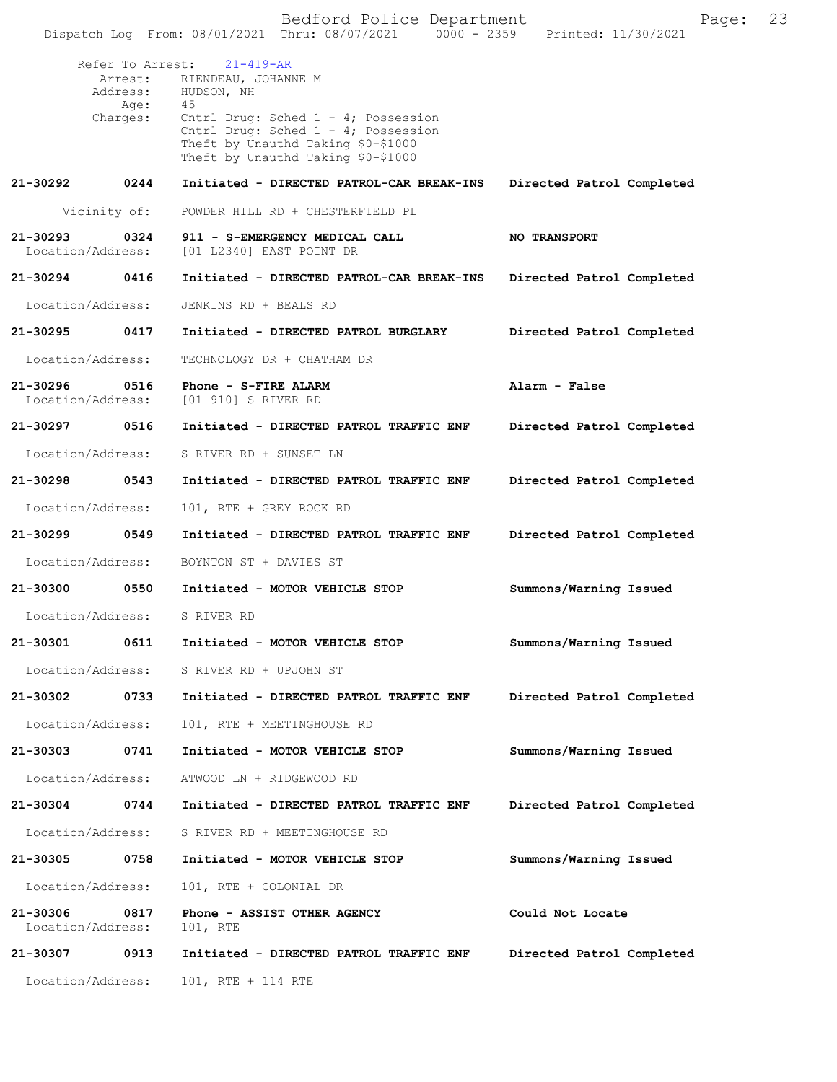| Dispatch Log From: 08/01/2021 Thru: 08/07/2021 0000 - 2359 |                                                                                                                                                                                                                                 |                           |  |
|------------------------------------------------------------|---------------------------------------------------------------------------------------------------------------------------------------------------------------------------------------------------------------------------------|---------------------------|--|
| Refer To Arrest:<br>Address:<br>Age:<br>Charges:           | $21 - 419 - AR$<br>Arrest: RIENDEAU, JOHANNE M<br>HUDSON, NH<br>45<br>Cntrl Drug: Sched $1 - 4$ ; Possession<br>Cntrl Drug: Sched 1 - 4; Possession<br>Theft by Unauthd Taking \$0-\$1000<br>Theft by Unauthd Taking \$0-\$1000 |                           |  |
| 21-30292<br>0244                                           | Initiated - DIRECTED PATROL-CAR BREAK-INS                                                                                                                                                                                       | Directed Patrol Completed |  |
| Vicinity of:                                               | POWDER HILL RD + CHESTERFIELD PL                                                                                                                                                                                                |                           |  |
| 21-30293<br>0324<br>Location/Address:                      | 911 - S-EMERGENCY MEDICAL CALL<br>[01 L2340] EAST POINT DR                                                                                                                                                                      | <b>NO TRANSPORT</b>       |  |
| 0416<br>21-30294                                           | Initiated - DIRECTED PATROL-CAR BREAK-INS                                                                                                                                                                                       | Directed Patrol Completed |  |
| Location/Address:                                          | JENKINS RD + BEALS RD                                                                                                                                                                                                           |                           |  |
| 21-30295<br>0417                                           | Initiated - DIRECTED PATROL BURGLARY                                                                                                                                                                                            | Directed Patrol Completed |  |
| Location/Address:                                          | TECHNOLOGY DR + CHATHAM DR                                                                                                                                                                                                      |                           |  |
| 21-30296<br>0516<br>Location/Address:                      | Phone - S-FIRE ALARM<br>[01 910] S RIVER RD                                                                                                                                                                                     | Alarm - False             |  |
| 21-30297<br>0516                                           | Initiated - DIRECTED PATROL TRAFFIC ENF                                                                                                                                                                                         | Directed Patrol Completed |  |
| Location/Address:                                          | S RIVER RD + SUNSET LN                                                                                                                                                                                                          |                           |  |
| 21-30298<br>0543                                           | Initiated - DIRECTED PATROL TRAFFIC ENF                                                                                                                                                                                         | Directed Patrol Completed |  |
| Location/Address:                                          | 101, RTE + GREY ROCK RD                                                                                                                                                                                                         |                           |  |
| 21-30299<br>0549                                           | Initiated - DIRECTED PATROL TRAFFIC ENF                                                                                                                                                                                         | Directed Patrol Completed |  |
| Location/Address:                                          | BOYNTON ST + DAVIES ST                                                                                                                                                                                                          |                           |  |
| 21-30300<br>0550                                           | Initiated - MOTOR VEHICLE STOP                                                                                                                                                                                                  | Summons/Warning Issued    |  |
| Location/Address:                                          | S RIVER RD                                                                                                                                                                                                                      |                           |  |
| 21-30301<br>0611                                           | Initiated - MOTOR VEHICLE STOP                                                                                                                                                                                                  | Summons/Warning Issued    |  |
| Location/Address:                                          | S RIVER RD + UPJOHN ST                                                                                                                                                                                                          |                           |  |
| 21-30302<br>0733                                           | Initiated - DIRECTED PATROL TRAFFIC ENF                                                                                                                                                                                         | Directed Patrol Completed |  |
| Location/Address:                                          | 101, RTE + MEETINGHOUSE RD                                                                                                                                                                                                      |                           |  |
| 21-30303<br>0741                                           | Initiated - MOTOR VEHICLE STOP                                                                                                                                                                                                  | Summons/Warning Issued    |  |
| Location/Address:                                          | ATWOOD LN + RIDGEWOOD RD                                                                                                                                                                                                        |                           |  |
| 21-30304<br>0744                                           | Initiated - DIRECTED PATROL TRAFFIC ENF                                                                                                                                                                                         | Directed Patrol Completed |  |
| Location/Address:                                          | S RIVER RD + MEETINGHOUSE RD                                                                                                                                                                                                    |                           |  |
| 21-30305<br>0758                                           | Initiated - MOTOR VEHICLE STOP                                                                                                                                                                                                  | Summons/Warning Issued    |  |
| Location/Address:                                          | 101, RTE + COLONIAL DR                                                                                                                                                                                                          |                           |  |
| 21-30306<br>0817<br>Location/Address:                      | Phone - ASSIST OTHER AGENCY<br>101, RTE                                                                                                                                                                                         | Could Not Locate          |  |
| 21-30307<br>0913                                           | Initiated - DIRECTED PATROL TRAFFIC ENF                                                                                                                                                                                         | Directed Patrol Completed |  |
| Location/Address:                                          | 101, RTE + 114 RTE                                                                                                                                                                                                              |                           |  |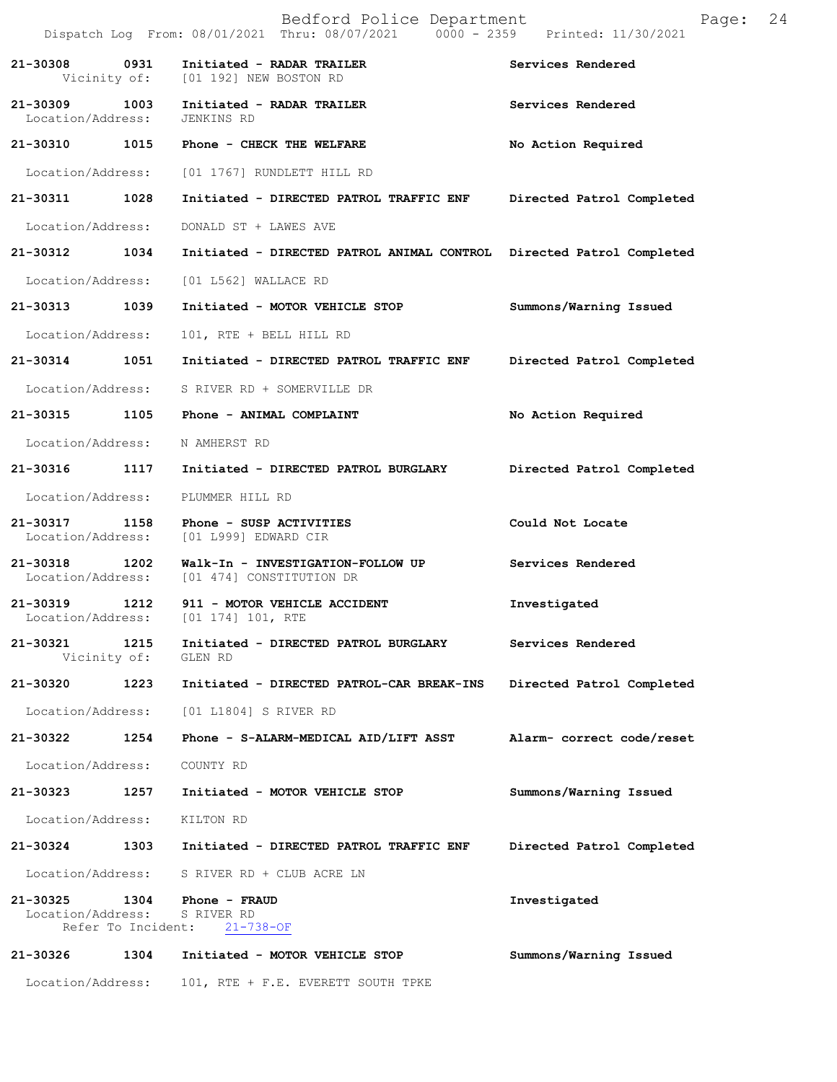|                                    |                            | Bedford Police Department<br>Dispatch Log From: 08/01/2021 Thru: 08/07/2021 0000 - 2359 Printed: 11/30/2021 | Page:                     | 24 |
|------------------------------------|----------------------------|-------------------------------------------------------------------------------------------------------------|---------------------------|----|
| 21-30308                           | 0931                       | Initiated - RADAR TRAILER<br>Vicinity of: [01 192] NEW BOSTON RD                                            | Services Rendered         |    |
| 21-30309<br>Location/Address:      | 1003                       | Initiated - RADAR TRAILER<br>JENKINS RD                                                                     | Services Rendered         |    |
| 21-30310 1015                      |                            | Phone - CHECK THE WELFARE                                                                                   | No Action Required        |    |
| Location/Address:                  |                            | [01 1767] RUNDLETT HILL RD                                                                                  |                           |    |
| 21-30311                           | 1028                       | Initiated - DIRECTED PATROL TRAFFIC ENF                                                                     | Directed Patrol Completed |    |
| Location/Address:                  |                            | DONALD ST + LAWES AVE                                                                                       |                           |    |
| 21-30312                           | 1034                       | Initiated - DIRECTED PATROL ANIMAL CONTROL Directed Patrol Completed                                        |                           |    |
| Location/Address:                  |                            | [01 L562] WALLACE RD                                                                                        |                           |    |
| 21-30313 1039                      |                            | Initiated - MOTOR VEHICLE STOP                                                                              | Summons/Warning Issued    |    |
| Location/Address:                  |                            | 101, RTE + BELL HILL RD                                                                                     |                           |    |
| 21-30314 1051                      |                            | Initiated - DIRECTED PATROL TRAFFIC ENF                                                                     | Directed Patrol Completed |    |
| Location/Address:                  |                            | S RIVER RD + SOMERVILLE DR                                                                                  |                           |    |
| 21-30315                           | 1105                       | Phone - ANIMAL COMPLAINT                                                                                    | No Action Required        |    |
| Location/Address:                  |                            | N AMHERST RD                                                                                                |                           |    |
| 21-30316                           | 1117                       | Initiated - DIRECTED PATROL BURGLARY                                                                        | Directed Patrol Completed |    |
| Location/Address:                  |                            | PLUMMER HILL RD                                                                                             |                           |    |
| 21-30317 1158<br>Location/Address: |                            | Phone - SUSP ACTIVITIES<br>[01 L999] EDWARD CIR                                                             | Could Not Locate          |    |
| 21-30318 1202<br>Location/Address: |                            | Walk-In - INVESTIGATION-FOLLOW UP<br>[01 474] CONSTITUTION DR                                               | Services Rendered         |    |
| 21-30319 1212                      |                            | 911 - MOTOR VEHICLE ACCIDENT<br>Location/Address: [01 174] 101, RTE                                         | Investigated              |    |
| 21-30321                           | 1215<br>Vicinity of:       | Initiated - DIRECTED PATROL BURGLARY<br>GLEN RD                                                             | Services Rendered         |    |
| 21-30320                           | 1223                       | Initiated - DIRECTED PATROL-CAR BREAK-INS                                                                   | Directed Patrol Completed |    |
| Location/Address:                  |                            | [01 L1804] S RIVER RD                                                                                       |                           |    |
| 21-30322                           | 1254                       | Phone - S-ALARM-MEDICAL AID/LIFT ASST                                                                       | Alarm- correct code/reset |    |
| Location/Address:                  |                            | COUNTY RD                                                                                                   |                           |    |
| 21-30323                           | 1257                       | Initiated - MOTOR VEHICLE STOP                                                                              | Summons/Warning Issued    |    |
| Location/Address:                  |                            | KILTON RD                                                                                                   |                           |    |
| 21-30324                           | 1303                       | Initiated - DIRECTED PATROL TRAFFIC ENF                                                                     | Directed Patrol Completed |    |
| Location/Address:                  |                            | S RIVER RD + CLUB ACRE LN                                                                                   |                           |    |
| 21-30325<br>Location/Address:      | 1304<br>Refer To Incident: | Phone - FRAUD<br>S RIVER RD<br>$21 - 738 - OF$                                                              | Investigated              |    |
| 21-30326                           | 1304                       | Initiated - MOTOR VEHICLE STOP                                                                              | Summons/Warning Issued    |    |
| Location/Address:                  |                            | 101, RTE + F.E. EVERETT SOUTH TPKE                                                                          |                           |    |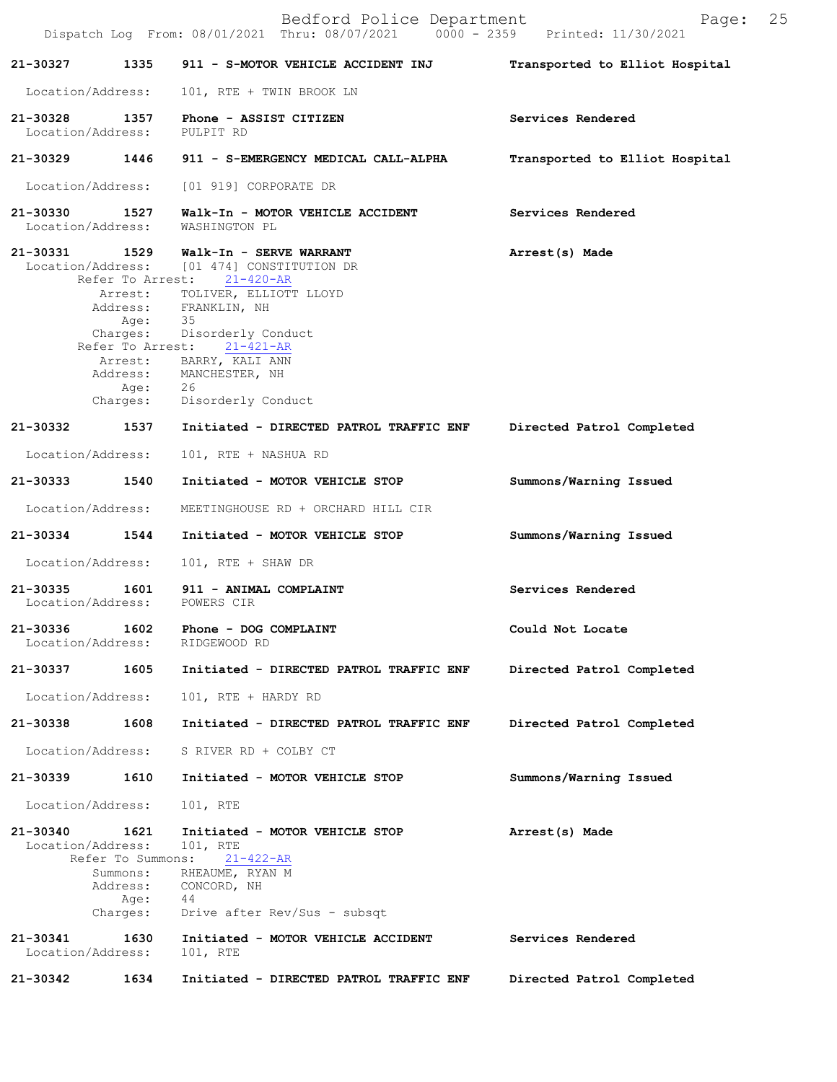|                                    |                                                                       | Bedford Police Department<br>Dispatch Log From: 08/01/2021 Thru: 08/07/2021 0000 - 2359 Printed: 11/30/2021                                                                                                                                  | 25<br>Page:                    |
|------------------------------------|-----------------------------------------------------------------------|----------------------------------------------------------------------------------------------------------------------------------------------------------------------------------------------------------------------------------------------|--------------------------------|
| 21-30327                           | 1335                                                                  | 911 - S-MOTOR VEHICLE ACCIDENT INJ                                                                                                                                                                                                           | Transported to Elliot Hospital |
| Location/Address:                  |                                                                       | 101, RTE + TWIN BROOK LN                                                                                                                                                                                                                     |                                |
| 21-30328 1357<br>Location/Address: |                                                                       | Phone - ASSIST CITIZEN<br>PULPIT RD                                                                                                                                                                                                          | Services Rendered              |
| 21-30329                           | 1446                                                                  | 911 - S-EMERGENCY MEDICAL CALL-ALPHA                                                                                                                                                                                                         | Transported to Elliot Hospital |
| Location/Address:                  |                                                                       | [01 919] CORPORATE DR                                                                                                                                                                                                                        |                                |
| 21-30330<br>Location/Address:      | 1527                                                                  | Walk-In - MOTOR VEHICLE ACCIDENT<br>WASHINGTON PL                                                                                                                                                                                            | Services Rendered              |
| 21-30331 1529                      | Address:<br>Age:<br>Charges:                                          | Walk-In - SERVE WARRANT<br>Location/Address: [01 474] CONSTITUTION DR<br>Refer To Arrest: 21-420-AR<br>Arrest: TOLIVER, ELLIOTT LLOYD<br>FRANKLIN, NH<br>- 35<br>Disorderly Conduct<br>Refer To Arrest: 21-421-AR<br>Arrest: BARRY, KALI ANN | Arrest(s) Made                 |
|                                    | Age:                                                                  | Address: MANCHESTER, NH<br>26<br>Charges: Disorderly Conduct                                                                                                                                                                                 |                                |
| 21-30332 1537                      |                                                                       | Initiated - DIRECTED PATROL TRAFFIC ENF                                                                                                                                                                                                      | Directed Patrol Completed      |
| Location/Address:                  |                                                                       | 101, RTE + NASHUA RD                                                                                                                                                                                                                         |                                |
| 21-30333 1540                      |                                                                       | Initiated - MOTOR VEHICLE STOP                                                                                                                                                                                                               | Summons/Warning Issued         |
| Location/Address:                  |                                                                       | MEETINGHOUSE RD + ORCHARD HILL CIR                                                                                                                                                                                                           |                                |
| 21-30334                           | 1544                                                                  | Initiated - MOTOR VEHICLE STOP                                                                                                                                                                                                               | Summons/Warning Issued         |
| Location/Address:                  |                                                                       | 101, RTE + SHAW DR                                                                                                                                                                                                                           |                                |
|                                    |                                                                       | 21-30335 1601 911 - ANIMAL COMPLAINT<br>Location/Address: POWERS CIR                                                                                                                                                                         | Services Rendered              |
| 21-30336<br>Location/Address:      | 1602                                                                  | Phone - DOG COMPLAINT<br>RIDGEWOOD RD                                                                                                                                                                                                        | Could Not Locate               |
| 21-30337                           | 1605                                                                  | Initiated - DIRECTED PATROL TRAFFIC ENF                                                                                                                                                                                                      | Directed Patrol Completed      |
| Location/Address:                  |                                                                       | 101, RTE + HARDY RD                                                                                                                                                                                                                          |                                |
| 21-30338                           | 1608                                                                  | Initiated - DIRECTED PATROL TRAFFIC ENF                                                                                                                                                                                                      | Directed Patrol Completed      |
| Location/Address:                  |                                                                       | S RIVER RD + COLBY CT                                                                                                                                                                                                                        |                                |
| 21-30339                           | 1610                                                                  | Initiated - MOTOR VEHICLE STOP                                                                                                                                                                                                               | Summons/Warning Issued         |
| Location/Address:                  |                                                                       | 101, RTE                                                                                                                                                                                                                                     |                                |
| 21-30340<br>Location/Address:      | 1621<br>Refer To Summons:<br>Summons:<br>Address:<br>Age:<br>Charges: | Initiated - MOTOR VEHICLE STOP<br>101, RTE<br>$21 - 422 - AR$<br>RHEAUME, RYAN M<br>CONCORD, NH<br>44<br>Drive after Rev/Sus - subsqt                                                                                                        | Arrest(s) Made                 |
| 21-30341<br>Location/Address:      | 1630                                                                  | Initiated - MOTOR VEHICLE ACCIDENT<br>101, RTE                                                                                                                                                                                               | Services Rendered              |
| 21-30342                           | 1634                                                                  | Initiated - DIRECTED PATROL TRAFFIC ENF                                                                                                                                                                                                      | Directed Patrol Completed      |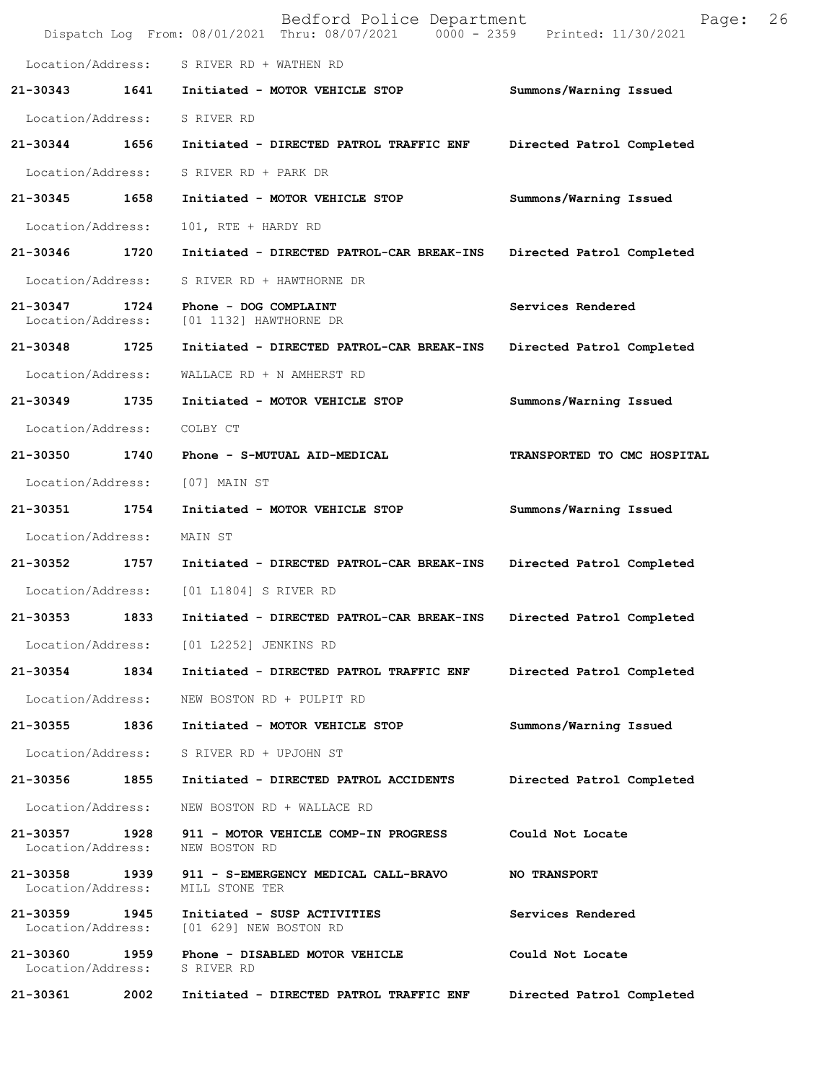| Location/Address: S RIVER RD + WATHEN RD<br>1641 Initiated - MOTOR VEHICLE STOP<br>21-30343<br>Summons/Warning Issued<br>Location/Address:<br>S RIVER RD<br>1656<br>21-30344<br>Initiated - DIRECTED PATROL TRAFFIC ENF<br>Directed Patrol Completed<br>Location/Address:<br>S RIVER RD + PARK DR<br>21-30345 1658<br>Initiated - MOTOR VEHICLE STOP<br>Summons/Warning Issued<br>Location/Address:<br>101, RTE + HARDY RD<br>1720<br>21-30346<br>Initiated - DIRECTED PATROL-CAR BREAK-INS<br>Directed Patrol Completed<br>Location/Address:<br>S RIVER RD + HAWTHORNE DR<br>21-30347<br>1724<br>Phone - DOG COMPLAINT<br>Services Rendered<br>Location/Address:<br>[01 1132] HAWTHORNE DR<br>21-30348 1725<br>Initiated - DIRECTED PATROL-CAR BREAK-INS<br>Directed Patrol Completed<br>Location/Address:<br>WALLACE RD + N AMHERST RD<br>21-30349 1735<br>Initiated - MOTOR VEHICLE STOP<br>Summons/Warning Issued<br>Location/Address:<br>COLBY CT<br>21-30350<br>1740<br>Phone - S-MUTUAL AID-MEDICAL<br>TRANSPORTED TO CMC HOSPITAL<br>Location/Address:<br>[07] MAIN ST<br>21-30351 1754<br>Initiated - MOTOR VEHICLE STOP<br>Summons/Warning Issued<br>Location/Address:<br>MAIN ST<br>21-30352 1757<br>Initiated - DIRECTED PATROL-CAR BREAK-INS<br>Directed Patrol Completed<br>Location/Address:<br>[01 L1804] S RIVER RD<br>1833<br>21-30353<br>Initiated - DIRECTED PATROL-CAR BREAK-INS<br>Directed Patrol Completed<br>Location/Address: [01 L2252] JENKINS RD<br>21-30354 1834 Initiated - DIRECTED PATROL TRAFFIC ENF<br>Directed Patrol Completed<br>Location/Address:<br>NEW BOSTON RD + PULPIT RD<br>1836<br>21-30355<br>Initiated - MOTOR VEHICLE STOP<br>Summons/Warning Issued<br>Location/Address: S RIVER RD + UPJOHN ST<br>21-30356 1855<br>Initiated - DIRECTED PATROL ACCIDENTS<br>Directed Patrol Completed<br>Location/Address:<br>NEW BOSTON RD + WALLACE RD<br>21-30357 1928 911 - MOTOR VEHICLE COMP-IN PROGRESS<br>Could Not Locate<br>Location/Address:<br>NEW BOSTON RD<br>21-30358 1939 911 - S-EMERGENCY MEDICAL CALL-BRAVO<br><b>NO TRANSPORT</b><br>Location/Address: MILL STONE TER<br>21-30359 1945<br>Services Rendered<br>Initiated - SUSP ACTIVITIES<br>Location/Address: [01 629] NEW BOSTON RD<br>21-30360<br>1959     Phone - DISABLED MOTOR VEHICLE<br>Could Not Locate<br>Location/Address: S RIVER RD<br>21-30361<br>2002<br>Directed Patrol Completed<br>Initiated - DIRECTED PATROL TRAFFIC ENF |  | Bedford Police Department<br>Dispatch Log From: 08/01/2021 Thru: 08/07/2021 0000 - 2359 Printed: 11/30/2021 | Page: | 26 |
|------------------------------------------------------------------------------------------------------------------------------------------------------------------------------------------------------------------------------------------------------------------------------------------------------------------------------------------------------------------------------------------------------------------------------------------------------------------------------------------------------------------------------------------------------------------------------------------------------------------------------------------------------------------------------------------------------------------------------------------------------------------------------------------------------------------------------------------------------------------------------------------------------------------------------------------------------------------------------------------------------------------------------------------------------------------------------------------------------------------------------------------------------------------------------------------------------------------------------------------------------------------------------------------------------------------------------------------------------------------------------------------------------------------------------------------------------------------------------------------------------------------------------------------------------------------------------------------------------------------------------------------------------------------------------------------------------------------------------------------------------------------------------------------------------------------------------------------------------------------------------------------------------------------------------------------------------------------------------------------------------------------------------------------------------------------------------------------------------------------------------------------------------------------------------------------------------------------------------------------------------------------------------------------------------------------------------------------------------------------------------------------------------------------------------------------------------|--|-------------------------------------------------------------------------------------------------------------|-------|----|
|                                                                                                                                                                                                                                                                                                                                                                                                                                                                                                                                                                                                                                                                                                                                                                                                                                                                                                                                                                                                                                                                                                                                                                                                                                                                                                                                                                                                                                                                                                                                                                                                                                                                                                                                                                                                                                                                                                                                                                                                                                                                                                                                                                                                                                                                                                                                                                                                                                                      |  |                                                                                                             |       |    |
|                                                                                                                                                                                                                                                                                                                                                                                                                                                                                                                                                                                                                                                                                                                                                                                                                                                                                                                                                                                                                                                                                                                                                                                                                                                                                                                                                                                                                                                                                                                                                                                                                                                                                                                                                                                                                                                                                                                                                                                                                                                                                                                                                                                                                                                                                                                                                                                                                                                      |  |                                                                                                             |       |    |
|                                                                                                                                                                                                                                                                                                                                                                                                                                                                                                                                                                                                                                                                                                                                                                                                                                                                                                                                                                                                                                                                                                                                                                                                                                                                                                                                                                                                                                                                                                                                                                                                                                                                                                                                                                                                                                                                                                                                                                                                                                                                                                                                                                                                                                                                                                                                                                                                                                                      |  |                                                                                                             |       |    |
|                                                                                                                                                                                                                                                                                                                                                                                                                                                                                                                                                                                                                                                                                                                                                                                                                                                                                                                                                                                                                                                                                                                                                                                                                                                                                                                                                                                                                                                                                                                                                                                                                                                                                                                                                                                                                                                                                                                                                                                                                                                                                                                                                                                                                                                                                                                                                                                                                                                      |  |                                                                                                             |       |    |
|                                                                                                                                                                                                                                                                                                                                                                                                                                                                                                                                                                                                                                                                                                                                                                                                                                                                                                                                                                                                                                                                                                                                                                                                                                                                                                                                                                                                                                                                                                                                                                                                                                                                                                                                                                                                                                                                                                                                                                                                                                                                                                                                                                                                                                                                                                                                                                                                                                                      |  |                                                                                                             |       |    |
|                                                                                                                                                                                                                                                                                                                                                                                                                                                                                                                                                                                                                                                                                                                                                                                                                                                                                                                                                                                                                                                                                                                                                                                                                                                                                                                                                                                                                                                                                                                                                                                                                                                                                                                                                                                                                                                                                                                                                                                                                                                                                                                                                                                                                                                                                                                                                                                                                                                      |  |                                                                                                             |       |    |
|                                                                                                                                                                                                                                                                                                                                                                                                                                                                                                                                                                                                                                                                                                                                                                                                                                                                                                                                                                                                                                                                                                                                                                                                                                                                                                                                                                                                                                                                                                                                                                                                                                                                                                                                                                                                                                                                                                                                                                                                                                                                                                                                                                                                                                                                                                                                                                                                                                                      |  |                                                                                                             |       |    |
|                                                                                                                                                                                                                                                                                                                                                                                                                                                                                                                                                                                                                                                                                                                                                                                                                                                                                                                                                                                                                                                                                                                                                                                                                                                                                                                                                                                                                                                                                                                                                                                                                                                                                                                                                                                                                                                                                                                                                                                                                                                                                                                                                                                                                                                                                                                                                                                                                                                      |  |                                                                                                             |       |    |
|                                                                                                                                                                                                                                                                                                                                                                                                                                                                                                                                                                                                                                                                                                                                                                                                                                                                                                                                                                                                                                                                                                                                                                                                                                                                                                                                                                                                                                                                                                                                                                                                                                                                                                                                                                                                                                                                                                                                                                                                                                                                                                                                                                                                                                                                                                                                                                                                                                                      |  |                                                                                                             |       |    |
|                                                                                                                                                                                                                                                                                                                                                                                                                                                                                                                                                                                                                                                                                                                                                                                                                                                                                                                                                                                                                                                                                                                                                                                                                                                                                                                                                                                                                                                                                                                                                                                                                                                                                                                                                                                                                                                                                                                                                                                                                                                                                                                                                                                                                                                                                                                                                                                                                                                      |  |                                                                                                             |       |    |
|                                                                                                                                                                                                                                                                                                                                                                                                                                                                                                                                                                                                                                                                                                                                                                                                                                                                                                                                                                                                                                                                                                                                                                                                                                                                                                                                                                                                                                                                                                                                                                                                                                                                                                                                                                                                                                                                                                                                                                                                                                                                                                                                                                                                                                                                                                                                                                                                                                                      |  |                                                                                                             |       |    |
|                                                                                                                                                                                                                                                                                                                                                                                                                                                                                                                                                                                                                                                                                                                                                                                                                                                                                                                                                                                                                                                                                                                                                                                                                                                                                                                                                                                                                                                                                                                                                                                                                                                                                                                                                                                                                                                                                                                                                                                                                                                                                                                                                                                                                                                                                                                                                                                                                                                      |  |                                                                                                             |       |    |
|                                                                                                                                                                                                                                                                                                                                                                                                                                                                                                                                                                                                                                                                                                                                                                                                                                                                                                                                                                                                                                                                                                                                                                                                                                                                                                                                                                                                                                                                                                                                                                                                                                                                                                                                                                                                                                                                                                                                                                                                                                                                                                                                                                                                                                                                                                                                                                                                                                                      |  |                                                                                                             |       |    |
|                                                                                                                                                                                                                                                                                                                                                                                                                                                                                                                                                                                                                                                                                                                                                                                                                                                                                                                                                                                                                                                                                                                                                                                                                                                                                                                                                                                                                                                                                                                                                                                                                                                                                                                                                                                                                                                                                                                                                                                                                                                                                                                                                                                                                                                                                                                                                                                                                                                      |  |                                                                                                             |       |    |
|                                                                                                                                                                                                                                                                                                                                                                                                                                                                                                                                                                                                                                                                                                                                                                                                                                                                                                                                                                                                                                                                                                                                                                                                                                                                                                                                                                                                                                                                                                                                                                                                                                                                                                                                                                                                                                                                                                                                                                                                                                                                                                                                                                                                                                                                                                                                                                                                                                                      |  |                                                                                                             |       |    |
|                                                                                                                                                                                                                                                                                                                                                                                                                                                                                                                                                                                                                                                                                                                                                                                                                                                                                                                                                                                                                                                                                                                                                                                                                                                                                                                                                                                                                                                                                                                                                                                                                                                                                                                                                                                                                                                                                                                                                                                                                                                                                                                                                                                                                                                                                                                                                                                                                                                      |  |                                                                                                             |       |    |
|                                                                                                                                                                                                                                                                                                                                                                                                                                                                                                                                                                                                                                                                                                                                                                                                                                                                                                                                                                                                                                                                                                                                                                                                                                                                                                                                                                                                                                                                                                                                                                                                                                                                                                                                                                                                                                                                                                                                                                                                                                                                                                                                                                                                                                                                                                                                                                                                                                                      |  |                                                                                                             |       |    |
|                                                                                                                                                                                                                                                                                                                                                                                                                                                                                                                                                                                                                                                                                                                                                                                                                                                                                                                                                                                                                                                                                                                                                                                                                                                                                                                                                                                                                                                                                                                                                                                                                                                                                                                                                                                                                                                                                                                                                                                                                                                                                                                                                                                                                                                                                                                                                                                                                                                      |  |                                                                                                             |       |    |
|                                                                                                                                                                                                                                                                                                                                                                                                                                                                                                                                                                                                                                                                                                                                                                                                                                                                                                                                                                                                                                                                                                                                                                                                                                                                                                                                                                                                                                                                                                                                                                                                                                                                                                                                                                                                                                                                                                                                                                                                                                                                                                                                                                                                                                                                                                                                                                                                                                                      |  |                                                                                                             |       |    |
|                                                                                                                                                                                                                                                                                                                                                                                                                                                                                                                                                                                                                                                                                                                                                                                                                                                                                                                                                                                                                                                                                                                                                                                                                                                                                                                                                                                                                                                                                                                                                                                                                                                                                                                                                                                                                                                                                                                                                                                                                                                                                                                                                                                                                                                                                                                                                                                                                                                      |  |                                                                                                             |       |    |
|                                                                                                                                                                                                                                                                                                                                                                                                                                                                                                                                                                                                                                                                                                                                                                                                                                                                                                                                                                                                                                                                                                                                                                                                                                                                                                                                                                                                                                                                                                                                                                                                                                                                                                                                                                                                                                                                                                                                                                                                                                                                                                                                                                                                                                                                                                                                                                                                                                                      |  |                                                                                                             |       |    |
|                                                                                                                                                                                                                                                                                                                                                                                                                                                                                                                                                                                                                                                                                                                                                                                                                                                                                                                                                                                                                                                                                                                                                                                                                                                                                                                                                                                                                                                                                                                                                                                                                                                                                                                                                                                                                                                                                                                                                                                                                                                                                                                                                                                                                                                                                                                                                                                                                                                      |  |                                                                                                             |       |    |
|                                                                                                                                                                                                                                                                                                                                                                                                                                                                                                                                                                                                                                                                                                                                                                                                                                                                                                                                                                                                                                                                                                                                                                                                                                                                                                                                                                                                                                                                                                                                                                                                                                                                                                                                                                                                                                                                                                                                                                                                                                                                                                                                                                                                                                                                                                                                                                                                                                                      |  |                                                                                                             |       |    |
|                                                                                                                                                                                                                                                                                                                                                                                                                                                                                                                                                                                                                                                                                                                                                                                                                                                                                                                                                                                                                                                                                                                                                                                                                                                                                                                                                                                                                                                                                                                                                                                                                                                                                                                                                                                                                                                                                                                                                                                                                                                                                                                                                                                                                                                                                                                                                                                                                                                      |  |                                                                                                             |       |    |
|                                                                                                                                                                                                                                                                                                                                                                                                                                                                                                                                                                                                                                                                                                                                                                                                                                                                                                                                                                                                                                                                                                                                                                                                                                                                                                                                                                                                                                                                                                                                                                                                                                                                                                                                                                                                                                                                                                                                                                                                                                                                                                                                                                                                                                                                                                                                                                                                                                                      |  |                                                                                                             |       |    |
|                                                                                                                                                                                                                                                                                                                                                                                                                                                                                                                                                                                                                                                                                                                                                                                                                                                                                                                                                                                                                                                                                                                                                                                                                                                                                                                                                                                                                                                                                                                                                                                                                                                                                                                                                                                                                                                                                                                                                                                                                                                                                                                                                                                                                                                                                                                                                                                                                                                      |  |                                                                                                             |       |    |
|                                                                                                                                                                                                                                                                                                                                                                                                                                                                                                                                                                                                                                                                                                                                                                                                                                                                                                                                                                                                                                                                                                                                                                                                                                                                                                                                                                                                                                                                                                                                                                                                                                                                                                                                                                                                                                                                                                                                                                                                                                                                                                                                                                                                                                                                                                                                                                                                                                                      |  |                                                                                                             |       |    |
|                                                                                                                                                                                                                                                                                                                                                                                                                                                                                                                                                                                                                                                                                                                                                                                                                                                                                                                                                                                                                                                                                                                                                                                                                                                                                                                                                                                                                                                                                                                                                                                                                                                                                                                                                                                                                                                                                                                                                                                                                                                                                                                                                                                                                                                                                                                                                                                                                                                      |  |                                                                                                             |       |    |
|                                                                                                                                                                                                                                                                                                                                                                                                                                                                                                                                                                                                                                                                                                                                                                                                                                                                                                                                                                                                                                                                                                                                                                                                                                                                                                                                                                                                                                                                                                                                                                                                                                                                                                                                                                                                                                                                                                                                                                                                                                                                                                                                                                                                                                                                                                                                                                                                                                                      |  |                                                                                                             |       |    |
|                                                                                                                                                                                                                                                                                                                                                                                                                                                                                                                                                                                                                                                                                                                                                                                                                                                                                                                                                                                                                                                                                                                                                                                                                                                                                                                                                                                                                                                                                                                                                                                                                                                                                                                                                                                                                                                                                                                                                                                                                                                                                                                                                                                                                                                                                                                                                                                                                                                      |  |                                                                                                             |       |    |
|                                                                                                                                                                                                                                                                                                                                                                                                                                                                                                                                                                                                                                                                                                                                                                                                                                                                                                                                                                                                                                                                                                                                                                                                                                                                                                                                                                                                                                                                                                                                                                                                                                                                                                                                                                                                                                                                                                                                                                                                                                                                                                                                                                                                                                                                                                                                                                                                                                                      |  |                                                                                                             |       |    |
|                                                                                                                                                                                                                                                                                                                                                                                                                                                                                                                                                                                                                                                                                                                                                                                                                                                                                                                                                                                                                                                                                                                                                                                                                                                                                                                                                                                                                                                                                                                                                                                                                                                                                                                                                                                                                                                                                                                                                                                                                                                                                                                                                                                                                                                                                                                                                                                                                                                      |  |                                                                                                             |       |    |
|                                                                                                                                                                                                                                                                                                                                                                                                                                                                                                                                                                                                                                                                                                                                                                                                                                                                                                                                                                                                                                                                                                                                                                                                                                                                                                                                                                                                                                                                                                                                                                                                                                                                                                                                                                                                                                                                                                                                                                                                                                                                                                                                                                                                                                                                                                                                                                                                                                                      |  |                                                                                                             |       |    |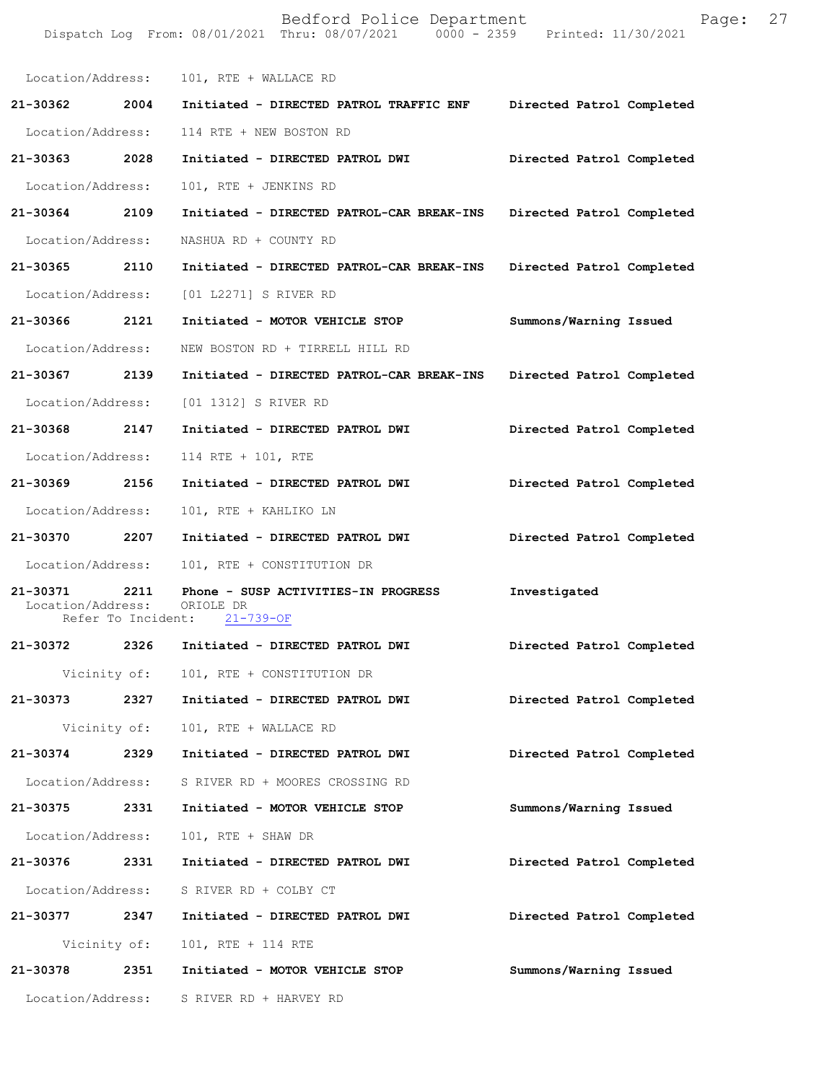|                                    |                    | Bedford Police Department<br>Dispatch Log From: 08/01/2021 Thru: 08/07/2021 0000 - 2359 Printed: 11/30/2021 | Page:                     | 27 |
|------------------------------------|--------------------|-------------------------------------------------------------------------------------------------------------|---------------------------|----|
|                                    |                    | Location/Address: 101, RTE + WALLACE RD                                                                     |                           |    |
| 21-30362                           | 2004               | Initiated - DIRECTED PATROL TRAFFIC ENF                                                                     | Directed Patrol Completed |    |
| Location/Address:                  |                    | 114 RTE + NEW BOSTON RD                                                                                     |                           |    |
| 21-30363 2028                      |                    | Initiated - DIRECTED PATROL DWI                                                                             | Directed Patrol Completed |    |
| Location/Address:                  |                    | 101, RTE + JENKINS RD                                                                                       |                           |    |
| 21-30364 2109                      |                    | Initiated - DIRECTED PATROL-CAR BREAK-INS Directed Patrol Completed                                         |                           |    |
| Location/Address:                  |                    | NASHUA RD + COUNTY RD                                                                                       |                           |    |
| 21-30365 2110                      |                    | Initiated - DIRECTED PATROL-CAR BREAK-INS                                                                   | Directed Patrol Completed |    |
| Location/Address:                  |                    | [01 L2271] S RIVER RD                                                                                       |                           |    |
| 21-30366                           | 2121               | Initiated - MOTOR VEHICLE STOP                                                                              | Summons/Warning Issued    |    |
| Location/Address:                  |                    | NEW BOSTON RD + TIRRELL HILL RD                                                                             |                           |    |
| 21-30367 2139                      |                    | Initiated - DIRECTED PATROL-CAR BREAK-INS                                                                   | Directed Patrol Completed |    |
| Location/Address:                  |                    | [01 1312] S RIVER RD                                                                                        |                           |    |
| 21-30368 2147                      |                    | Initiated - DIRECTED PATROL DWI                                                                             | Directed Patrol Completed |    |
| Location/Address:                  |                    | 114 RTE + 101, RTE                                                                                          |                           |    |
| 21-30369 2156                      |                    | Initiated - DIRECTED PATROL DWI                                                                             | Directed Patrol Completed |    |
| Location/Address:                  |                    | 101, RTE + KAHLIKO LN                                                                                       |                           |    |
| 21-30370 2207                      |                    | Initiated - DIRECTED PATROL DWI                                                                             | Directed Patrol Completed |    |
| Location/Address:                  |                    | 101, RTE + CONSTITUTION DR                                                                                  |                           |    |
| 21-30371 2211<br>Location/Address: | Refer To Incident: | Phone - SUSP ACTIVITIES-IN PROGRESS<br>ORIOLE DR<br>$21 - 739 - OF$                                         | Investigated              |    |
| 21-30372 2326                      |                    | Initiated - DIRECTED PATROL DWI                                                                             | Directed Patrol Completed |    |
|                                    | Vicinity of:       | 101, RTE + CONSTITUTION DR                                                                                  |                           |    |
|                                    |                    | 21-30373  2327  Initiated - DIRECTED PATROL DWI                                                             | Directed Patrol Completed |    |
|                                    | Vicinity of:       | 101, RTE + WALLACE RD                                                                                       |                           |    |
| 21-30374 2329                      |                    | Initiated - DIRECTED PATROL DWI                                                                             | Directed Patrol Completed |    |
| Location/Address:                  |                    | S RIVER RD + MOORES CROSSING RD                                                                             |                           |    |
| 21-30375 2331                      |                    | Initiated - MOTOR VEHICLE STOP                                                                              | Summons/Warning Issued    |    |
| Location/Address:                  |                    | 101, RTE + SHAW DR                                                                                          |                           |    |
| 21-30376 2331                      |                    | Initiated - DIRECTED PATROL DWI                                                                             | Directed Patrol Completed |    |
|                                    |                    | Location/Address: S RIVER RD + COLBY CT                                                                     |                           |    |
|                                    |                    | 21-30377 2347 Initiated - DIRECTED PATROL DWI                                                               | Directed Patrol Completed |    |
|                                    | Vicinity of:       | 101, RTE + 114 RTE                                                                                          |                           |    |
| 21-30378                           | 2351               | Initiated - MOTOR VEHICLE STOP                                                                              | Summons/Warning Issued    |    |
|                                    |                    | Location/Address: S RIVER RD + HARVEY RD                                                                    |                           |    |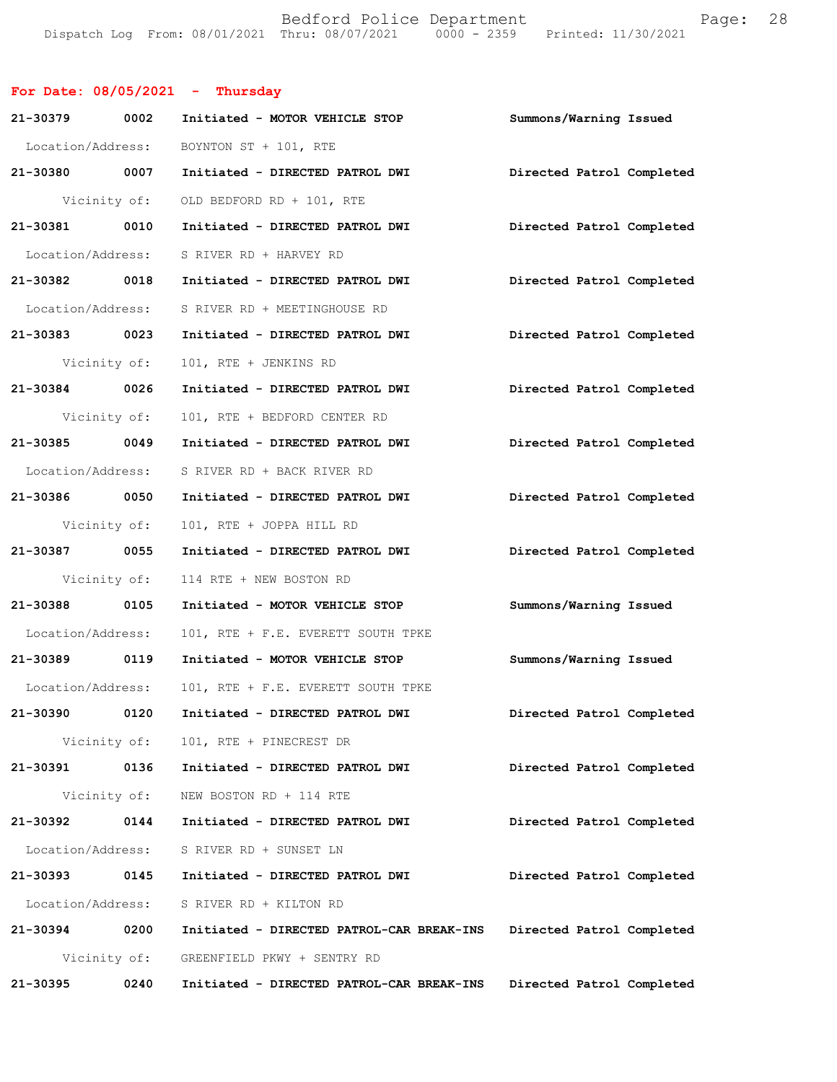Bedford Police Department Fage: 28 Dispatch Log From: 08/01/2021 Thru: 08/07/2021 0000 - 2359 Printed: 11/30/2021

## **For Date: 08/05/2021 - Thursday**

| 21-30379 0002     |              | Initiated - MOTOR VEHICLE STOP            | Summons/Warning Issued    |
|-------------------|--------------|-------------------------------------------|---------------------------|
| Location/Address: |              | BOYNTON ST + 101, RTE                     |                           |
| 21-30380 0007     |              | Initiated - DIRECTED PATROL DWI           | Directed Patrol Completed |
| Vicinity of:      |              | OLD BEDFORD RD + 101, RTE                 |                           |
| 21-30381 0010     |              | Initiated - DIRECTED PATROL DWI           | Directed Patrol Completed |
| Location/Address: |              | S RIVER RD + HARVEY RD                    |                           |
| 21-30382 0018     |              | Initiated - DIRECTED PATROL DWI           | Directed Patrol Completed |
| Location/Address: |              | S RIVER RD + MEETINGHOUSE RD              |                           |
| 21-30383 0023     |              | Initiated - DIRECTED PATROL DWI           | Directed Patrol Completed |
| Vicinity of:      |              | 101, RTE + JENKINS RD                     |                           |
| 21-30384 0026     |              | Initiated - DIRECTED PATROL DWI           | Directed Patrol Completed |
| Vicinity of:      |              | 101, RTE + BEDFORD CENTER RD              |                           |
| 21-30385 0049     |              | Initiated - DIRECTED PATROL DWI           | Directed Patrol Completed |
| Location/Address: |              | S RIVER RD + BACK RIVER RD                |                           |
| 21-30386 0050     |              | Initiated - DIRECTED PATROL DWI           | Directed Patrol Completed |
| Vicinity of:      |              | 101, RTE + JOPPA HILL RD                  |                           |
| 21-30387 0055     |              | Initiated - DIRECTED PATROL DWI           | Directed Patrol Completed |
| Vicinity of:      |              | 114 RTE + NEW BOSTON RD                   |                           |
| 21-30388 0105     |              | Initiated - MOTOR VEHICLE STOP            | Summons/Warning Issued    |
| Location/Address: |              | 101, RTE + F.E. EVERETT SOUTH TPKE        |                           |
| 21-30389 0119     |              | Initiated - MOTOR VEHICLE STOP            | Summons/Warning Issued    |
| Location/Address: |              | 101, RTE + F.E. EVERETT SOUTH TPKE        |                           |
| 21-30390 0120     |              | Initiated - DIRECTED PATROL DWI           | Directed Patrol Completed |
|                   |              | Vicinity of: 101, RTE + PINECREST DR      |                           |
| 21-30391          | 0136         | Initiated - DIRECTED PATROL DWI           | Directed Patrol Completed |
|                   | Vicinity of: | NEW BOSTON RD + 114 RTE                   |                           |
| 21-30392          | 0144         | Initiated - DIRECTED PATROL DWI           | Directed Patrol Completed |
| Location/Address: |              | S RIVER RD + SUNSET LN                    |                           |
| 21-30393          | 0145         | Initiated - DIRECTED PATROL DWI           | Directed Patrol Completed |
| Location/Address: |              | S RIVER RD + KILTON RD                    |                           |
| 21-30394          | 0200         | Initiated - DIRECTED PATROL-CAR BREAK-INS | Directed Patrol Completed |
|                   | Vicinity of: | GREENFIELD PKWY + SENTRY RD               |                           |
| 21-30395          | 0240         | Initiated - DIRECTED PATROL-CAR BREAK-INS | Directed Patrol Completed |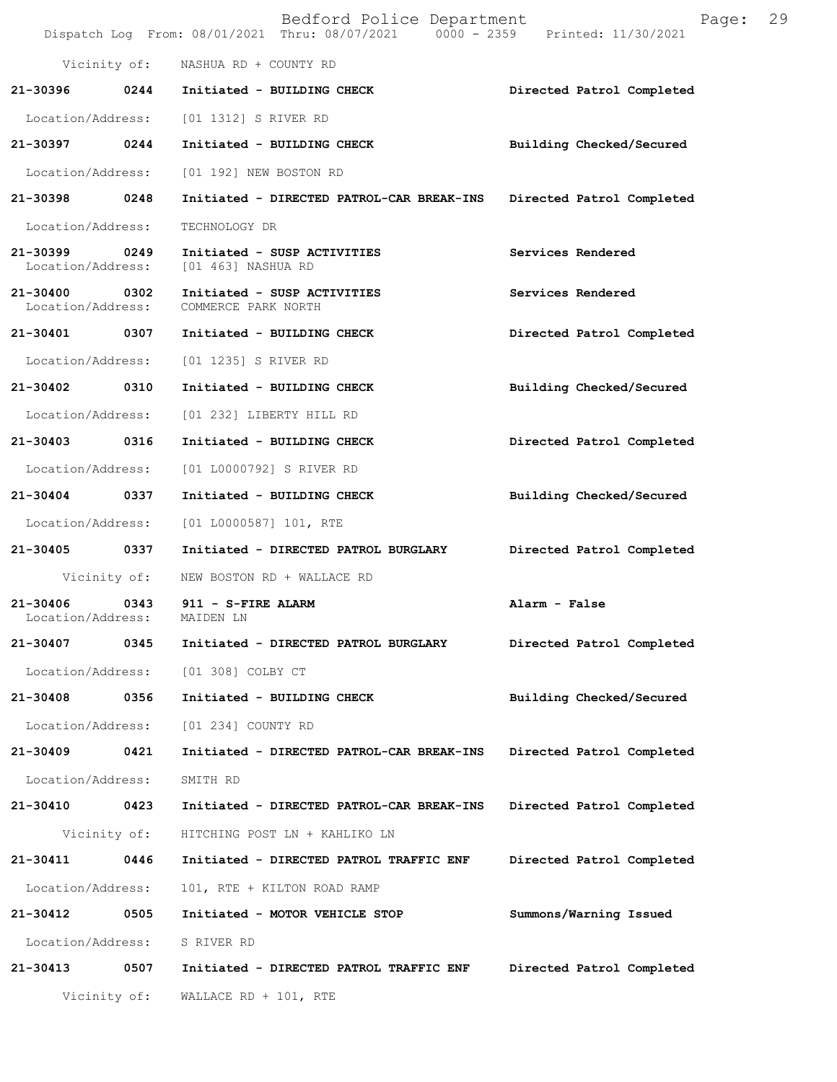|                                    |              | Bedford Police Department<br>Dispatch Log From: 08/01/2021 Thru: 08/07/2021 0000 - 2359 Printed: 11/30/2021 | Page:                     | 29 |
|------------------------------------|--------------|-------------------------------------------------------------------------------------------------------------|---------------------------|----|
|                                    |              | Vicinity of: NASHUA RD + COUNTY RD                                                                          |                           |    |
|                                    |              | 21-30396 0244 Initiated - BUILDING CHECK                                                                    | Directed Patrol Completed |    |
|                                    |              | Location/Address: [01 1312] S RIVER RD                                                                      |                           |    |
| 21-30397 0244                      |              | Initiated - BUILDING CHECK                                                                                  | Building Checked/Secured  |    |
| Location/Address:                  |              | [01 192] NEW BOSTON RD                                                                                      |                           |    |
| 21-30398 0248                      |              | Initiated - DIRECTED PATROL-CAR BREAK-INS                                                                   | Directed Patrol Completed |    |
| Location/Address:                  |              | TECHNOLOGY DR                                                                                               |                           |    |
| 21-30399 0249<br>Location/Address: |              | Initiated - SUSP ACTIVITIES<br>[01 463] NASHUA RD                                                           | Services Rendered         |    |
| 21-30400 0302<br>Location/Address: |              | Initiated - SUSP ACTIVITIES<br>COMMERCE PARK NORTH                                                          | Services Rendered         |    |
| 21-30401 0307                      |              | Initiated - BUILDING CHECK                                                                                  | Directed Patrol Completed |    |
| Location/Address:                  |              | [01 1235] S RIVER RD                                                                                        |                           |    |
| 21-30402 0310                      |              | Initiated - BUILDING CHECK                                                                                  | Building Checked/Secured  |    |
| Location/Address:                  |              | [01 232] LIBERTY HILL RD                                                                                    |                           |    |
| 21-30403 0316                      |              | Initiated - BUILDING CHECK                                                                                  | Directed Patrol Completed |    |
| Location/Address:                  |              | [01 L0000792] S RIVER RD                                                                                    |                           |    |
| 21-30404 0337                      |              | Initiated - BUILDING CHECK                                                                                  | Building Checked/Secured  |    |
| Location/Address:                  |              | $[01 L0000587] 101$ , RTE                                                                                   |                           |    |
| 21-30405 0337                      |              | Initiated - DIRECTED PATROL BURGLARY                                                                        | Directed Patrol Completed |    |
| Vicinity of:                       |              | NEW BOSTON RD + WALLACE RD                                                                                  |                           |    |
| 21-30406 0343<br>Location/Address: |              | 911 - S-FIRE ALARM<br>MAIDEN LN                                                                             | Alarm - False             |    |
| 21-30407                           | 0345         | Initiated - DIRECTED PATROL BURGLARY                                                                        | Directed Patrol Completed |    |
| Location/Address:                  |              | [01 308] COLBY CT                                                                                           |                           |    |
| 21-30408                           | 0356         | Initiated - BUILDING CHECK                                                                                  | Building Checked/Secured  |    |
| Location/Address:                  |              | [01 234] COUNTY RD                                                                                          |                           |    |
| 21-30409                           | 0421         | Initiated - DIRECTED PATROL-CAR BREAK-INS                                                                   | Directed Patrol Completed |    |
| Location/Address:                  |              | SMITH RD                                                                                                    |                           |    |
| 21-30410                           | 0423         | Initiated - DIRECTED PATROL-CAR BREAK-INS                                                                   | Directed Patrol Completed |    |
|                                    | Vicinity of: | HITCHING POST LN + KAHLIKO LN                                                                               |                           |    |
| 21-30411                           | 0446         | Initiated - DIRECTED PATROL TRAFFIC ENF                                                                     | Directed Patrol Completed |    |
| Location/Address:                  |              | 101, RTE + KILTON ROAD RAMP                                                                                 |                           |    |
| 21-30412                           | 0505         | Initiated - MOTOR VEHICLE STOP                                                                              | Summons/Warning Issued    |    |
| Location/Address:                  |              | S RIVER RD                                                                                                  |                           |    |
| 21-30413                           | 0507         | Initiated - DIRECTED PATROL TRAFFIC ENF                                                                     | Directed Patrol Completed |    |
|                                    | Vicinity of: | WALLACE $RD + 101$ , RTE                                                                                    |                           |    |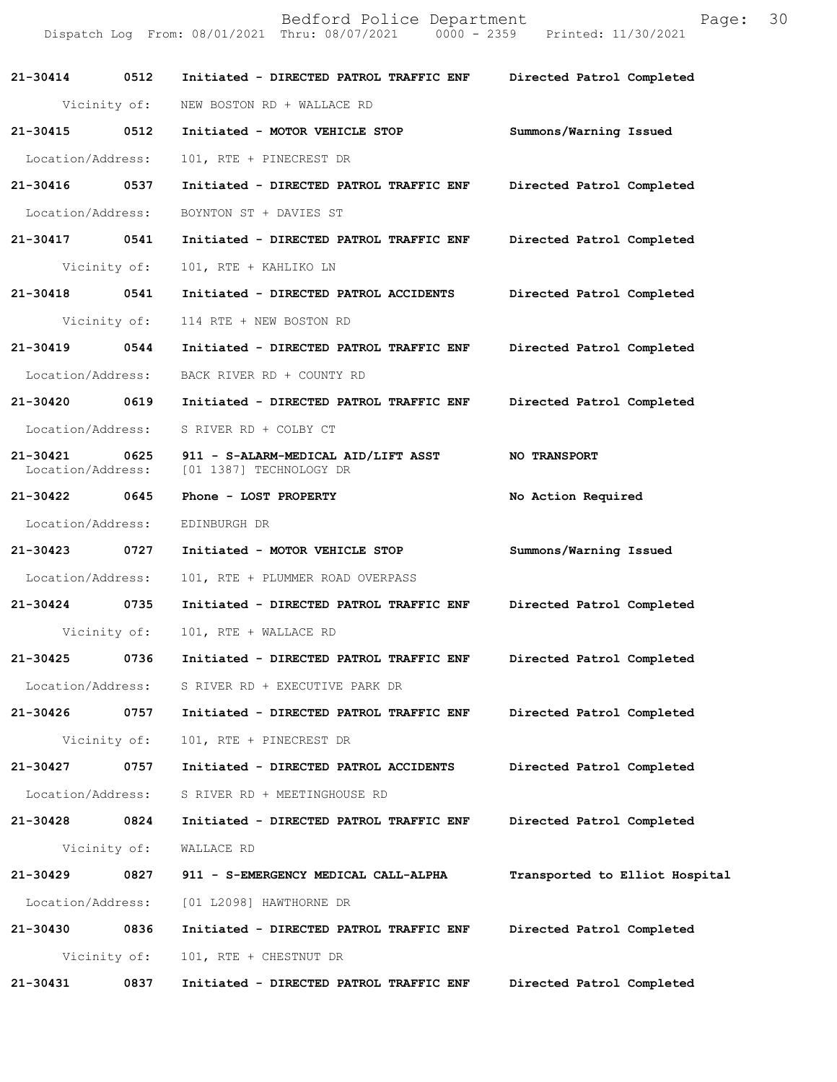Bedford Police Department [11/30/2021 | Page: 30 Dispatch Log From: 08/01/2021 Thru: 08/07/2021 **21-30414 0512 Initiated - DIRECTED PATROL TRAFFIC ENF Directed Patrol Completed**  Vicinity of: NEW BOSTON RD + WALLACE RD **21-30415 0512 Initiated - MOTOR VEHICLE STOP Summons/Warning Issued**  Location/Address: 101, RTE + PINECREST DR **21-30416 0537 Initiated - DIRECTED PATROL TRAFFIC ENF Directed Patrol Completed**  Location/Address: BOYNTON ST + DAVIES ST **21-30417 0541 Initiated - DIRECTED PATROL TRAFFIC ENF Directed Patrol Completed**  Vicinity of: 101, RTE + KAHLIKO LN **21-30418 0541 Initiated - DIRECTED PATROL ACCIDENTS Directed Patrol Completed**  Vicinity of: 114 RTE + NEW BOSTON RD **21-30419 0544 Initiated - DIRECTED PATROL TRAFFIC ENF Directed Patrol Completed**  Location/Address: BACK RIVER RD + COUNTY RD **21-30420 0619 Initiated - DIRECTED PATROL TRAFFIC ENF Directed Patrol Completed**  Location/Address: S RIVER RD + COLBY CT **21-30421 0625 911 - S-ALARM-MEDICAL AID/LIFT ASST NO TRANSPORT**  Location/Address: [01 1387] TECHNOLOGY DR **21-30422 0645 Phone - LOST PROPERTY No Action Required**  Location/Address: EDINBURGH DR **21-30423 0727 Initiated - MOTOR VEHICLE STOP Summons/Warning Issued**  Location/Address: 101, RTE + PLUMMER ROAD OVERPASS **21-30424 0735 Initiated - DIRECTED PATROL TRAFFIC ENF Directed Patrol Completed**  Vicinity of: 101, RTE + WALLACE RD **21-30425 0736 Initiated - DIRECTED PATROL TRAFFIC ENF Directed Patrol Completed**  Location/Address: S RIVER RD + EXECUTIVE PARK DR **21-30426 0757 Initiated - DIRECTED PATROL TRAFFIC ENF Directed Patrol Completed**  Vicinity of: 101, RTE + PINECREST DR **21-30427 0757 Initiated - DIRECTED PATROL ACCIDENTS Directed Patrol Completed**  Location/Address: S RIVER RD + MEETINGHOUSE RD **21-30428 0824 Initiated - DIRECTED PATROL TRAFFIC ENF Directed Patrol Completed**  Vicinity of: WALLACE RD **21-30429 0827 911 - S-EMERGENCY MEDICAL CALL-ALPHA Transported to Elliot Hospital** Location/Address: [01 L2098] HAWTHORNE DR **21-30430 0836 Initiated - DIRECTED PATROL TRAFFIC ENF Directed Patrol Completed**  Vicinity of: 101, RTE + CHESTNUT DR **21-30431 0837 Initiated - DIRECTED PATROL TRAFFIC ENF Directed Patrol Completed**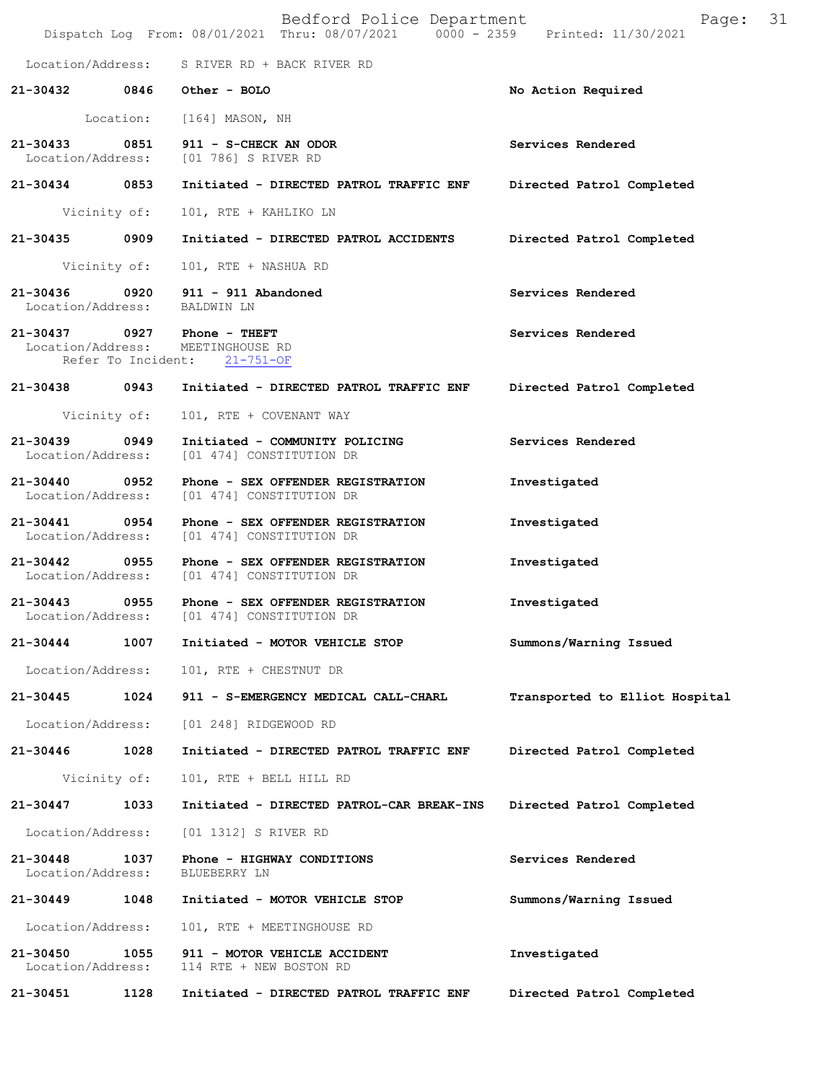|                                    |              | Bedford Police Department<br>Dispatch Log From: 08/01/2021 Thru: 08/07/2021   0000 - 2359   Printed: 11/30/2021 | Page: 31                       |  |
|------------------------------------|--------------|-----------------------------------------------------------------------------------------------------------------|--------------------------------|--|
|                                    |              | Location/Address: S RIVER RD + BACK RIVER RD                                                                    |                                |  |
|                                    |              | 21-30432 0846 Other - BOLO                                                                                      | No Action Required             |  |
|                                    |              | Location: [164] MASON, NH                                                                                       |                                |  |
| 21-30433 0851                      |              | 911 - S-CHECK AN ODOR<br>Location/Address: [01 786] S RIVER RD                                                  | Services Rendered              |  |
| 21-30434 0853                      |              | Initiated - DIRECTED PATROL TRAFFIC ENF                                                                         | Directed Patrol Completed      |  |
|                                    | Vicinity of: | 101, RTE + KAHLIKO LN                                                                                           |                                |  |
| 21-30435 0909                      |              | Initiated - DIRECTED PATROL ACCIDENTS                                                                           | Directed Patrol Completed      |  |
|                                    | Vicinity of: | 101, RTE + NASHUA RD                                                                                            |                                |  |
| 21-30436 0920<br>Location/Address: |              | 911 - 911 Abandoned<br>BALDWIN LN                                                                               | Services Rendered              |  |
|                                    |              | 21-30437 0927 Phone - THEFT<br>Location/Address: MEETINGHOUSE RD<br>Refer To Incident: 21-751-OF                | Services Rendered              |  |
|                                    |              | 21-30438 0943 Initiated - DIRECTED PATROL TRAFFIC ENF                                                           | Directed Patrol Completed      |  |
|                                    | Vicinity of: | 101, RTE + COVENANT WAY                                                                                         |                                |  |
| 21-30439 0949<br>Location/Address: |              | Initiated - COMMUNITY POLICING<br>[01 474] CONSTITUTION DR                                                      | Services Rendered              |  |
| 21-30440 0952                      |              | Phone - SEX OFFENDER REGISTRATION<br>Location/Address: [01 474] CONSTITUTION DR                                 | Investigated                   |  |
| 21-30441 0954                      |              | Phone - SEX OFFENDER REGISTRATION<br>Location/Address: [01 474] CONSTITUTION DR                                 | Investigated                   |  |
| 21-30442 0955                      |              | Phone - SEX OFFENDER REGISTRATION<br>Location/Address: [01 474] CONSTITUTION DR                                 | Investigated                   |  |
| 21-30443 0955                      |              | Phone - SEX OFFENDER REGISTRATION<br>Location/Address: [01 474] CONSTITUTION DR                                 | Investigated                   |  |
| 21-30444                           | 1007         | Initiated - MOTOR VEHICLE STOP                                                                                  | Summons/Warning Issued         |  |
| Location/Address:                  |              | 101, RTE + CHESTNUT DR                                                                                          |                                |  |
| 21-30445                           | 1024         | 911 - S-EMERGENCY MEDICAL CALL-CHARL                                                                            | Transported to Elliot Hospital |  |
| Location/Address:                  |              | [01 248] RIDGEWOOD RD                                                                                           |                                |  |
| 21-30446                           | 1028         | Initiated - DIRECTED PATROL TRAFFIC ENF                                                                         | Directed Patrol Completed      |  |
|                                    | Vicinity of: | 101, RTE + BELL HILL RD                                                                                         |                                |  |
| 21-30447                           | 1033         | Initiated - DIRECTED PATROL-CAR BREAK-INS                                                                       | Directed Patrol Completed      |  |
| Location/Address:                  |              | [01 1312] S RIVER RD                                                                                            |                                |  |
| 21-30448<br>Location/Address:      | 1037         | Phone - HIGHWAY CONDITIONS<br>BLUEBERRY LN                                                                      | Services Rendered              |  |
| 21-30449                           | 1048         | Initiated - MOTOR VEHICLE STOP                                                                                  | Summons/Warning Issued         |  |
| Location/Address:                  |              | 101, RTE + MEETINGHOUSE RD                                                                                      |                                |  |
| 21-30450<br>Location/Address:      | 1055         | 911 - MOTOR VEHICLE ACCIDENT<br>114 RTE + NEW BOSTON RD                                                         | Investigated                   |  |
| 21-30451                           | 1128         | Initiated - DIRECTED PATROL TRAFFIC ENF                                                                         | Directed Patrol Completed      |  |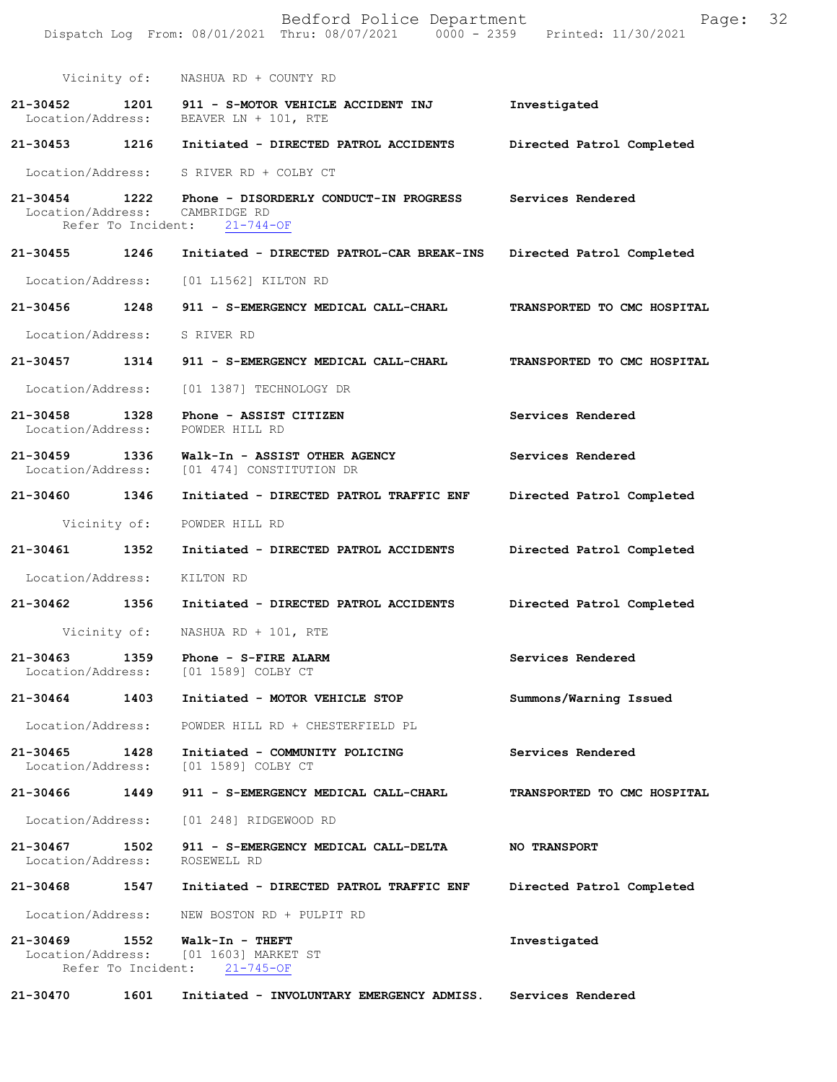|                                    |                            | Bedford Police Department<br>Dispatch Log From: 08/01/2021 Thru: 08/07/2021 0000 - 2359 Printed: 11/30/2021 | Page:                       | 32 |
|------------------------------------|----------------------------|-------------------------------------------------------------------------------------------------------------|-----------------------------|----|
|                                    | Vicinity of:               | NASHUA RD + COUNTY RD                                                                                       |                             |    |
| $21 - 30452$<br>Location/Address:  | 1201                       | 911 - S-MOTOR VEHICLE ACCIDENT INJ<br>BEAVER LN + 101, RTE                                                  | Investigated                |    |
| 21-30453                           | 1216                       | Initiated - DIRECTED PATROL ACCIDENTS                                                                       | Directed Patrol Completed   |    |
| Location/Address:                  |                            | S RIVER RD + COLBY CT                                                                                       |                             |    |
| 21-30454 1222<br>Location/Address: | Refer To Incident:         | Phone - DISORDERLY CONDUCT-IN PROGRESS<br>CAMBRIDGE RD<br>$21 - 744 - OF$                                   | Services Rendered           |    |
| 21-30455                           | 1246                       | Initiated - DIRECTED PATROL-CAR BREAK-INS                                                                   | Directed Patrol Completed   |    |
| Location/Address:                  |                            | [01 L1562] KILTON RD                                                                                        |                             |    |
| 21-30456                           | 1248                       | 911 - S-EMERGENCY MEDICAL CALL-CHARL                                                                        | TRANSPORTED TO CMC HOSPITAL |    |
| Location/Address:                  |                            | S RIVER RD                                                                                                  |                             |    |
| 21-30457 1314                      |                            | 911 - S-EMERGENCY MEDICAL CALL-CHARL                                                                        | TRANSPORTED TO CMC HOSPITAL |    |
| Location/Address:                  |                            | [01 1387] TECHNOLOGY DR                                                                                     |                             |    |
| $21 - 30458$<br>Location/Address:  | 1328                       | Phone - ASSIST CITIZEN<br>POWDER HILL RD                                                                    | Services Rendered           |    |
| 21-30459<br>Location/Address:      | 1336                       | Walk-In - ASSIST OTHER AGENCY<br>[01 474] CONSTITUTION DR                                                   | Services Rendered           |    |
| 21-30460 1346                      |                            | Initiated - DIRECTED PATROL TRAFFIC ENF                                                                     | Directed Patrol Completed   |    |
|                                    | Vicinity of:               | POWDER HILL RD                                                                                              |                             |    |
| 21-30461                           | 1352                       | Initiated - DIRECTED PATROL ACCIDENTS                                                                       | Directed Patrol Completed   |    |
| Location/Address:                  |                            | KILTON RD                                                                                                   |                             |    |
| 21-30462                           | 1356                       | Initiated - DIRECTED PATROL ACCIDENTS                                                                       | Directed Patrol Completed   |    |
|                                    | Vicinity of:               | NASHUA RD + 101, RTE                                                                                        |                             |    |
| 21-30463<br>Location/Address:      | 1359                       | Phone - S-FIRE ALARM<br>[01 1589] COLBY CT                                                                  | Services Rendered           |    |
| 21-30464                           | 1403                       | Initiated - MOTOR VEHICLE STOP                                                                              | Summons/Warning Issued      |    |
| Location/Address:                  |                            | POWDER HILL RD + CHESTERFIELD PL                                                                            |                             |    |
| 21-30465<br>Location/Address:      | 1428                       | Initiated - COMMUNITY POLICING<br>[01 1589] COLBY CT                                                        | Services Rendered           |    |
| 21-30466                           | 1449                       | 911 - S-EMERGENCY MEDICAL CALL-CHARL                                                                        | TRANSPORTED TO CMC HOSPITAL |    |
| Location/Address:                  |                            | [01 248] RIDGEWOOD RD                                                                                       |                             |    |
| 21-30467<br>Location/Address:      | 1502                       | 911 - S-EMERGENCY MEDICAL CALL-DELTA<br>ROSEWELL RD                                                         | <b>NO TRANSPORT</b>         |    |
| 21-30468                           | 1547                       | Initiated - DIRECTED PATROL TRAFFIC ENF                                                                     | Directed Patrol Completed   |    |
| Location/Address:                  |                            | NEW BOSTON RD + PULPIT RD                                                                                   |                             |    |
| 21-30469<br>Location/Address:      | 1552<br>Refer To Incident: | Walk-In - THEFT<br>[01 1603] MARKET ST<br>$21 - 745 - OF$                                                   | Investigated                |    |
| 21-30470                           | 1601                       | Initiated - INVOLUNTARY EMERGENCY ADMISS.                                                                   | Services Rendered           |    |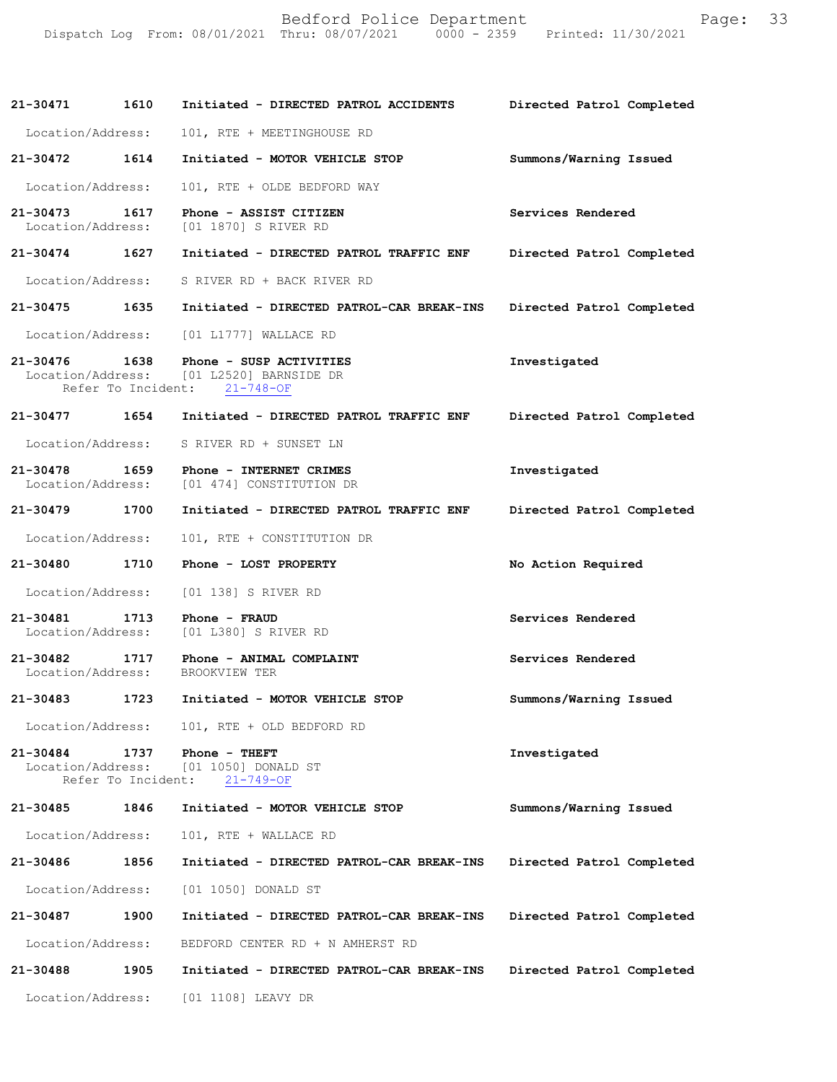|                                                |  |  | Bedford Police Department       |  | Page: 33 |  |
|------------------------------------------------|--|--|---------------------------------|--|----------|--|
| Dispatch Log From: 08/01/2021 Thru: 08/07/2021 |  |  | 0000 - 2359 Printed: 11/30/2021 |  |          |  |

| 21-30471                          | 1610                       | Initiated - DIRECTED PATROL ACCIDENTS                                                                               | Directed Patrol Completed |
|-----------------------------------|----------------------------|---------------------------------------------------------------------------------------------------------------------|---------------------------|
| Location/Address:                 |                            | 101, RTE + MEETINGHOUSE RD                                                                                          |                           |
| 21-30472                          | 1614                       | Initiated - MOTOR VEHICLE STOP                                                                                      | Summons/Warning Issued    |
| Location/Address:                 |                            | 101, RTE + OLDE BEDFORD WAY                                                                                         |                           |
| 21-30473                          | 1617                       | Phone - ASSIST CITIZEN<br>Location/Address: [01 1870] S RIVER RD                                                    | Services Rendered         |
| 21-30474 1627                     |                            | Initiated - DIRECTED PATROL TRAFFIC ENF                                                                             | Directed Patrol Completed |
| Location/Address:                 |                            | S RIVER RD + BACK RIVER RD                                                                                          |                           |
| 21-30475                          | 1635                       | Initiated - DIRECTED PATROL-CAR BREAK-INS                                                                           | Directed Patrol Completed |
| Location/Address:                 |                            | [01 L1777] WALLACE RD                                                                                               |                           |
|                                   |                            | $21-30476$ 1638 Phone - SUSP ACTIVITIES<br>Location/Address: [01 L2520] BARNSIDE DR<br>Refer To Incident: 21-748-OF | Investigated              |
| 21-30477 1654                     |                            | Initiated - DIRECTED PATROL TRAFFIC ENF                                                                             | Directed Patrol Completed |
| Location/Address:                 |                            | S RIVER RD + SUNSET LN                                                                                              |                           |
| 21-30478<br>Location/Address:     | 1659                       | Phone - INTERNET CRIMES<br>[01 474] CONSTITUTION DR                                                                 | Investigated              |
| 21-30479 1700                     |                            | Initiated - DIRECTED PATROL TRAFFIC ENF                                                                             | Directed Patrol Completed |
| Location/Address:                 |                            | 101, RTE + CONSTITUTION DR                                                                                          |                           |
| 21-30480                          | 1710                       | Phone - LOST PROPERTY                                                                                               | No Action Required        |
| Location/Address:                 |                            | [01 138] S RIVER RD                                                                                                 |                           |
| 21-30481<br>Location/Address:     | 1713                       | Phone - FRAUD<br>[01 L380] S RIVER RD                                                                               | Services Rendered         |
| 21-30482                          | 1717                       | Phone - ANIMAL COMPLAINT<br>Location/Address: BROOKVIEW TER                                                         | Services Rendered         |
| 21-30483                          | 1723                       | Initiated - MOTOR VEHICLE STOP                                                                                      | Summons/Warning Issued    |
| Location/Address:                 |                            | 101, RTE + OLD BEDFORD RD                                                                                           |                           |
| $21 - 30484$<br>Location/Address: | 1737<br>Refer To Incident: | Phone - THEFT<br>[01 1050] DONALD ST<br>$21 - 749 - OF$                                                             | Investigated              |
| 21-30485                          | 1846                       | Initiated - MOTOR VEHICLE STOP                                                                                      | Summons/Warning Issued    |
| Location/Address:                 |                            | 101, RTE + WALLACE RD                                                                                               |                           |
| 21-30486                          | 1856                       | Initiated - DIRECTED PATROL-CAR BREAK-INS                                                                           | Directed Patrol Completed |
| Location/Address:                 |                            | [01 1050] DONALD ST                                                                                                 |                           |
| 21-30487                          | 1900                       | Initiated - DIRECTED PATROL-CAR BREAK-INS                                                                           | Directed Patrol Completed |
| Location/Address:                 |                            | BEDFORD CENTER RD + N AMHERST RD                                                                                    |                           |
| 21-30488                          | 1905                       | Initiated - DIRECTED PATROL-CAR BREAK-INS                                                                           | Directed Patrol Completed |
| Location/Address:                 |                            | [01 1108] LEAVY DR                                                                                                  |                           |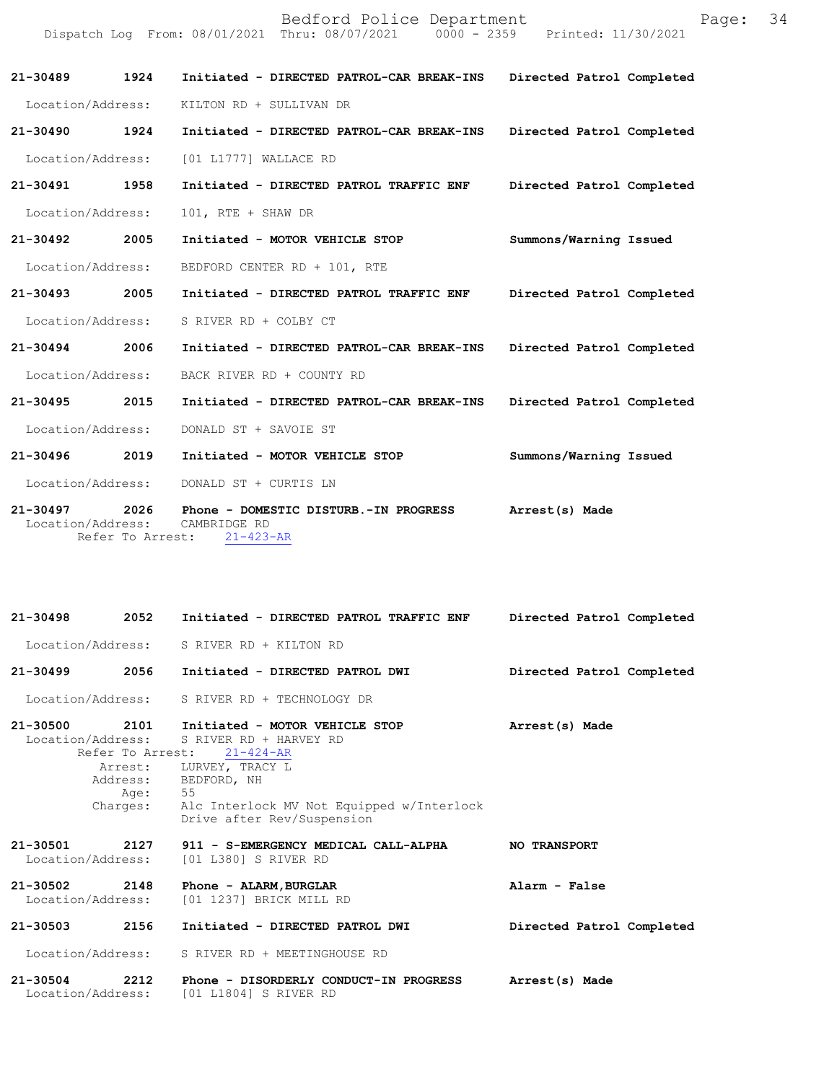|                               |      | Bedford Police Department<br>Dispatch Log From: 08/01/2021 Thru: 08/07/2021 0000 - 2359 Printed: 11/30/2021 | Page:                     | 34 |
|-------------------------------|------|-------------------------------------------------------------------------------------------------------------|---------------------------|----|
| 21-30489                      | 1924 | Initiated - DIRECTED PATROL-CAR BREAK-INS                                                                   | Directed Patrol Completed |    |
| Location/Address:             |      | KILTON RD + SULLIVAN DR                                                                                     |                           |    |
| 21-30490                      | 1924 | Initiated - DIRECTED PATROL-CAR BREAK-INS                                                                   | Directed Patrol Completed |    |
| Location/Address:             |      | [01 L1777] WALLACE RD                                                                                       |                           |    |
| 21-30491                      | 1958 | Initiated - DIRECTED PATROL TRAFFIC ENF                                                                     | Directed Patrol Completed |    |
| Location/Address:             |      | 101, RTE + SHAW DR                                                                                          |                           |    |
| 21-30492                      | 2005 | Initiated - MOTOR VEHICLE STOP                                                                              | Summons/Warning Issued    |    |
| Location/Address:             |      | BEDFORD CENTER RD + 101, RTE                                                                                |                           |    |
| 21-30493                      | 2005 | Initiated - DIRECTED PATROL TRAFFIC ENF                                                                     | Directed Patrol Completed |    |
| Location/Address:             |      | S RIVER RD + COLBY CT                                                                                       |                           |    |
| 21-30494                      | 2006 | Initiated - DIRECTED PATROL-CAR BREAK-INS                                                                   | Directed Patrol Completed |    |
| Location/Address:             |      | BACK RIVER RD + COUNTY RD                                                                                   |                           |    |
| 21-30495                      | 2015 | Initiated - DIRECTED PATROL-CAR BREAK-INS                                                                   | Directed Patrol Completed |    |
| Location/Address:             |      | DONALD ST + SAVOIE ST                                                                                       |                           |    |
| 21-30496                      | 2019 | Initiated - MOTOR VEHICLE STOP                                                                              | Summons/Warning Issued    |    |
| Location/Address:             |      | DONALD ST + CURTIS LN                                                                                       |                           |    |
| 21-30497<br>Location/Address: | 2026 | Phone - DOMESTIC DISTURB.-IN PROGRESS<br>CAMBRIDGE RD                                                       | Arrest(s) Made            |    |

Refer To Arrest: 21-423-AR

| $21 - 30498$                      | 2052                                         | Initiated - DIRECTED PATROL TRAFFIC ENF                                                                                                                                                                         | Directed Patrol Completed |
|-----------------------------------|----------------------------------------------|-----------------------------------------------------------------------------------------------------------------------------------------------------------------------------------------------------------------|---------------------------|
|                                   |                                              | Location/Address: S RIVER RD + KILTON RD                                                                                                                                                                        |                           |
| $21 - 30499$                      | 2056                                         | Initiated - DIRECTED PATROL DWI                                                                                                                                                                                 | Directed Patrol Completed |
|                                   |                                              | Location/Address: S RIVER RD + TECHNOLOGY DR                                                                                                                                                                    |                           |
| $21 - 30500$<br>Location/Address: | 2101<br>Refer To Arrest:<br>Age:<br>Charges: | Initiated - MOTOR VEHICLE STOP<br>S RIVER RD + HARVEY RD<br>$21 - 424 - AR$<br>Arrest: LURVEY, TRACY L<br>Address: BEDFORD, NH<br>55<br>Alc Interlock MV Not Equipped w/Interlock<br>Drive after Rev/Suspension | Arrest(s) Made            |
| 21-30501<br>Location/Address:     | 2127                                         | 911 - S-EMERGENCY MEDICAL CALL-ALPHA<br>[01 L380] S RIVER RD                                                                                                                                                    | <b>NO TRANSPORT</b>       |
| 21-30502<br>Location/Address:     | 2148                                         | Phone - ALARM, BURGLAR<br>[01 1237] BRICK MILL RD                                                                                                                                                               | Alarm - False             |
| 21-30503                          | 2156                                         | Initiated - DIRECTED PATROL DWI                                                                                                                                                                                 | Directed Patrol Completed |
| Location/Address:                 |                                              | S RIVER RD + MEETINGHOUSE RD                                                                                                                                                                                    |                           |
| $21 - 30504$<br>Location/Address: | 2212                                         | Phone - DISORDERLY CONDUCT-IN PROGRESS<br>[01 L1804] S RIVER RD                                                                                                                                                 | Arrest(s) Made            |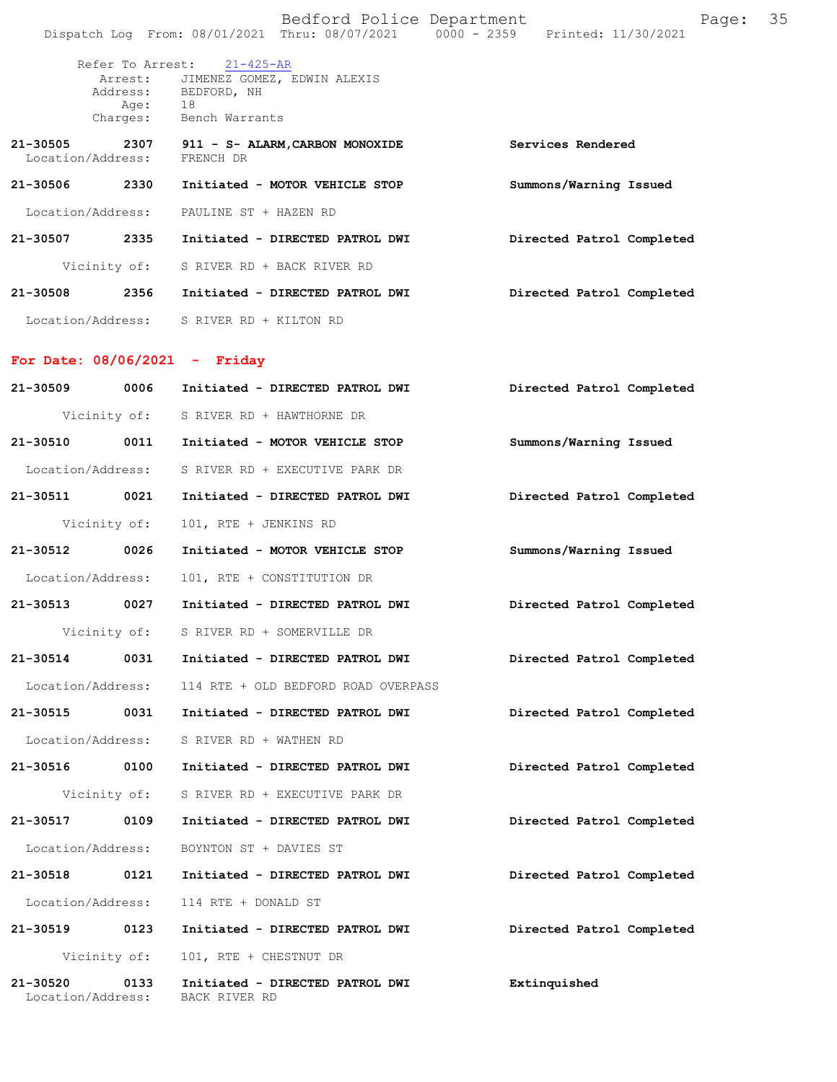|          |                             | Bedford Police Department<br>Dispatch Log From: 08/01/2021 Thru: 08/07/2021 0000 - 2359 Printed: 11/30/2021          | Page:                     | 35 |
|----------|-----------------------------|----------------------------------------------------------------------------------------------------------------------|---------------------------|----|
|          | Age: 18                     | Refer To Arrest: 21-425-AR<br>Arrest: JIMENEZ GOMEZ, EDWIN ALEXIS<br>Address: BEDFORD, NH<br>Charges: Bench Warrants |                           |    |
|          | Location/Address: FRENCH DR | 21-30505 2307 911 - S- ALARM, CARBON MONOXIDE                                                                        | Services Rendered         |    |
|          |                             | 21-30506 2330 Initiated - MOTOR VEHICLE STOP                                                                         | Summons/Warning Issued    |    |
|          |                             | Location/Address: PAULINE ST + HAZEN RD                                                                              |                           |    |
|          |                             | 21-30507 2335 Initiated - DIRECTED PATROL DWI                                                                        | Directed Patrol Completed |    |
|          |                             | Vicinity of: S RIVER RD + BACK RIVER RD                                                                              |                           |    |
|          |                             | 21-30508 2356 Initiated - DIRECTED PATROL DWI                                                                        | Directed Patrol Completed |    |
|          |                             | Location/Address: S RIVER RD + KILTON RD                                                                             |                           |    |
|          |                             | For Date: $08/06/2021 -$ Friday                                                                                      |                           |    |
|          |                             | 21-30509 0006 Initiated - DIRECTED PATROL DWI                                                                        | Directed Patrol Completed |    |
|          |                             | Vicinity of: S RIVER RD + HAWTHORNE DR                                                                               |                           |    |
|          |                             | 21-30510 0011 Initiated - MOTOR VEHICLE STOP                                                                         | Summons/Warning Issued    |    |
|          |                             | Location/Address: S RIVER RD + EXECUTIVE PARK DR                                                                     |                           |    |
|          | 21-30511 0021               | Initiated - DIRECTED PATROL DWI                                                                                      | Directed Patrol Completed |    |
|          | Vicinity of:                | 101, RTE + JENKINS RD                                                                                                |                           |    |
|          | 21-30512 0026               | Initiated - MOTOR VEHICLE STOP                                                                                       | Summons/Warning Issued    |    |
|          | Location/Address:           | 101, RTE + CONSTITUTION DR                                                                                           |                           |    |
|          | 21-30513 0027               | Initiated - DIRECTED PATROL DWI                                                                                      | Directed Patrol Completed |    |
|          | Vicinity of:                | S RIVER RD + SOMERVILLE DR                                                                                           |                           |    |
| 21-30514 |                             | 0031 Initiated - DIRECTED PATROL DWI                                                                                 | Directed Patrol Completed |    |
|          | Location/Address:           | 114 RTE + OLD BEDFORD ROAD OVERPASS                                                                                  |                           |    |
|          |                             |                                                                                                                      | Directed Patrol Completed |    |
|          |                             | Location/Address: S RIVER RD + WATHEN RD                                                                             |                           |    |
|          |                             |                                                                                                                      | Directed Patrol Completed |    |
|          |                             | Vicinity of: S RIVER RD + EXECUTIVE PARK DR                                                                          |                           |    |
|          | 21-30517 0109               | Initiated - DIRECTED PATROL DWI                                                                                      | Directed Patrol Completed |    |
|          | Location/Address:           | BOYNTON ST + DAVIES ST                                                                                               |                           |    |
|          |                             | 21-30518 0121 Initiated - DIRECTED PATROL DWI                                                                        | Directed Patrol Completed |    |
|          | Location/Address:           | 114 RTE + DONALD ST                                                                                                  |                           |    |
|          | 21-30519 0123               | Initiated - DIRECTED PATROL DWI                                                                                      | Directed Patrol Completed |    |
|          | Vicinity of:                | 101, RTE + CHESTNUT DR                                                                                               |                           |    |
| 21-30520 | 0133<br>Location/Address:   | Initiated - DIRECTED PATROL DWI<br>BACK RIVER RD                                                                     | Extinquished              |    |
|          |                             |                                                                                                                      |                           |    |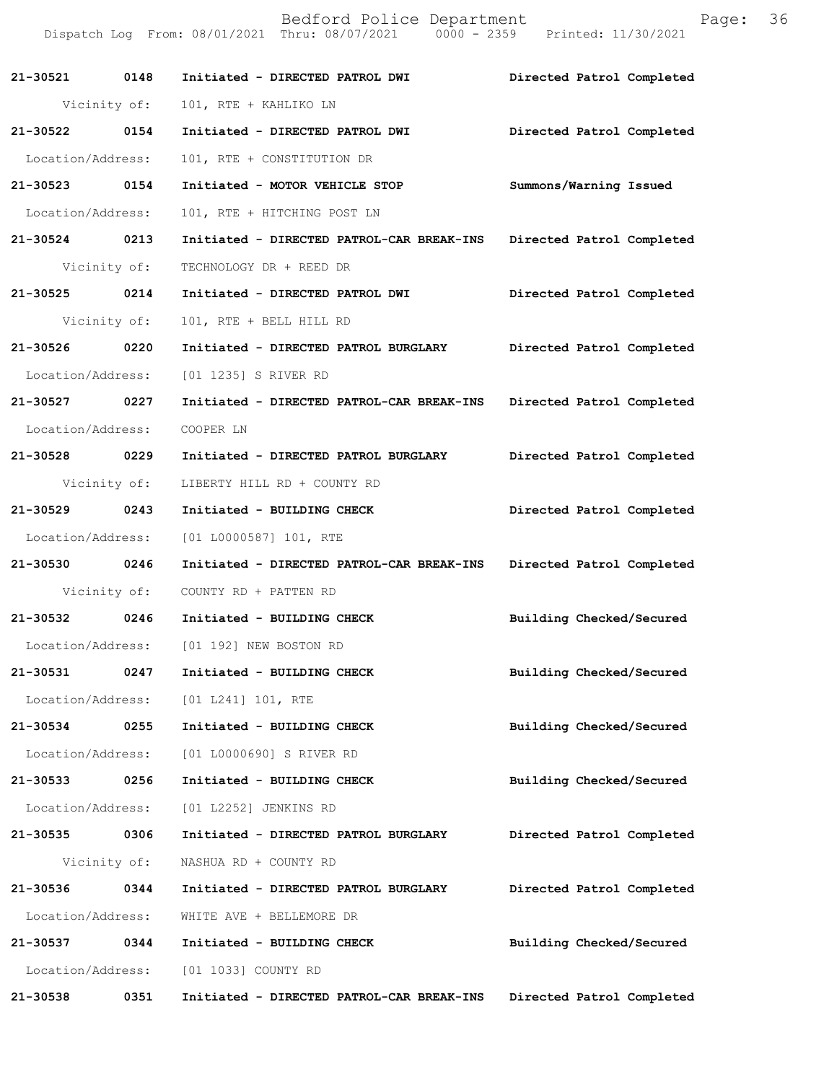|                   |              | Bedford Police Department<br>Dispatch Log From: 08/01/2021 Thru: 08/07/2021 0000 - 2359 Printed: 11/30/2021 | Page:                     | 36 |
|-------------------|--------------|-------------------------------------------------------------------------------------------------------------|---------------------------|----|
| 21-30521 0148     |              | Initiated - DIRECTED PATROL DWI                                                                             | Directed Patrol Completed |    |
|                   | Vicinity of: | 101, RTE + KAHLIKO LN                                                                                       |                           |    |
| 21-30522 0154     |              | Initiated - DIRECTED PATROL DWI                                                                             | Directed Patrol Completed |    |
| Location/Address: |              | 101, RTE + CONSTITUTION DR                                                                                  |                           |    |
| 21-30523 0154     |              | Initiated - MOTOR VEHICLE STOP                                                                              | Summons/Warning Issued    |    |
| Location/Address: |              | 101, RTE + HITCHING POST LN                                                                                 |                           |    |
| 21-30524 0213     |              | Initiated - DIRECTED PATROL-CAR BREAK-INS                                                                   | Directed Patrol Completed |    |
|                   | Vicinity of: | TECHNOLOGY DR + REED DR                                                                                     |                           |    |
| 21-30525          | 0214         | Initiated - DIRECTED PATROL DWI                                                                             | Directed Patrol Completed |    |
|                   | Vicinity of: | 101, RTE + BELL HILL RD                                                                                     |                           |    |
| 21-30526 0220     |              | Initiated - DIRECTED PATROL BURGLARY                                                                        | Directed Patrol Completed |    |
| Location/Address: |              | [01 1235] S RIVER RD                                                                                        |                           |    |
| 21-30527 0227     |              | Initiated - DIRECTED PATROL-CAR BREAK-INS Directed Patrol Completed                                         |                           |    |
| Location/Address: |              | COOPER LN                                                                                                   |                           |    |
| 21-30528 0229     |              | Initiated - DIRECTED PATROL BURGLARY                                                                        | Directed Patrol Completed |    |
|                   | Vicinity of: | LIBERTY HILL RD + COUNTY RD                                                                                 |                           |    |
| 21-30529 0243     |              | Initiated - BUILDING CHECK                                                                                  | Directed Patrol Completed |    |
| Location/Address: |              | [01 L0000587] 101, RTE                                                                                      |                           |    |
| 21-30530 0246     |              | Initiated - DIRECTED PATROL-CAR BREAK-INS                                                                   | Directed Patrol Completed |    |
|                   | Vicinity of: | COUNTY RD + PATTEN RD                                                                                       |                           |    |
| 21-30532          | 0246         | Initiated - BUILDING CHECK                                                                                  | Building Checked/Secured  |    |
| Location/Address: |              | [01 192] NEW BOSTON RD                                                                                      |                           |    |
| 21-30531          | 0247         | Initiated - BUILDING CHECK                                                                                  | Building Checked/Secured  |    |
| Location/Address: |              | [01 L241] 101, RTE                                                                                          |                           |    |
| 21-30534          | 0255         | Initiated - BUILDING CHECK                                                                                  | Building Checked/Secured  |    |
| Location/Address: |              | [01 L0000690] S RIVER RD                                                                                    |                           |    |
| 21-30533          | 0256         | Initiated - BUILDING CHECK                                                                                  | Building Checked/Secured  |    |
| Location/Address: |              | [01 L2252] JENKINS RD                                                                                       |                           |    |
| 21-30535          | 0306         | Initiated - DIRECTED PATROL BURGLARY                                                                        | Directed Patrol Completed |    |
|                   | Vicinity of: | NASHUA RD + COUNTY RD                                                                                       |                           |    |
| 21-30536          | 0344         | Initiated - DIRECTED PATROL BURGLARY                                                                        | Directed Patrol Completed |    |
| Location/Address: |              | WHITE AVE + BELLEMORE DR                                                                                    |                           |    |
| 21-30537          | 0344         | Initiated - BUILDING CHECK                                                                                  | Building Checked/Secured  |    |
| Location/Address: |              | [01 1033] COUNTY RD                                                                                         |                           |    |
| 21-30538          | 0351         | Initiated - DIRECTED PATROL-CAR BREAK-INS                                                                   | Directed Patrol Completed |    |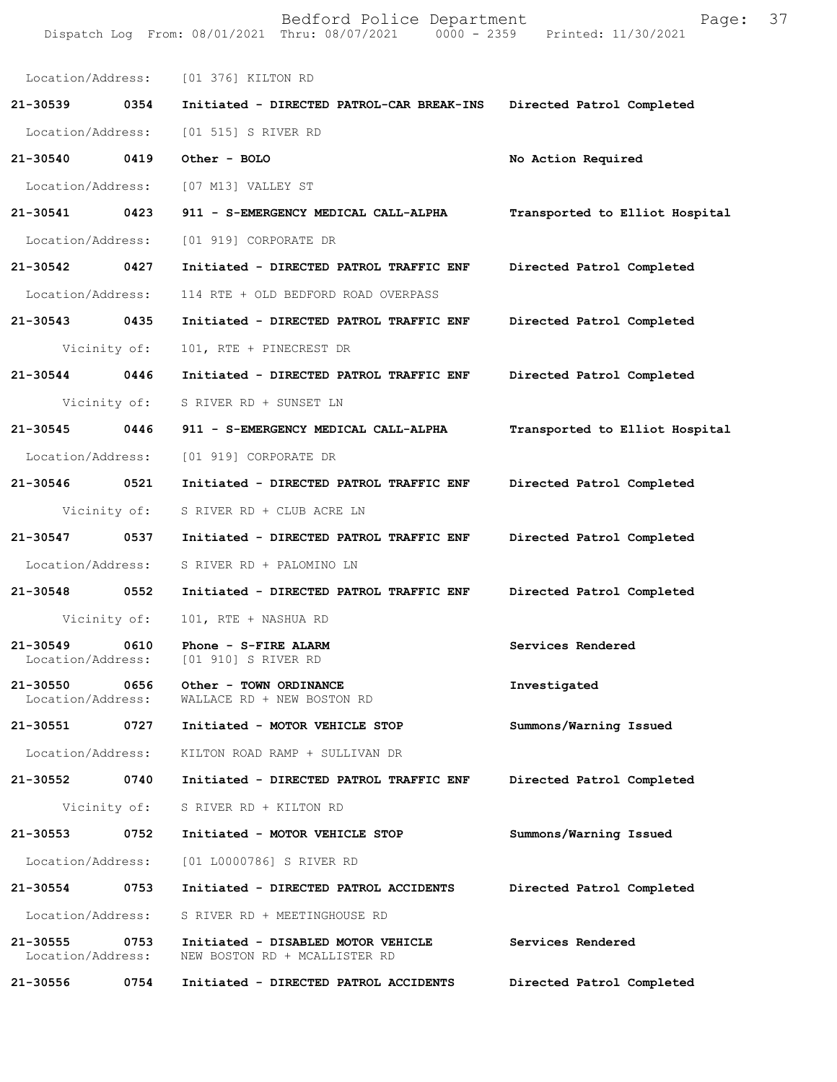| 21-30539                      | 0354         | Location/Address: [01 376] KILTON RD                                |                                |  |
|-------------------------------|--------------|---------------------------------------------------------------------|--------------------------------|--|
|                               |              |                                                                     |                                |  |
|                               |              | Initiated - DIRECTED PATROL-CAR BREAK-INS                           | Directed Patrol Completed      |  |
| Location/Address:             |              | [01 515] S RIVER RD                                                 |                                |  |
| 21-30540                      | 0419         | Other - BOLO                                                        | No Action Required             |  |
| Location/Address:             |              | [07 M13] VALLEY ST                                                  |                                |  |
| 21-30541                      | 0423         | 911 - S-EMERGENCY MEDICAL CALL-ALPHA                                | Transported to Elliot Hospital |  |
| Location/Address:             |              | [01 919] CORPORATE DR                                               |                                |  |
| 21-30542 0427                 |              | Initiated - DIRECTED PATROL TRAFFIC ENF                             | Directed Patrol Completed      |  |
| Location/Address:             |              | 114 RTE + OLD BEDFORD ROAD OVERPASS                                 |                                |  |
| 21-30543 0435                 |              | Initiated - DIRECTED PATROL TRAFFIC ENF                             | Directed Patrol Completed      |  |
| Vicinity of:                  |              | 101, RTE + PINECREST DR                                             |                                |  |
| 21-30544                      | 0446         | Initiated - DIRECTED PATROL TRAFFIC ENF                             | Directed Patrol Completed      |  |
|                               | Vicinity of: | S RIVER RD + SUNSET LN                                              |                                |  |
| 21-30545 0446                 |              | 911 - S-EMERGENCY MEDICAL CALL-ALPHA                                | Transported to Elliot Hospital |  |
| Location/Address:             |              | [01 919] CORPORATE DR                                               |                                |  |
| 21-30546                      | 0521         | Initiated - DIRECTED PATROL TRAFFIC ENF                             | Directed Patrol Completed      |  |
| Vicinity of:                  |              | S RIVER RD + CLUB ACRE LN                                           |                                |  |
| 21-30547                      | 0537         | Initiated - DIRECTED PATROL TRAFFIC ENF                             | Directed Patrol Completed      |  |
| Location/Address:             |              | S RIVER RD + PALOMINO LN                                            |                                |  |
| 21-30548                      | 0552         | Initiated - DIRECTED PATROL TRAFFIC ENF                             | Directed Patrol Completed      |  |
| Vicinity of:                  |              | 101, RTE + NASHUA RD                                                |                                |  |
| 21-30549<br>Location/Address: | 0610         | Phone - S-FIRE ALARM<br>[01 910] S RIVER RD                         | Services Rendered              |  |
| 21-30550<br>Location/Address: | 0656         | Other - TOWN ORDINANCE<br>WALLACE RD + NEW BOSTON RD                | Investigated                   |  |
| 21-30551                      | 0727         | Initiated - MOTOR VEHICLE STOP                                      | Summons/Warning Issued         |  |
| Location/Address:             |              | KILTON ROAD RAMP + SULLIVAN DR                                      |                                |  |
| 21-30552 0740                 |              | Initiated - DIRECTED PATROL TRAFFIC ENF                             | Directed Patrol Completed      |  |
|                               | Vicinity of: | S RIVER RD + KILTON RD                                              |                                |  |
| 21-30553                      | 0752         | Initiated - MOTOR VEHICLE STOP                                      | Summons/Warning Issued         |  |
| Location/Address:             |              | [01 L0000786] S RIVER RD                                            |                                |  |
| 21-30554                      | 0753         | Initiated - DIRECTED PATROL ACCIDENTS                               | Directed Patrol Completed      |  |
| Location/Address:             |              | S RIVER RD + MEETINGHOUSE RD                                        |                                |  |
| 21-30555<br>Location/Address: | 0753         | Initiated - DISABLED MOTOR VEHICLE<br>NEW BOSTON RD + MCALLISTER RD | Services Rendered              |  |
| 21-30556                      | 0754         | Initiated - DIRECTED PATROL ACCIDENTS                               | Directed Patrol Completed      |  |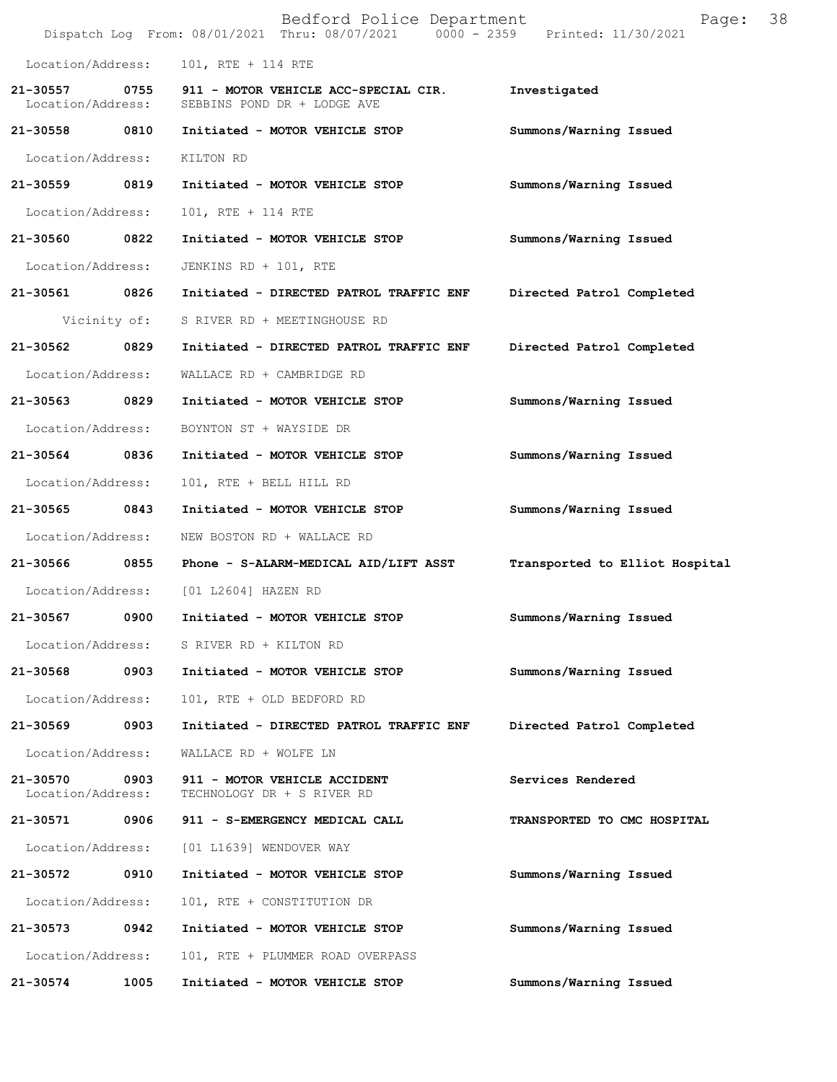|                               |              | Bedford Police Department<br>Dispatch Log From: 08/01/2021 Thru: 08/07/2021 0000 - 2359 Printed: 11/30/2021 | Page:                          | 38 |
|-------------------------------|--------------|-------------------------------------------------------------------------------------------------------------|--------------------------------|----|
| Location/Address:             |              | 101, RTE + 114 RTE                                                                                          |                                |    |
| 21-30557<br>Location/Address: |              | 0755 911 - MOTOR VEHICLE ACC-SPECIAL CIR.<br>SEBBINS POND DR + LODGE AVE                                    | Investigated                   |    |
| 21-30558 0810                 |              | Initiated - MOTOR VEHICLE STOP                                                                              | Summons/Warning Issued         |    |
| Location/Address:             |              | KILTON RD                                                                                                   |                                |    |
| 21-30559 0819                 |              | Initiated - MOTOR VEHICLE STOP                                                                              | Summons/Warning Issued         |    |
| Location/Address:             |              | 101, RTE + 114 RTE                                                                                          |                                |    |
| 21-30560 0822                 |              | Initiated - MOTOR VEHICLE STOP                                                                              | Summons/Warning Issued         |    |
| Location/Address:             |              | JENKINS RD + 101, RTE                                                                                       |                                |    |
| 21-30561 0826                 |              | Initiated - DIRECTED PATROL TRAFFIC ENF                                                                     | Directed Patrol Completed      |    |
|                               | Vicinity of: | S RIVER RD + MEETINGHOUSE RD                                                                                |                                |    |
| 21-30562                      | 0829         | Initiated - DIRECTED PATROL TRAFFIC ENF                                                                     | Directed Patrol Completed      |    |
| Location/Address:             |              | WALLACE RD + CAMBRIDGE RD                                                                                   |                                |    |
| 21-30563 0829                 |              | Initiated - MOTOR VEHICLE STOP                                                                              | Summons/Warning Issued         |    |
| Location/Address:             |              | BOYNTON ST + WAYSIDE DR                                                                                     |                                |    |
| 21-30564                      | 0836         | Initiated - MOTOR VEHICLE STOP                                                                              | Summons/Warning Issued         |    |
| Location/Address:             |              | 101, RTE + BELL HILL RD                                                                                     |                                |    |
| 21-30565 0843                 |              | Initiated - MOTOR VEHICLE STOP                                                                              | Summons/Warning Issued         |    |
| Location/Address:             |              | NEW BOSTON RD + WALLACE RD                                                                                  |                                |    |
| 21-30566 0855                 |              | Phone - S-ALARM-MEDICAL AID/LIFT ASST                                                                       | Transported to Elliot Hospital |    |
| Location/Address:             |              | [01 L2604] HAZEN RD                                                                                         |                                |    |
| 21-30567                      | 0900         | Initiated - MOTOR VEHICLE STOP                                                                              | Summons/Warning Issued         |    |
|                               |              | Location/Address: S RIVER RD + KILTON RD                                                                    |                                |    |
| 21-30568                      | 0903         | Initiated - MOTOR VEHICLE STOP                                                                              | Summons/Warning Issued         |    |
| Location/Address:             |              | 101, RTE + OLD BEDFORD RD                                                                                   |                                |    |
| 21-30569                      | 0903         | Initiated - DIRECTED PATROL TRAFFIC ENF                                                                     | Directed Patrol Completed      |    |
| Location/Address:             |              | WALLACE RD + WOLFE LN                                                                                       |                                |    |
| 21-30570<br>Location/Address: | 0903         | 911 - MOTOR VEHICLE ACCIDENT<br>TECHNOLOGY DR + S RIVER RD                                                  | Services Rendered              |    |
| 21-30571                      | 0906         | 911 - S-EMERGENCY MEDICAL CALL                                                                              | TRANSPORTED TO CMC HOSPITAL    |    |
| Location/Address:             |              | [01 L1639] WENDOVER WAY                                                                                     |                                |    |
| 21-30572                      | 0910         | Initiated - MOTOR VEHICLE STOP                                                                              | Summons/Warning Issued         |    |
| Location/Address:             |              | 101, RTE + CONSTITUTION DR                                                                                  |                                |    |
| 21-30573                      | 0942         | Initiated - MOTOR VEHICLE STOP                                                                              | Summons/Warning Issued         |    |
| Location/Address:             |              | 101, RTE + PLUMMER ROAD OVERPASS                                                                            |                                |    |
| 21-30574                      | 1005         | Initiated - MOTOR VEHICLE STOP                                                                              | Summons/Warning Issued         |    |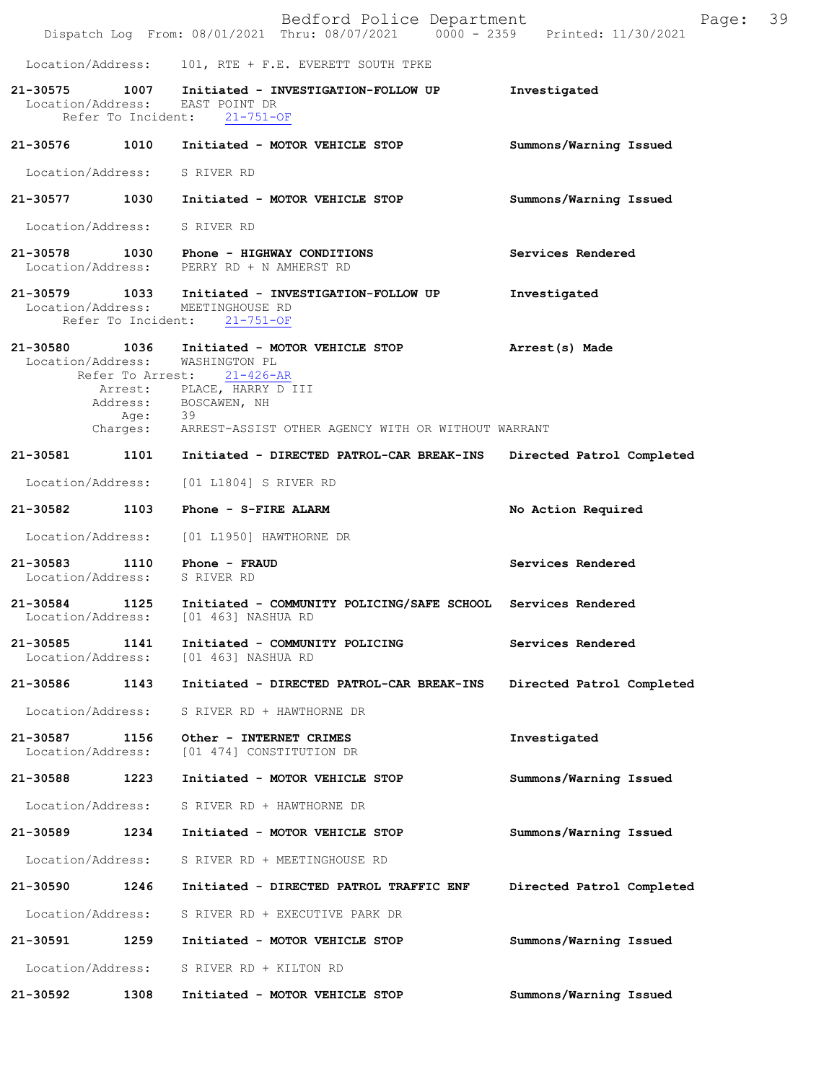|                               |         | Bedford Police Department<br>Dispatch Log From: 08/01/2021 Thru: 08/07/2021 0000 - 2359 Printed: 11/30/2021                                                                                                                         | Page:                     | 39 |
|-------------------------------|---------|-------------------------------------------------------------------------------------------------------------------------------------------------------------------------------------------------------------------------------------|---------------------------|----|
|                               |         | Location/Address: 101, RTE + F.E. EVERETT SOUTH TPKE                                                                                                                                                                                |                           |    |
|                               |         | 21-30575 1007 Initiated - INVESTIGATION-FOLLOW UP<br>Location/Address: EAST POINT DR<br>Refer To Incident: 21-751-OF                                                                                                                | Investigated              |    |
| 21-30576                      |         | 1010 Initiated - MOTOR VEHICLE STOP                                                                                                                                                                                                 | Summons/Warning Issued    |    |
| Location/Address: S RIVER RD  |         |                                                                                                                                                                                                                                     |                           |    |
|                               |         | 21-30577 1030 Initiated - MOTOR VEHICLE STOP                                                                                                                                                                                        | Summons/Warning Issued    |    |
| Location/Address: S RIVER RD  |         |                                                                                                                                                                                                                                     |                           |    |
|                               |         | 21-30578 1030 Phone - HIGHWAY CONDITIONS<br>Location/Address: PERRY RD + N AMHERST RD                                                                                                                                               | Services Rendered         |    |
|                               |         | 21-30579 1033 Initiated - INVESTIGATION-FOLLOW UP<br>Location/Address: MEETINGHOUSE RD<br>Refer To Incident: 21-751-OF                                                                                                              | Investigated              |    |
|                               | Age: 39 | 21-30580 1036 Initiated - MOTOR VEHICLE STOP<br>Location/Address: WASHINGTON PL<br>Refer To Arrest: 21-426-AR<br>Arrest: PLACE, HARRY D III<br>Address: BOSCAWEN, NH<br>Charges: ARREST-ASSIST OTHER AGENCY WITH OR WITHOUT WARRANT | Arrest(s) Made            |    |
| 21-30581                      |         | 1101 Initiated - DIRECTED PATROL-CAR BREAK-INS Directed Patrol Completed                                                                                                                                                            |                           |    |
|                               |         | Location/Address: [01 L1804] S RIVER RD                                                                                                                                                                                             |                           |    |
|                               |         | 21-30582 1103 Phone - S-FIRE ALARM                                                                                                                                                                                                  | No Action Required        |    |
|                               |         | Location/Address: [01 L1950] HAWTHORNE DR                                                                                                                                                                                           |                           |    |
| Location/Address: S RIVER RD  |         | 21-30583 1110 Phone - FRAUD                                                                                                                                                                                                         | Services Rendered         |    |
|                               |         | 21-30584 1125 Initiated - COMMUNITY POLICING/SAFE SCHOOL Services Rendered<br>Location/Address: [01 463] NASHUA RD                                                                                                                  |                           |    |
| 21-30585<br>Location/Address: | 1141    | Initiated - COMMUNITY POLICING<br>[01 463] NASHUA RD                                                                                                                                                                                | Services Rendered         |    |
| 21-30586                      | 1143    | Initiated - DIRECTED PATROL-CAR BREAK-INS                                                                                                                                                                                           | Directed Patrol Completed |    |
| Location/Address:             |         | S RIVER RD + HAWTHORNE DR                                                                                                                                                                                                           |                           |    |
| 21-30587<br>Location/Address: | 1156    | Other - INTERNET CRIMES<br>[01 474] CONSTITUTION DR                                                                                                                                                                                 | Investigated              |    |
| 21-30588                      | 1223    | Initiated - MOTOR VEHICLE STOP                                                                                                                                                                                                      | Summons/Warning Issued    |    |
| Location/Address:             |         | S RIVER RD + HAWTHORNE DR                                                                                                                                                                                                           |                           |    |
| 21-30589                      | 1234    | Initiated - MOTOR VEHICLE STOP                                                                                                                                                                                                      | Summons/Warning Issued    |    |
| Location/Address:             |         | S RIVER RD + MEETINGHOUSE RD                                                                                                                                                                                                        |                           |    |
| 21-30590                      | 1246    | Initiated - DIRECTED PATROL TRAFFIC ENF                                                                                                                                                                                             | Directed Patrol Completed |    |
| Location/Address:             |         | S RIVER RD + EXECUTIVE PARK DR                                                                                                                                                                                                      |                           |    |
| 21-30591                      | 1259    | Initiated - MOTOR VEHICLE STOP                                                                                                                                                                                                      | Summons/Warning Issued    |    |
| Location/Address:             |         | S RIVER RD + KILTON RD                                                                                                                                                                                                              |                           |    |
| 21-30592                      | 1308    | Initiated - MOTOR VEHICLE STOP                                                                                                                                                                                                      | Summons/Warning Issued    |    |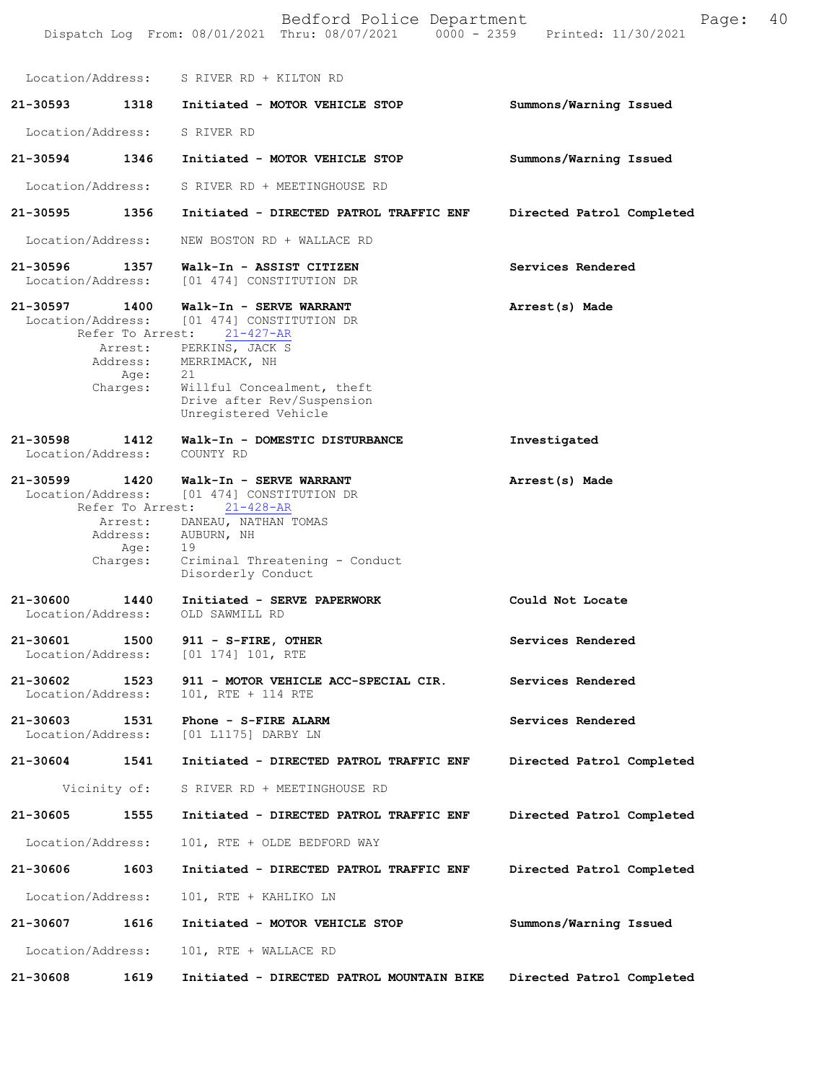|                               |                                                             | Bedford Police Department<br>Dispatch Log From: 08/01/2021 Thru: 08/07/2021 0000 - 2359 Printed: 11/30/2021                                                                                                                             | 40<br>Page:               |
|-------------------------------|-------------------------------------------------------------|-----------------------------------------------------------------------------------------------------------------------------------------------------------------------------------------------------------------------------------------|---------------------------|
|                               |                                                             | Location/Address: S RIVER RD + KILTON RD                                                                                                                                                                                                |                           |
| 21-30593                      | 1318                                                        | Initiated - MOTOR VEHICLE STOP                                                                                                                                                                                                          | Summons/Warning Issued    |
| Location/Address:             |                                                             | S RIVER RD                                                                                                                                                                                                                              |                           |
| 21-30594 1346                 |                                                             | Initiated - MOTOR VEHICLE STOP                                                                                                                                                                                                          | Summons/Warning Issued    |
| Location/Address:             |                                                             | S RIVER RD + MEETINGHOUSE RD                                                                                                                                                                                                            |                           |
| 21-30595                      | 1356                                                        | Initiated - DIRECTED PATROL TRAFFIC ENF                                                                                                                                                                                                 | Directed Patrol Completed |
| Location/Address:             |                                                             | NEW BOSTON RD + WALLACE RD                                                                                                                                                                                                              |                           |
| 21-30596<br>Location/Address: | 1357                                                        | Walk-In - ASSIST CITIZEN<br>[01 474] CONSTITUTION DR                                                                                                                                                                                    | Services Rendered         |
| 21-30597 1400                 | Refer To Arrest:<br>Age:<br>Charges:                        | Walk-In - SERVE WARRANT<br>Location/Address: [01 474] CONSTITUTION DR<br>$21 - 427 - AR$<br>Arrest: PERKINS, JACK S<br>Address: MERRIMACK, NH<br>21<br>Willful Concealment, theft<br>Drive after Rev/Suspension<br>Unregistered Vehicle | Arrest(s) Made            |
| 21-30598<br>Location/Address: | 1412                                                        | Walk-In - DOMESTIC DISTURBANCE<br>COUNTY RD                                                                                                                                                                                             | Investigated              |
| 21-30599 1420                 | Refer To Arrest:<br>Arrest:<br>Address:<br>Age:<br>Charges: | Walk-In - SERVE WARRANT<br>Location/Address: [01 474] CONSTITUTION DR<br>$21 - 428 - AR$<br>DANEAU, NATHAN TOMAS<br>AUBURN, NH<br>19<br>Criminal Threatening - Conduct<br>Disorderly Conduct                                            | Arrest(s) Made            |
| 21-30600<br>Location/Address: | 1440                                                        | Initiated - SERVE PAPERWORK<br>OLD SAWMILL RD                                                                                                                                                                                           | Could Not Locate          |
| 21-30601<br>Location/Address: | 1500                                                        | 911 - S-FIRE, OTHER<br>$[01 174] 101$ , RTE                                                                                                                                                                                             | Services Rendered         |
| 21-30602<br>Location/Address: | 1523                                                        | 911 - MOTOR VEHICLE ACC-SPECIAL CIR.<br>101, RTE + 114 RTE                                                                                                                                                                              | Services Rendered         |
| 21-30603<br>Location/Address: | 1531                                                        | Phone - S-FIRE ALARM<br>[01 L1175] DARBY LN                                                                                                                                                                                             | Services Rendered         |
| 21-30604                      | 1541                                                        | Initiated - DIRECTED PATROL TRAFFIC ENF                                                                                                                                                                                                 | Directed Patrol Completed |
|                               | Vicinity of:                                                | S RIVER RD + MEETINGHOUSE RD                                                                                                                                                                                                            |                           |
| 21-30605                      | 1555                                                        | Initiated - DIRECTED PATROL TRAFFIC ENF                                                                                                                                                                                                 | Directed Patrol Completed |
| Location/Address:             |                                                             | 101, RTE + OLDE BEDFORD WAY                                                                                                                                                                                                             |                           |
| 21-30606                      | 1603                                                        | Initiated - DIRECTED PATROL TRAFFIC ENF                                                                                                                                                                                                 | Directed Patrol Completed |
| Location/Address:             |                                                             | 101, RTE + KAHLIKO LN                                                                                                                                                                                                                   |                           |
| 21-30607                      | 1616                                                        | Initiated - MOTOR VEHICLE STOP                                                                                                                                                                                                          | Summons/Warning Issued    |
| Location/Address:             |                                                             | 101, RTE + WALLACE RD                                                                                                                                                                                                                   |                           |
| 21-30608                      | 1619                                                        | Initiated - DIRECTED PATROL MOUNTAIN BIKE                                                                                                                                                                                               | Directed Patrol Completed |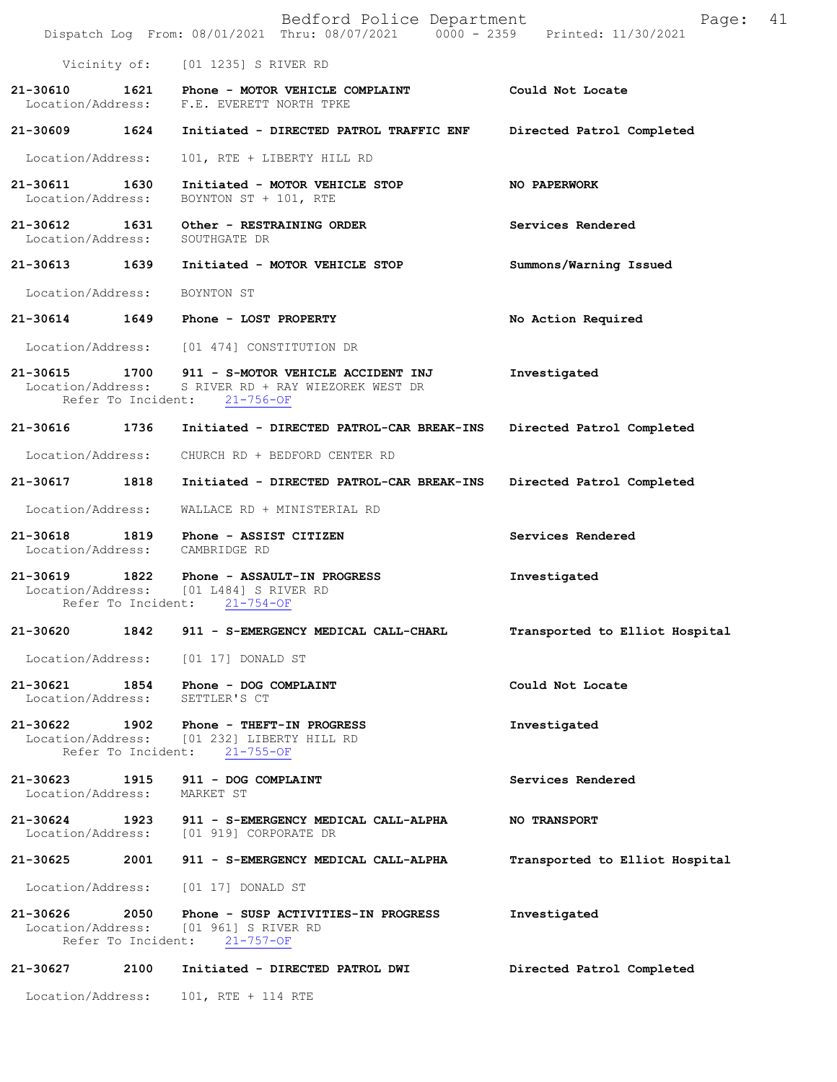|                                                             | Bedford Police Department<br>Dispatch Log From: 08/01/2021 Thru: 08/07/2021 0000 - 2359 Printed: 11/30/2021 | 41<br>Page:                    |
|-------------------------------------------------------------|-------------------------------------------------------------------------------------------------------------|--------------------------------|
|                                                             | Vicinity of: [01 1235] S RIVER RD                                                                           |                                |
| 21-30610 1621                                               | Phone - MOTOR VEHICLE COMPLAINT<br>Location/Address: F.E. EVERETT NORTH TPKE                                | Could Not Locate               |
| 21-30609 1624                                               | Initiated - DIRECTED PATROL TRAFFIC ENF                                                                     | Directed Patrol Completed      |
| Location/Address:                                           | 101, RTE + LIBERTY HILL RD                                                                                  |                                |
| 21-30611 1630<br>Location/Address:                          | Initiated - MOTOR VEHICLE STOP<br>BOYNTON ST + 101, RTE                                                     | NO PAPERWORK                   |
| 21-30612 1631<br>Location/Address: SOUTHGATE DR             | Other - RESTRAINING ORDER                                                                                   | Services Rendered              |
|                                                             | 21-30613 1639 Initiated - MOTOR VEHICLE STOP                                                                | Summons/Warning Issued         |
| Location/Address:                                           | BOYNTON ST                                                                                                  |                                |
|                                                             | $21-30614$ 1649 Phone - LOST PROPERTY                                                                       | No Action Required             |
|                                                             | Location/Address: [01 474] CONSTITUTION DR                                                                  |                                |
| 21-30615<br>1700<br>Location/Address:<br>Refer To Incident: | 911 - S-MOTOR VEHICLE ACCIDENT INJ<br>S RIVER RD + RAY WIEZOREK WEST DR<br>$21 - 756 - OF$                  | Investigated                   |
|                                                             | 21-30616 1736 Initiated - DIRECTED PATROL-CAR BREAK-INS                                                     | Directed Patrol Completed      |
| Location/Address:                                           | CHURCH RD + BEDFORD CENTER RD                                                                               |                                |
| 21-30617 1818                                               | Initiated - DIRECTED PATROL-CAR BREAK-INS                                                                   | Directed Patrol Completed      |
| Location/Address:                                           | WALLACE RD + MINISTERIAL RD                                                                                 |                                |
| 21-30618<br>1819<br>Location/Address: CAMBRIDGE RD          | Phone - ASSIST CITIZEN                                                                                      | Services Rendered              |
| Refer To Incident:                                          | 21-30619 1822 Phone - ASSAULT-IN PROGRESS<br>Location/Address: [01 L484] S RIVER RD<br>$21 - 754 - OF$      | Investigated                   |
| 21-30620<br>1842                                            | 911 - S-EMERGENCY MEDICAL CALL-CHARL                                                                        | Transported to Elliot Hospital |
| Location/Address:                                           | [01 17] DONALD ST                                                                                           |                                |
| 21-30621<br>1854<br>Location/Address:                       | Phone - DOG COMPLAINT<br>SETTLER'S CT                                                                       | Could Not Locate               |
| 21-30622<br>1902<br>Location/Address:<br>Refer To Incident: | Phone - THEFT-IN PROGRESS<br>[01 232] LIBERTY HILL RD<br>$21 - 755 - OF$                                    | Investigated                   |
| 21-30623 1915<br>Location/Address:                          | 911 - DOG COMPLAINT<br>MARKET ST                                                                            | Services Rendered              |
| 21-30624<br>1923                                            | 911 - S-EMERGENCY MEDICAL CALL-ALPHA<br>Location/Address: [01 919] CORPORATE DR                             | <b>NO TRANSPORT</b>            |
| 2001<br>21-30625                                            | 911 - S-EMERGENCY MEDICAL CALL-ALPHA                                                                        | Transported to Elliot Hospital |
| Location/Address:                                           | [01 17] DONALD ST                                                                                           |                                |
| 21-30626 2050<br>Refer To Incident:                         | Phone - SUSP ACTIVITIES-IN PROGRESS<br>Location/Address: [01 961] S RIVER RD<br>$21 - 757 - OF$             | Investigated                   |
| 21-30627<br>2100                                            | Initiated - DIRECTED PATROL DWI                                                                             | Directed Patrol Completed      |
| Location/Address:                                           | 101, RTE + 114 RTE                                                                                          |                                |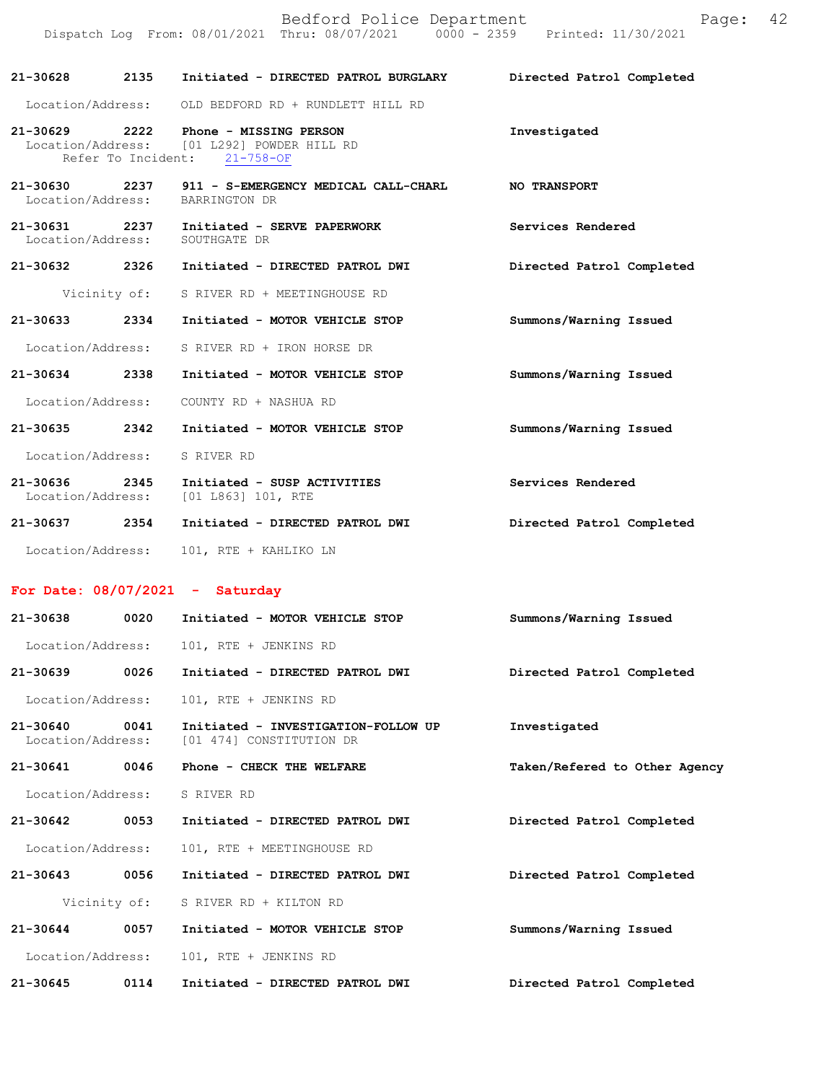Bedford Police Department Page: 42 Dispatch Log From: 08/01/2021 Thru: 08/07/2021 0000 - 2359 Printed: 11/30/2021

**21-30628 2135 Initiated - DIRECTED PATROL BURGLARY Directed Patrol Completed** 

Location/Address: OLD BEDFORD RD + RUNDLETT HILL RD

| 21-30629          | 2222 | Phone - MISSING PERSON                     | Investigated |
|-------------------|------|--------------------------------------------|--------------|
|                   |      | Location/Address: [01 L292] POWDER HILL RD |              |
|                   |      | Refer To Incident: 21-758-OF               |              |
|                   |      |                                            |              |
| 21-30630          | 2237 | 911 - S-EMERGENCY MEDICAL CALL-CHARL       | NO TRANSPORT |
| Location/Address: |      | BARRINGTON DR                              |              |

**21-30631 2237 Initiated - SERVE PAPERWORK Services Rendered**  Location/Address: SOUTHGATE DR

**21-30632 2326 Initiated - DIRECTED PATROL DWI Directed Patrol Completed** 

Vicinity of: S RIVER RD + MEETINGHOUSE RD

**21-30633 2334 Initiated - MOTOR VEHICLE STOP Summons/Warning Issued**  Location/Address: S RIVER RD + IRON HORSE DR

**21-30634 2338 Initiated - MOTOR VEHICLE STOP Summons/Warning Issued** 

Location/Address: COUNTY RD + NASHUA RD

- **21-30635 2342 Initiated MOTOR VEHICLE STOP Summons/Warning Issued**  Location/Address: S RIVER RD
- **21-30636 2345 Initiated SUSP ACTIVITIES Services Rendered**  Location/Address: **21-30637 2354 Initiated - DIRECTED PATROL DWI Directed Patrol Completed**
- Location/Address: 101, RTE + KAHLIKO LN

## **For Date: 08/07/2021 - Saturday**

| 21-30638                          | 0020 | Initiated - MOTOR VEHICLE STOP                                  | Summons/Warning Issued        |
|-----------------------------------|------|-----------------------------------------------------------------|-------------------------------|
| Location/Address:                 |      | 101, RTE + JENKINS RD                                           |                               |
| 21-30639                          | 0026 | Initiated - DIRECTED PATROL DWI                                 | Directed Patrol Completed     |
| Location/Address:                 |      | 101, RTE + JENKINS RD                                           |                               |
| $21 - 30640$<br>Location/Address: | 0041 | Initiated - INVESTIGATION-FOLLOW UP<br>[01 474] CONSTITUTION DR | Investigated                  |
| 21-30641                          | 0046 | Phone - CHECK THE WELFARE                                       | Taken/Refered to Other Agency |
| Location/Address:                 |      | S RIVER RD                                                      |                               |
| 21-30642                          | 0053 | Initiated - DIRECTED PATROL DWI                                 | Directed Patrol Completed     |
| Location/Address:                 |      | 101, RTE + MEETINGHOUSE RD                                      |                               |
| 21-30643                          | 0056 | Initiated - DIRECTED PATROL DWI                                 | Directed Patrol Completed     |
| Vicinity of:                      |      | S RIVER RD + KILTON RD                                          |                               |
| 21-30644                          | 0057 | Initiated - MOTOR VEHICLE STOP                                  | Summons/Warning Issued        |
| Location/Address:                 |      | 101, RTE + JENKINS RD                                           |                               |
| $21 - 30645$                      | 0114 | Initiated - DIRECTED PATROL DWI                                 | Directed Patrol Completed     |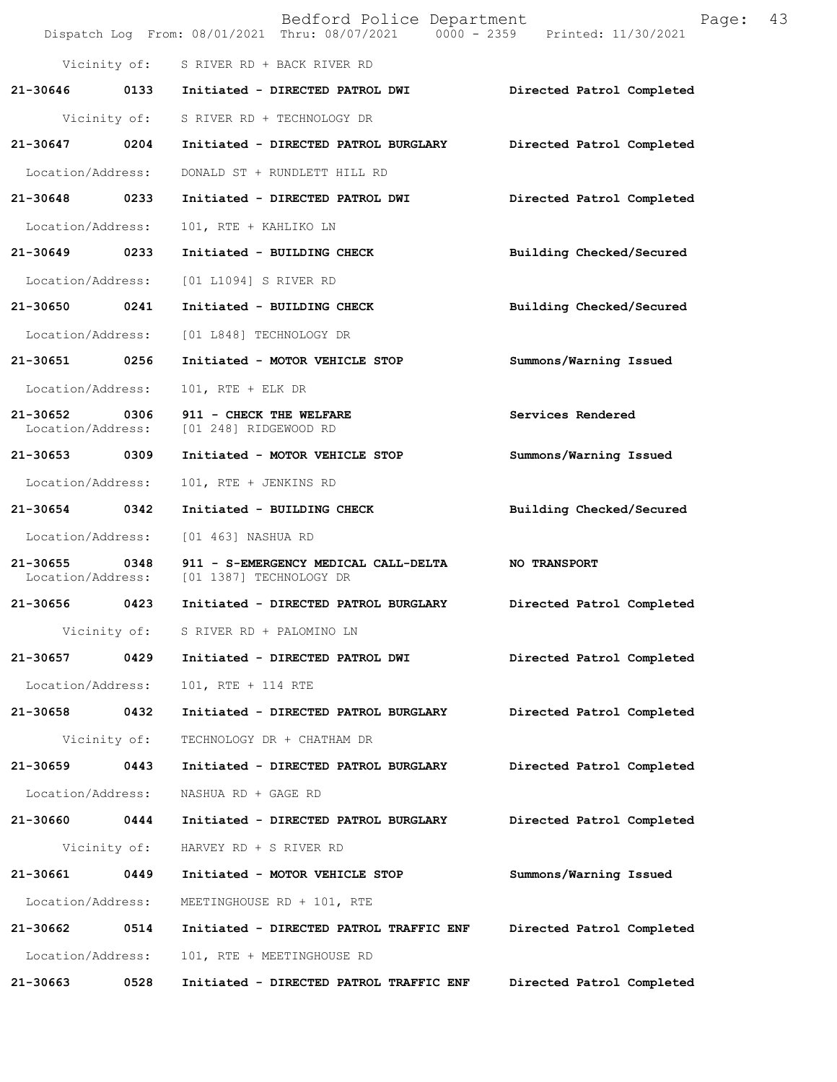|                               |              | Bedford Police Department<br>Dispatch Log From: 08/01/2021 Thru: 08/07/2021 0000 - 2359 Printed: 11/30/2021 | Page:                     | 43 |
|-------------------------------|--------------|-------------------------------------------------------------------------------------------------------------|---------------------------|----|
|                               |              | Vicinity of: S RIVER RD + BACK RIVER RD                                                                     |                           |    |
| 21-30646                      |              | 0133 Initiated - DIRECTED PATROL DWI                                                                        | Directed Patrol Completed |    |
|                               |              | Vicinity of: S RIVER RD + TECHNOLOGY DR                                                                     |                           |    |
| 21-30647                      | 0204         | Initiated - DIRECTED PATROL BURGLARY                                                                        | Directed Patrol Completed |    |
| Location/Address:             |              | DONALD ST + RUNDLETT HILL RD                                                                                |                           |    |
| 21-30648 0233                 |              | Initiated - DIRECTED PATROL DWI                                                                             | Directed Patrol Completed |    |
| Location/Address:             |              | 101, RTE + KAHLIKO LN                                                                                       |                           |    |
| 21-30649                      | 0233         | Initiated - BUILDING CHECK                                                                                  | Building Checked/Secured  |    |
| Location/Address:             |              | [01 L1094] S RIVER RD                                                                                       |                           |    |
| 21-30650                      | 0241         | Initiated - BUILDING CHECK                                                                                  | Building Checked/Secured  |    |
| Location/Address:             |              | [01 L848] TECHNOLOGY DR                                                                                     |                           |    |
| 21-30651 0256                 |              | Initiated - MOTOR VEHICLE STOP                                                                              | Summons/Warning Issued    |    |
| Location/Address:             |              | $101$ , RTE + ELK DR                                                                                        |                           |    |
| 21-30652<br>Location/Address: | 0306         | 911 - CHECK THE WELFARE<br>[01 248] RIDGEWOOD RD                                                            | Services Rendered         |    |
| 21-30653 0309                 |              | Initiated - MOTOR VEHICLE STOP                                                                              | Summons/Warning Issued    |    |
| Location/Address:             |              | 101, RTE + JENKINS RD                                                                                       |                           |    |
| 21-30654 0342                 |              | Initiated - BUILDING CHECK                                                                                  | Building Checked/Secured  |    |
| Location/Address:             |              | [01 463] NASHUA RD                                                                                          |                           |    |
| 21-30655<br>Location/Address: | 0348         | 911 - S-EMERGENCY MEDICAL CALL-DELTA<br>[01 1387] TECHNOLOGY DR                                             | <b>NO TRANSPORT</b>       |    |
| 21-30656 0423                 |              | Initiated - DIRECTED PATROL BURGLARY                                                                        | Directed Patrol Completed |    |
|                               | Vicinity of: | S RIVER RD + PALOMINO LN                                                                                    |                           |    |
| 21-30657                      | 0429         | Initiated - DIRECTED PATROL DWI                                                                             | Directed Patrol Completed |    |
| Location/Address:             |              | 101, RTE + 114 RTE                                                                                          |                           |    |
| 21-30658                      | 0432         | Initiated - DIRECTED PATROL BURGLARY                                                                        | Directed Patrol Completed |    |
|                               | Vicinity of: | TECHNOLOGY DR + CHATHAM DR                                                                                  |                           |    |
| 21-30659                      | 0443         | Initiated - DIRECTED PATROL BURGLARY                                                                        | Directed Patrol Completed |    |
| Location/Address:             |              | NASHUA RD + GAGE RD                                                                                         |                           |    |
| 21-30660                      | 0444         | Initiated - DIRECTED PATROL BURGLARY                                                                        | Directed Patrol Completed |    |
|                               | Vicinity of: | HARVEY RD + S RIVER RD                                                                                      |                           |    |
| 21-30661                      | 0449         | Initiated - MOTOR VEHICLE STOP                                                                              | Summons/Warning Issued    |    |
| Location/Address:             |              | MEETINGHOUSE RD + 101, RTE                                                                                  |                           |    |
| 21-30662                      | 0514         | Initiated - DIRECTED PATROL TRAFFIC ENF                                                                     | Directed Patrol Completed |    |
| Location/Address:             |              | 101, RTE + MEETINGHOUSE RD                                                                                  |                           |    |
| 21-30663                      | 0528         | Initiated - DIRECTED PATROL TRAFFIC ENF                                                                     | Directed Patrol Completed |    |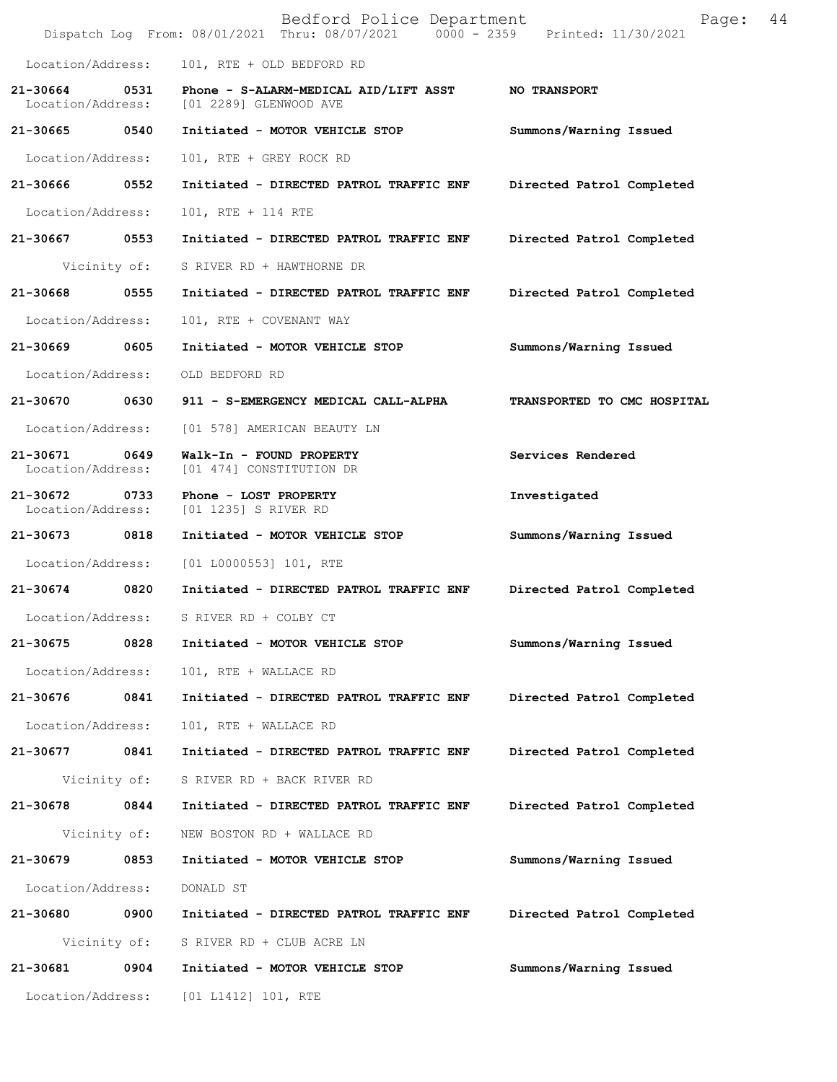|                                   |              | Bedford Police Department<br>Dispatch Log From: 08/01/2021 Thru: 08/07/2021 0000 - 2359 Printed: 11/30/2021 | Page:                       | 44 |
|-----------------------------------|--------------|-------------------------------------------------------------------------------------------------------------|-----------------------------|----|
| Location/Address:                 |              | 101, RTE + OLD BEDFORD RD                                                                                   |                             |    |
| $21 - 30664$<br>Location/Address: | 0531         | Phone - S-ALARM-MEDICAL AID/LIFT ASST<br>[01 2289] GLENWOOD AVE                                             | <b>NO TRANSPORT</b>         |    |
| 21-30665 0540                     |              | Initiated - MOTOR VEHICLE STOP                                                                              | Summons/Warning Issued      |    |
| Location/Address:                 |              | 101, RTE + GREY ROCK RD                                                                                     |                             |    |
| 21-30666                          | 0552         | Initiated - DIRECTED PATROL TRAFFIC ENF                                                                     | Directed Patrol Completed   |    |
| Location/Address:                 |              | 101, RTE + 114 RTE                                                                                          |                             |    |
| 21-30667                          | 0553         | Initiated - DIRECTED PATROL TRAFFIC ENF                                                                     | Directed Patrol Completed   |    |
|                                   | Vicinity of: | S RIVER RD + HAWTHORNE DR                                                                                   |                             |    |
| 21-30668                          | 0555         | Initiated - DIRECTED PATROL TRAFFIC ENF                                                                     | Directed Patrol Completed   |    |
| Location/Address:                 |              | 101, RTE + COVENANT WAY                                                                                     |                             |    |
| 21-30669                          | 0605         | Initiated - MOTOR VEHICLE STOP                                                                              | Summons/Warning Issued      |    |
| Location/Address:                 |              | OLD BEDFORD RD                                                                                              |                             |    |
| 21-30670                          | 0630         | 911 - S-EMERGENCY MEDICAL CALL-ALPHA                                                                        | TRANSPORTED TO CMC HOSPITAL |    |
| Location/Address:                 |              | [01 578] AMERICAN BEAUTY LN                                                                                 |                             |    |
| 21-30671<br>Location/Address:     | 0649         | Walk-In - FOUND PROPERTY<br>[01 474] CONSTITUTION DR                                                        | Services Rendered           |    |
| 21-30672<br>Location/Address:     | 0733         | Phone - LOST PROPERTY<br>[01 1235] S RIVER RD                                                               | Investigated                |    |
| 21-30673                          | 0818         | Initiated - MOTOR VEHICLE STOP                                                                              | Summons/Warning Issued      |    |
| Location/Address:                 |              | [01 L0000553] 101, RTE                                                                                      |                             |    |
| 21-30674 0820                     |              | Initiated - DIRECTED PATROL TRAFFIC ENF                                                                     | Directed Patrol Completed   |    |
| Location/Address:                 |              | S RIVER RD + COLBY CT                                                                                       |                             |    |
| 21-30675                          | 0828         | Initiated - MOTOR VEHICLE STOP                                                                              | Summons/Warning Issued      |    |
| Location/Address:                 |              | 101, RTE + WALLACE RD                                                                                       |                             |    |
| 21-30676                          | 0841         | Initiated - DIRECTED PATROL TRAFFIC ENF                                                                     | Directed Patrol Completed   |    |
| Location/Address:                 |              | 101, RTE + WALLACE RD                                                                                       |                             |    |
| 21-30677                          | 0841         | Initiated - DIRECTED PATROL TRAFFIC ENF                                                                     | Directed Patrol Completed   |    |
|                                   | Vicinity of: | S RIVER RD + BACK RIVER RD                                                                                  |                             |    |
| 21-30678 0844                     |              | Initiated - DIRECTED PATROL TRAFFIC ENF                                                                     | Directed Patrol Completed   |    |
|                                   | Vicinity of: | NEW BOSTON RD + WALLACE RD                                                                                  |                             |    |
| 21-30679 0853                     |              | Initiated - MOTOR VEHICLE STOP                                                                              | Summons/Warning Issued      |    |
| Location/Address:                 |              | DONALD ST                                                                                                   |                             |    |
| 21-30680                          | 0900         | Initiated - DIRECTED PATROL TRAFFIC ENF                                                                     | Directed Patrol Completed   |    |
|                                   | Vicinity of: | S RIVER RD + CLUB ACRE LN                                                                                   |                             |    |
| 21-30681                          | 0904         | Initiated - MOTOR VEHICLE STOP                                                                              | Summons/Warning Issued      |    |
| Location/Address:                 |              | [01 L1412] 101, RTE                                                                                         |                             |    |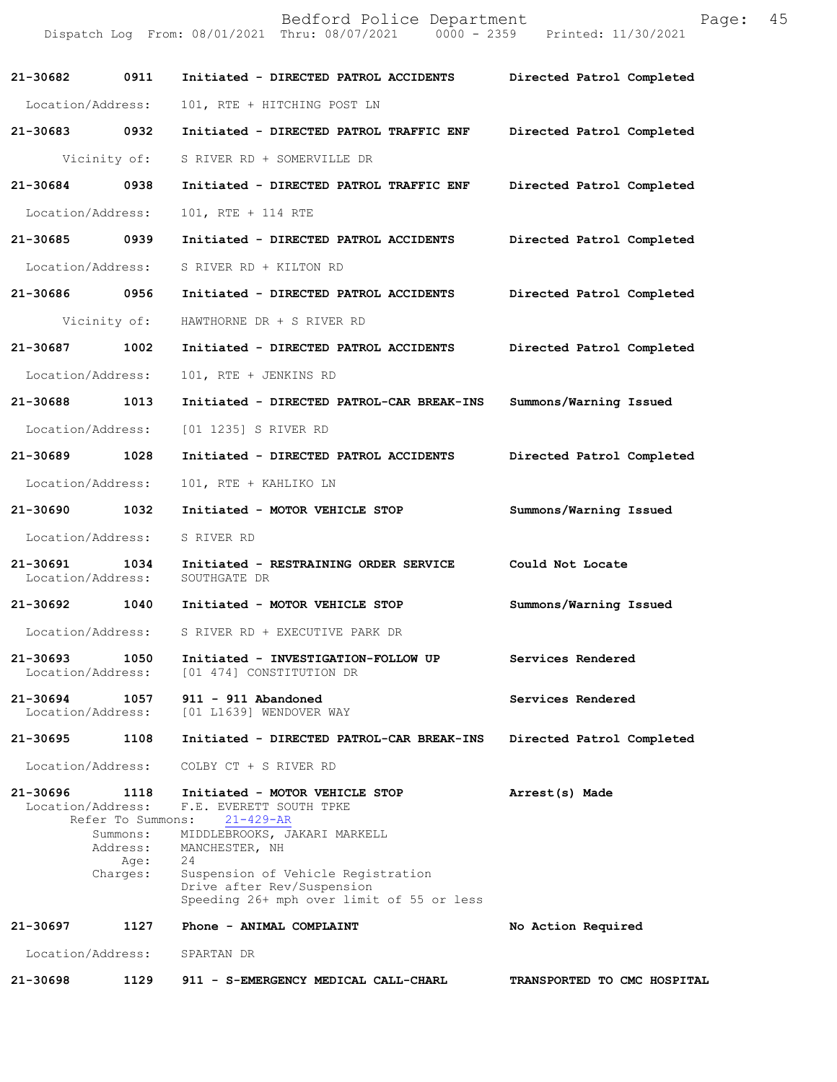|                               |                                                                       | Bedford Police Department<br>Dispatch Log From: 08/01/2021 Thru: 08/07/2021 0000 - 2359 Printed: 11/30/2021                                                                                                                                           | Page:                       | 45 |
|-------------------------------|-----------------------------------------------------------------------|-------------------------------------------------------------------------------------------------------------------------------------------------------------------------------------------------------------------------------------------------------|-----------------------------|----|
| 21-30682                      | 0911                                                                  | Initiated - DIRECTED PATROL ACCIDENTS                                                                                                                                                                                                                 | Directed Patrol Completed   |    |
| Location/Address:             |                                                                       | 101, RTE + HITCHING POST LN                                                                                                                                                                                                                           |                             |    |
| 21-30683 0932                 |                                                                       | Initiated - DIRECTED PATROL TRAFFIC ENF                                                                                                                                                                                                               | Directed Patrol Completed   |    |
|                               | Vicinity of:                                                          | S RIVER RD + SOMERVILLE DR                                                                                                                                                                                                                            |                             |    |
| 21-30684                      | 0938                                                                  | Initiated - DIRECTED PATROL TRAFFIC ENF                                                                                                                                                                                                               | Directed Patrol Completed   |    |
| Location/Address:             |                                                                       | 101, RTE + 114 RTE                                                                                                                                                                                                                                    |                             |    |
| 21-30685 0939                 |                                                                       | Initiated - DIRECTED PATROL ACCIDENTS                                                                                                                                                                                                                 | Directed Patrol Completed   |    |
| Location/Address:             |                                                                       | S RIVER RD + KILTON RD                                                                                                                                                                                                                                |                             |    |
| 21-30686 0956                 |                                                                       | Initiated - DIRECTED PATROL ACCIDENTS                                                                                                                                                                                                                 | Directed Patrol Completed   |    |
|                               | Vicinity of:                                                          | HAWTHORNE DR + S RIVER RD                                                                                                                                                                                                                             |                             |    |
| 21-30687                      | 1002                                                                  | Initiated - DIRECTED PATROL ACCIDENTS                                                                                                                                                                                                                 | Directed Patrol Completed   |    |
| Location/Address:             |                                                                       | 101, RTE + JENKINS RD                                                                                                                                                                                                                                 |                             |    |
| 21-30688                      | 1013                                                                  | Initiated - DIRECTED PATROL-CAR BREAK-INS                                                                                                                                                                                                             | Summons/Warning Issued      |    |
| Location/Address:             |                                                                       | [01 1235] S RIVER RD                                                                                                                                                                                                                                  |                             |    |
| 21-30689                      | 1028                                                                  | Initiated - DIRECTED PATROL ACCIDENTS                                                                                                                                                                                                                 | Directed Patrol Completed   |    |
| Location/Address:             |                                                                       | 101, RTE + KAHLIKO LN                                                                                                                                                                                                                                 |                             |    |
| 21-30690 1032                 |                                                                       | Initiated - MOTOR VEHICLE STOP                                                                                                                                                                                                                        | Summons/Warning Issued      |    |
| Location/Address:             |                                                                       | S RIVER RD                                                                                                                                                                                                                                            |                             |    |
| 21-30691<br>Location/Address: | 1034                                                                  | Initiated - RESTRAINING ORDER SERVICE<br>SOUTHGATE DR                                                                                                                                                                                                 | Could Not Locate            |    |
| 21-30692 1040                 |                                                                       | Initiated - MOTOR VEHICLE STOP                                                                                                                                                                                                                        | Summons/Warning Issued      |    |
| Location/Address:             |                                                                       | S RIVER RD + EXECUTIVE PARK DR                                                                                                                                                                                                                        |                             |    |
| 21-30693<br>Location/Address: | 1050                                                                  | Initiated - INVESTIGATION-FOLLOW UP<br>[01 474] CONSTITUTION DR                                                                                                                                                                                       | Services Rendered           |    |
| 21-30694<br>Location/Address: | 1057                                                                  | 911 - 911 Abandoned<br>[01 L1639] WENDOVER WAY                                                                                                                                                                                                        | Services Rendered           |    |
| 21-30695                      | 1108                                                                  | Initiated - DIRECTED PATROL-CAR BREAK-INS                                                                                                                                                                                                             | Directed Patrol Completed   |    |
| Location/Address:             |                                                                       | COLBY CT + S RIVER RD                                                                                                                                                                                                                                 |                             |    |
| 21-30696<br>Location/Address: | 1118<br>Refer To Summons:<br>Summons:<br>Address:<br>Age:<br>Charges: | Initiated - MOTOR VEHICLE STOP<br>F.E. EVERETT SOUTH TPKE<br>$21 - 429 - AR$<br>MIDDLEBROOKS, JAKARI MARKELL<br>MANCHESTER, NH<br>24<br>Suspension of Vehicle Registration<br>Drive after Rev/Suspension<br>Speeding 26+ mph over limit of 55 or less | Arrest(s) Made              |    |
| 21-30697                      | 1127                                                                  | Phone - ANIMAL COMPLAINT                                                                                                                                                                                                                              | No Action Required          |    |
| Location/Address:             |                                                                       | SPARTAN DR                                                                                                                                                                                                                                            |                             |    |
| 21-30698                      | 1129                                                                  | 911 - S-EMERGENCY MEDICAL CALL-CHARL                                                                                                                                                                                                                  | TRANSPORTED TO CMC HOSPITAL |    |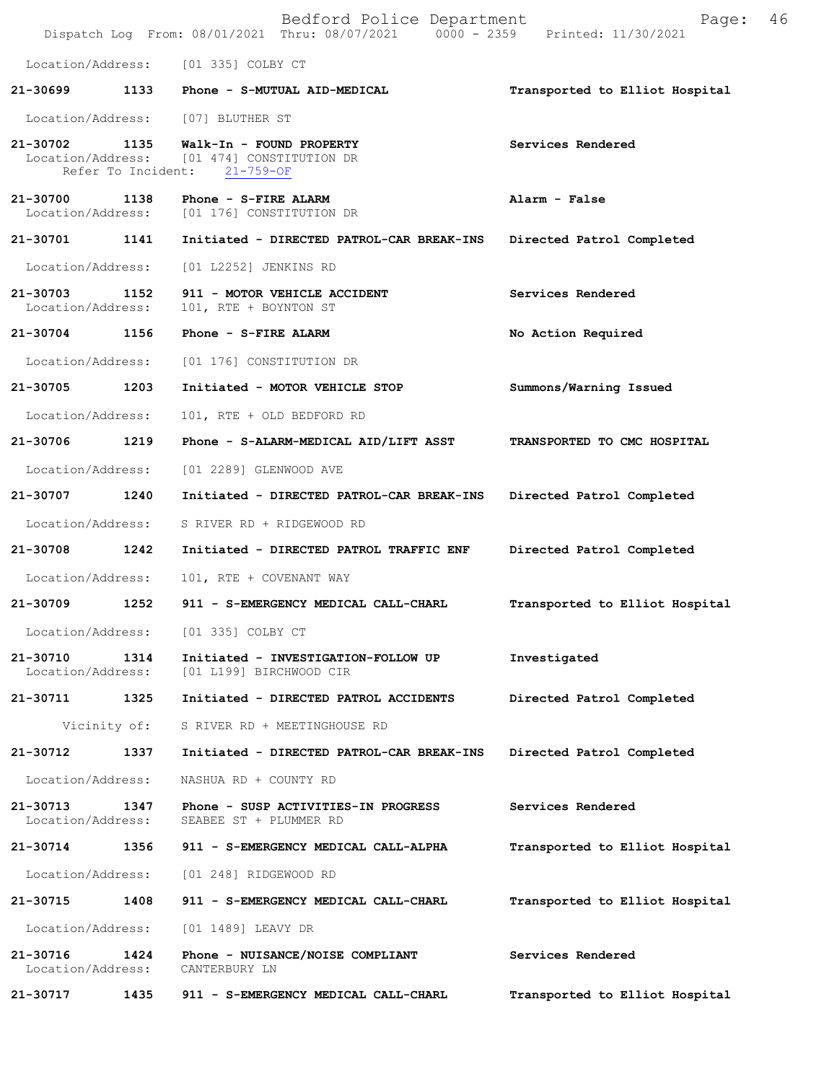|                               |              | Bedford Police Department<br>Dispatch Log From: 08/01/2021 Thru: 08/07/2021 0000 - 2359 Printed: 11/30/2021            | 46<br>Page:                    |
|-------------------------------|--------------|------------------------------------------------------------------------------------------------------------------------|--------------------------------|
|                               |              | Location/Address: [01 335] COLBY CT                                                                                    |                                |
| 21-30699                      |              | 1133 Phone - S-MUTUAL AID-MEDICAL                                                                                      | Transported to Elliot Hospital |
|                               |              | Location/Address: [07] BLUTHER ST                                                                                      |                                |
|                               |              | $21-30702$ 1135 Walk-In - FOUND PROPERTY<br>Location/Address: [01 474] CONSTITUTION DR<br>Refer To Incident: 21-759-OF | Services Rendered              |
| 21-30700<br>Location/Address: | 1138         | Phone - S-FIRE ALARM<br>[01 176] CONSTITUTION DR                                                                       | Alarm - False                  |
| 21-30701                      | 1141         | Initiated - DIRECTED PATROL-CAR BREAK-INS                                                                              | Directed Patrol Completed      |
| Location/Address:             |              | [01 L2252] JENKINS RD                                                                                                  |                                |
| 21-30703<br>Location/Address: | 1152         | 911 - MOTOR VEHICLE ACCIDENT<br>101, RTE + BOYNTON ST                                                                  | Services Rendered              |
| 21-30704 1156                 |              | Phone - S-FIRE ALARM                                                                                                   | No Action Required             |
| Location/Address:             |              | [01 176] CONSTITUTION DR                                                                                               |                                |
| 21-30705                      | 1203         | Initiated - MOTOR VEHICLE STOP                                                                                         | Summons/Warning Issued         |
| Location/Address:             |              | 101, RTE + OLD BEDFORD RD                                                                                              |                                |
| 21-30706                      | 1219         | Phone - S-ALARM-MEDICAL AID/LIFT ASST                                                                                  | TRANSPORTED TO CMC HOSPITAL    |
| Location/Address:             |              | [01 2289] GLENWOOD AVE                                                                                                 |                                |
| 21-30707 1240                 |              | Initiated - DIRECTED PATROL-CAR BREAK-INS                                                                              | Directed Patrol Completed      |
| Location/Address:             |              | S RIVER RD + RIDGEWOOD RD                                                                                              |                                |
| 21-30708                      | 1242         | Initiated - DIRECTED PATROL TRAFFIC ENF                                                                                | Directed Patrol Completed      |
| Location/Address:             |              | 101, RTE + COVENANT WAY                                                                                                |                                |
| 21-30709                      | 1252         | 911 - S-EMERGENCY MEDICAL CALL-CHARL                                                                                   | Transported to Elliot Hospital |
| Location/Address:             |              | [01 335] COLBY CT                                                                                                      |                                |
| 21-30710<br>Location/Address: | 1314         | Initiated - INVESTIGATION-FOLLOW UP<br>[01 L199] BIRCHWOOD CIR                                                         | Investigated                   |
| 21-30711                      | 1325         | Initiated - DIRECTED PATROL ACCIDENTS                                                                                  | Directed Patrol Completed      |
|                               | Vicinity of: | S RIVER RD + MEETINGHOUSE RD                                                                                           |                                |
| 21-30712                      | 1337         | Initiated - DIRECTED PATROL-CAR BREAK-INS                                                                              | Directed Patrol Completed      |
| Location/Address:             |              | NASHUA RD + COUNTY RD                                                                                                  |                                |
| 21-30713<br>Location/Address: | 1347         | Phone - SUSP ACTIVITIES-IN PROGRESS<br>SEABEE ST + PLUMMER RD                                                          | Services Rendered              |
| 21-30714                      | 1356         | 911 - S-EMERGENCY MEDICAL CALL-ALPHA                                                                                   | Transported to Elliot Hospital |
| Location/Address:             |              | [01 248] RIDGEWOOD RD                                                                                                  |                                |
| 21-30715                      | 1408         | 911 - S-EMERGENCY MEDICAL CALL-CHARL                                                                                   | Transported to Elliot Hospital |
| Location/Address:             |              | [01 1489] LEAVY DR                                                                                                     |                                |
| 21-30716<br>Location/Address: | 1424         | Phone - NUISANCE/NOISE COMPLIANT<br>CANTERBURY LN                                                                      | Services Rendered              |
| 21-30717                      | 1435         | 911 - S-EMERGENCY MEDICAL CALL-CHARL                                                                                   | Transported to Elliot Hospital |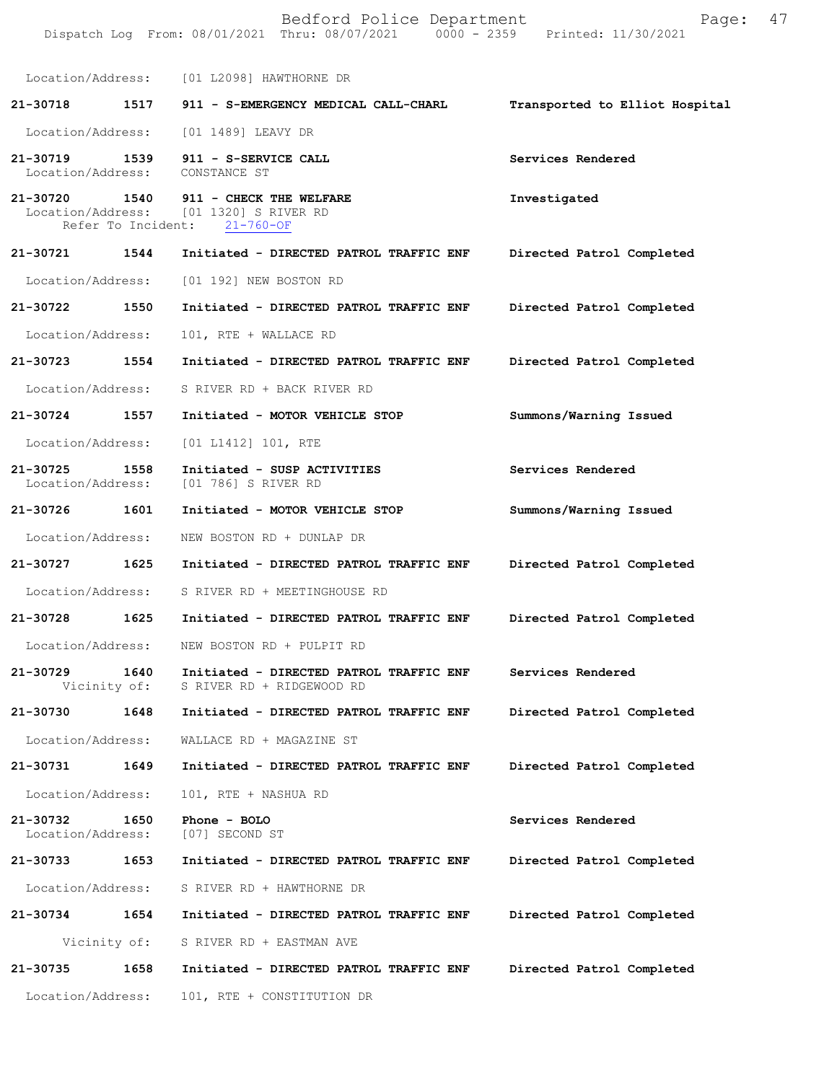|                                    |      | Bedford Police Department<br>Dispatch Log From: 08/01/2021 Thru: 08/07/2021 0000 - 2359 Printed: 11/30/2021 | Page: 47                       |  |
|------------------------------------|------|-------------------------------------------------------------------------------------------------------------|--------------------------------|--|
|                                    |      | Location/Address: [01 L2098] HAWTHORNE DR                                                                   |                                |  |
| 21-30718                           | 1517 | 911 - S-EMERGENCY MEDICAL CALL-CHARL                                                                        | Transported to Elliot Hospital |  |
| Location/Address:                  |      | [01 1489] LEAVY DR                                                                                          |                                |  |
| 21-30719 1539<br>Location/Address: |      | 911 - S-SERVICE CALL<br>CONSTANCE ST                                                                        | Services Rendered              |  |
| 21-30720 1540                      |      | 911 - CHECK THE WELFARE<br>Location/Address: [01 1320] S RIVER RD<br>Refer To Incident: 21-760-OF           | Investigated                   |  |
| 21-30721                           | 1544 | Initiated - DIRECTED PATROL TRAFFIC ENF                                                                     | Directed Patrol Completed      |  |
| Location/Address:                  |      | [01 192] NEW BOSTON RD                                                                                      |                                |  |
| 21-30722 1550                      |      | Initiated - DIRECTED PATROL TRAFFIC ENF                                                                     | Directed Patrol Completed      |  |
| Location/Address:                  |      | 101, RTE + WALLACE RD                                                                                       |                                |  |
| 21-30723                           | 1554 | Initiated - DIRECTED PATROL TRAFFIC ENF                                                                     | Directed Patrol Completed      |  |
| Location/Address:                  |      | S RIVER RD + BACK RIVER RD                                                                                  |                                |  |
| 21-30724                           | 1557 | Initiated - MOTOR VEHICLE STOP                                                                              | Summons/Warning Issued         |  |
| Location/Address:                  |      | [01 L1412] 101, RTE                                                                                         |                                |  |
| 21-30725<br>Location/Address:      | 1558 | Initiated - SUSP ACTIVITIES<br>[01 786] S RIVER RD                                                          | Services Rendered              |  |
| 21-30726 1601                      |      | Initiated - MOTOR VEHICLE STOP                                                                              | Summons/Warning Issued         |  |
| Location/Address:                  |      | NEW BOSTON RD + DUNLAP DR                                                                                   |                                |  |
| 21-30727                           | 1625 | Initiated - DIRECTED PATROL TRAFFIC ENF                                                                     | Directed Patrol Completed      |  |
|                                    |      | Location/Address: S RIVER RD + MEETINGHOUSE RD                                                              |                                |  |
|                                    |      | 21-30728 1625 Initiated - DIRECTED PATROL TRAFFIC ENF Directed Patrol Completed                             |                                |  |
| Location/Address:                  |      | NEW BOSTON RD + PULPIT RD                                                                                   |                                |  |
| 21-30729<br>Vicinity of:           | 1640 | Initiated - DIRECTED PATROL TRAFFIC ENF<br>S RIVER RD + RIDGEWOOD RD                                        | Services Rendered              |  |
| 21-30730                           | 1648 | Initiated - DIRECTED PATROL TRAFFIC ENF                                                                     | Directed Patrol Completed      |  |
| Location/Address:                  |      | WALLACE RD + MAGAZINE ST                                                                                    |                                |  |
| 21-30731                           | 1649 | Initiated - DIRECTED PATROL TRAFFIC ENF                                                                     | Directed Patrol Completed      |  |
| Location/Address:                  |      | 101, RTE + NASHUA RD                                                                                        |                                |  |
| 21-30732<br>Location/Address:      | 1650 | Phone - BOLO<br>[07] SECOND ST                                                                              | Services Rendered              |  |
| 21-30733                           | 1653 | Initiated - DIRECTED PATROL TRAFFIC ENF                                                                     | Directed Patrol Completed      |  |
| Location/Address:                  |      | S RIVER RD + HAWTHORNE DR                                                                                   |                                |  |
| 21-30734                           | 1654 | Initiated - DIRECTED PATROL TRAFFIC ENF                                                                     | Directed Patrol Completed      |  |
| Vicinity of:                       |      | S RIVER RD + EASTMAN AVE                                                                                    |                                |  |
| 21-30735                           | 1658 | Initiated - DIRECTED PATROL TRAFFIC ENF                                                                     | Directed Patrol Completed      |  |
| Location/Address:                  |      | 101, RTE + CONSTITUTION DR                                                                                  |                                |  |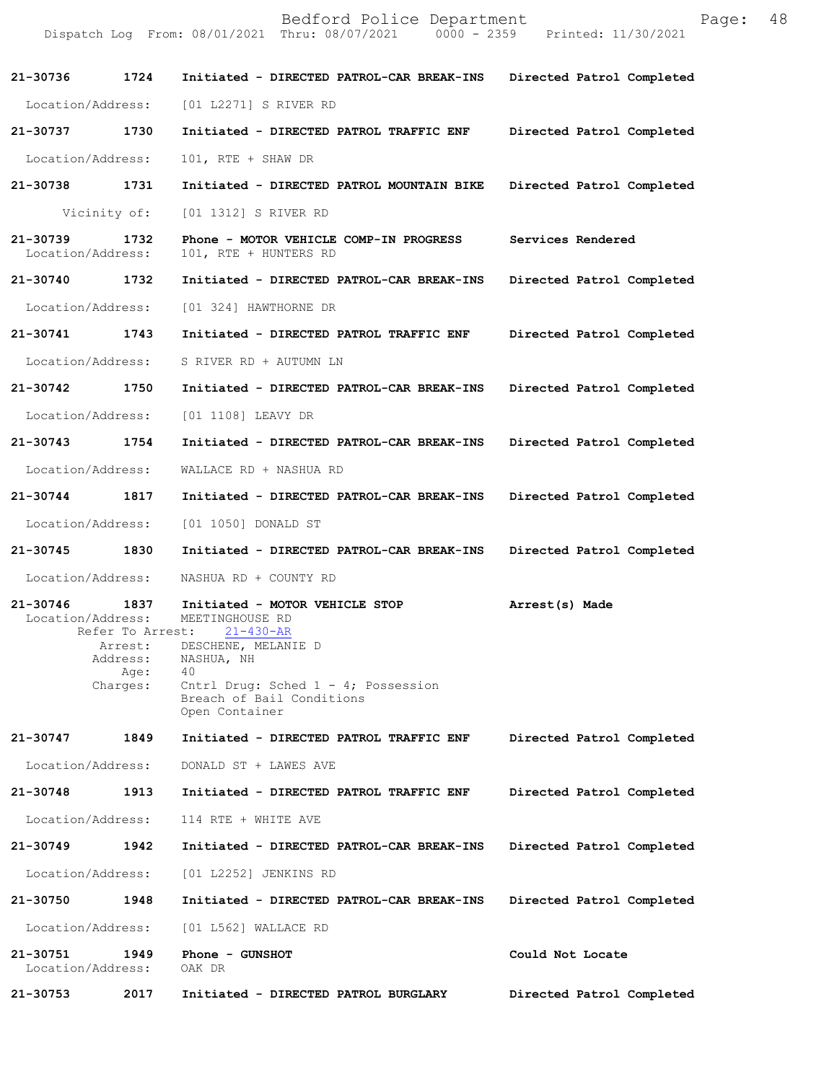|                               |                                                                     | Bedford Police Department<br>Dispatch Log From: 08/01/2021 Thru: 08/07/2021 0000 - 2359 Printed: 11/30/2021                                                                            | Page:                     | 48 |
|-------------------------------|---------------------------------------------------------------------|----------------------------------------------------------------------------------------------------------------------------------------------------------------------------------------|---------------------------|----|
| 21-30736                      | 1724                                                                | Initiated - DIRECTED PATROL-CAR BREAK-INS                                                                                                                                              | Directed Patrol Completed |    |
| Location/Address:             |                                                                     | [01 L2271] S RIVER RD                                                                                                                                                                  |                           |    |
| 21-30737 1730                 |                                                                     | Initiated - DIRECTED PATROL TRAFFIC ENF                                                                                                                                                | Directed Patrol Completed |    |
| Location/Address:             |                                                                     | 101, RTE + SHAW DR                                                                                                                                                                     |                           |    |
| 21-30738                      | 1731                                                                | Initiated - DIRECTED PATROL MOUNTAIN BIKE                                                                                                                                              | Directed Patrol Completed |    |
|                               | Vicinity of:                                                        | [01 1312] S RIVER RD                                                                                                                                                                   |                           |    |
| 21-30739<br>Location/Address: | 1732                                                                | Phone - MOTOR VEHICLE COMP-IN PROGRESS<br>101, RTE + HUNTERS RD                                                                                                                        | Services Rendered         |    |
| 21-30740 1732                 |                                                                     | Initiated - DIRECTED PATROL-CAR BREAK-INS                                                                                                                                              | Directed Patrol Completed |    |
| Location/Address:             |                                                                     | [01 324] HAWTHORNE DR                                                                                                                                                                  |                           |    |
| 21-30741                      | 1743                                                                | Initiated - DIRECTED PATROL TRAFFIC ENF                                                                                                                                                | Directed Patrol Completed |    |
| Location/Address:             |                                                                     | S RIVER RD + AUTUMN LN                                                                                                                                                                 |                           |    |
| 21-30742                      | 1750                                                                | Initiated - DIRECTED PATROL-CAR BREAK-INS                                                                                                                                              | Directed Patrol Completed |    |
| Location/Address:             |                                                                     | [01 1108] LEAVY DR                                                                                                                                                                     |                           |    |
| 21-30743 1754                 |                                                                     | Initiated - DIRECTED PATROL-CAR BREAK-INS                                                                                                                                              | Directed Patrol Completed |    |
| Location/Address:             |                                                                     | WALLACE RD + NASHUA RD                                                                                                                                                                 |                           |    |
| 21-30744 1817                 |                                                                     | Initiated - DIRECTED PATROL-CAR BREAK-INS                                                                                                                                              | Directed Patrol Completed |    |
| Location/Address:             |                                                                     | [01 1050] DONALD ST                                                                                                                                                                    |                           |    |
| 21-30745                      | 1830                                                                | Initiated - DIRECTED PATROL-CAR BREAK-INS                                                                                                                                              | Directed Patrol Completed |    |
| Location/Address:             |                                                                     | NASHUA RD + COUNTY RD                                                                                                                                                                  |                           |    |
| 21-30746<br>Location/Address: | 1837<br>Refer To Arrest:<br>Arrest:<br>Address:<br>Age:<br>Charges: | Initiated - MOTOR VEHICLE STOP<br>MEETINGHOUSE RD<br>$21 - 430 - AR$<br>DESCHENE, MELANIE D<br>NASHUA, NH<br>40<br>Cntrl Drug: Sched $1 - 4$ ; Possession<br>Breach of Bail Conditions | Arrest(s) Made            |    |
|                               |                                                                     | Open Container                                                                                                                                                                         |                           |    |
| 21-30747                      | 1849                                                                | Initiated - DIRECTED PATROL TRAFFIC ENF                                                                                                                                                | Directed Patrol Completed |    |
| Location/Address:             |                                                                     | DONALD ST + LAWES AVE                                                                                                                                                                  |                           |    |
| 21-30748                      | 1913                                                                | Initiated - DIRECTED PATROL TRAFFIC ENF                                                                                                                                                | Directed Patrol Completed |    |
| Location/Address:             |                                                                     | 114 RTE + WHITE AVE                                                                                                                                                                    |                           |    |
| 21-30749                      | 1942                                                                | Initiated - DIRECTED PATROL-CAR BREAK-INS                                                                                                                                              | Directed Patrol Completed |    |
| Location/Address:             |                                                                     | [01 L2252] JENKINS RD                                                                                                                                                                  |                           |    |
| 21-30750                      | 1948                                                                | Initiated - DIRECTED PATROL-CAR BREAK-INS                                                                                                                                              | Directed Patrol Completed |    |
| Location/Address:             |                                                                     | [01 L562] WALLACE RD                                                                                                                                                                   |                           |    |
| 21-30751<br>Location/Address: | 1949                                                                | Phone - GUNSHOT<br>OAK DR                                                                                                                                                              | Could Not Locate          |    |
| 21-30753                      | 2017                                                                | Initiated - DIRECTED PATROL BURGLARY                                                                                                                                                   | Directed Patrol Completed |    |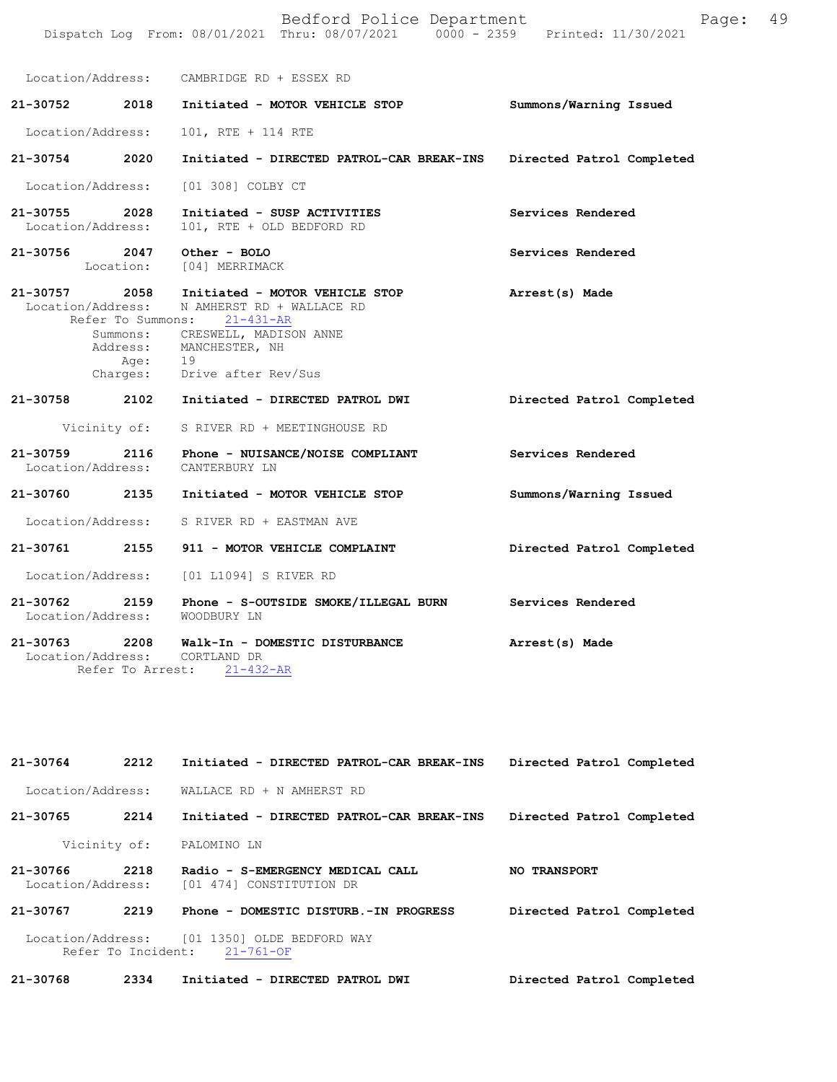|                                    |                          | Bedford Police Department<br>Dispatch Log From: 08/01/2021 Thru: 08/07/2021 0000 - 2359 Printed: 11/30/2021                                                                                             | Page:                     | 49 |
|------------------------------------|--------------------------|---------------------------------------------------------------------------------------------------------------------------------------------------------------------------------------------------------|---------------------------|----|
|                                    |                          | Location/Address: CAMBRIDGE RD + ESSEX RD                                                                                                                                                               |                           |    |
| $21 - 30752$                       | 2018                     | Initiated - MOTOR VEHICLE STOP                                                                                                                                                                          | Summons/Warning Issued    |    |
| Location/Address:                  |                          | 101, RTE + 114 RTE                                                                                                                                                                                      |                           |    |
| 21-30754 2020                      |                          | Initiated - DIRECTED PATROL-CAR BREAK-INS                                                                                                                                                               | Directed Patrol Completed |    |
| Location/Address:                  |                          | [01 308] COLBY CT                                                                                                                                                                                       |                           |    |
| 21-30755 2028<br>Location/Address: |                          | Initiated - SUSP ACTIVITIES<br>101, RTE + OLD BEDFORD RD                                                                                                                                                | Services Rendered         |    |
| 21-30756                           | 2047<br>Location:        | Other - BOLO<br>[04] MERRIMACK                                                                                                                                                                          | Services Rendered         |    |
| $21 - 30757$                       | 2058<br>Address:<br>Age: | Initiated - MOTOR VEHICLE STOP<br>Location/Address: N AMHERST RD + WALLACE RD<br>Refer To Summons: 21-431-AR<br>Summons: CRESWELL, MADISON ANNE<br>MANCHESTER, NH<br>19<br>Charges: Drive after Rev/Sus | Arrest(s) Made            |    |
|                                    |                          | 21-30758 2102 Initiated - DIRECTED PATROL DWI                                                                                                                                                           | Directed Patrol Completed |    |
|                                    | Vicinity of:             | S RIVER RD + MEETINGHOUSE RD                                                                                                                                                                            |                           |    |
| 21-30759<br>Location/Address:      | 2116                     | Phone - NUISANCE/NOISE COMPLIANT<br>CANTERBURY LN                                                                                                                                                       | Services Rendered         |    |
| 21-30760                           | 2135                     | Initiated - MOTOR VEHICLE STOP                                                                                                                                                                          | Summons/Warning Issued    |    |
|                                    |                          | Location/Address: S RIVER RD + EASTMAN AVE                                                                                                                                                              |                           |    |
| 21-30761                           | 2155                     | 911 - MOTOR VEHICLE COMPLAINT                                                                                                                                                                           | Directed Patrol Completed |    |
| Location/Address:                  |                          | [01 L1094] S RIVER RD                                                                                                                                                                                   |                           |    |
|                                    |                          | 21-30762 2159 Phone - S-OUTSIDE SMOKE/ILLEGAL BURN<br>Location/Address: WOODBURY LN                                                                                                                     | Services Rendered         |    |
| Location/Address:                  | Refer To Arrest:         | 21-30763 2208 Walk-In - DOMESTIC DISTURBANCE<br>CORTLAND DR<br>$21 - 432 - AR$                                                                                                                          | Arrest(s) Made            |    |

| 21-30764                                                                                 | 2212 | Initiated - DIRECTED PATROL-CAR BREAK-INS                    | Directed Patrol Completed |  |
|------------------------------------------------------------------------------------------|------|--------------------------------------------------------------|---------------------------|--|
| Location/Address:                                                                        |      | WALLACE RD + N AMHERST RD                                    |                           |  |
| 21-30765                                                                                 | 2214 | Initiated - DIRECTED PATROL-CAR BREAK-INS                    | Directed Patrol Completed |  |
| Vicinity of:                                                                             |      | PALOMINO LN                                                  |                           |  |
| 21-30766<br>Location/Address:                                                            | 2218 | Radio - S-EMERGENCY MEDICAL CALL<br>[01 474] CONSTITUTION DR | <b>NO TRANSPORT</b>       |  |
| 21-30767                                                                                 | 2219 | Phone - DOMESTIC DISTURB.-IN PROGRESS                        | Directed Patrol Completed |  |
| Location/Address:<br>[01 1350] OLDE BEDFORD WAY<br>Refer To Incident:<br>$21 - 761 - OF$ |      |                                                              |                           |  |
| 21-30768                                                                                 | 2334 | Initiated - DIRECTED PATROL DWI                              | Directed Patrol Completed |  |